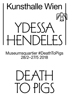# Kunsthalle Wien  $+$  SS  $\mathcal{F}$ **ND** ╿┽

Museumsquartier #DeathToPigs 28/2–27/5 2018

# $\overline{\mathcal{A}}$ IН ┝╋╾  $\downarrow$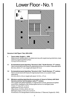# Lower Floor-No. 1



# *Veronica's Veil/Tigers' Tale***, 2016–2018**

## **1. Tavern table, English, c. 1850** Metal-bound, double-plank, scrubbed-pine top with angle bracing stretchers, base retaining original painted surface 72.4 (h) x 137.8 x 53.0 cm

- **1.1 Ecclesiastical panel depicting "Veronica's Veil," South German, 17th century** Hand-carved walnut with traces of original polychrome, on a custom-made steel stand 60.3 (h) x 48.9 x 17.1 cm; height with stand: 67.9 cm
- **1.2 Ecclesiastical panel depicting "Veronica's Veil," South German, 17th century**  Hand-carved wood with traces of original polychrome, on a custom-made steel stand 32.4 (h) x 26.0 x 3.8 cm; height with stand: 14 1/2 in., 37 cm
- **1.3 Miniature painting depicting the procession of Jesus to Calvary with Saint**  Veronica and her veil, European, early 17<sup>th</sup> century Oil on agate with gilded highlights, in original hand-carved, gessoed and gilded wood frame, displayed under antique glass dome on a mahogany base Frame: 17.1 (h) x 19.7 x 1.9 cm Agate panel: 8.3 (h) x 10.8 cm Glass dome: 22.9 (h) x 28.9 x 18.7 cm Mahogany base: 2.2 (h) x 31.4 x 21.6 cm Provenance: Sir George Martin Anthony Bonham, 5<sup>th</sup> Baronet, England (b. 1945)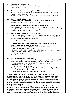# **2. Tavern table, English, c. 1740**

Copper-bound, single-slab elm top on silhouette baluster trestle base 76.8 (h) x 198.8 x 57.2 cm

## **2.1 Sculptural child-form mask, English, c. 1870**

 Hand-modelled and painted terracotta, with black painted face, white eyes and red lips, on a custom-made steel stand 14.6 (h) x 9.5 x 7.0 cm; height with stand: 22.2 cm; display cube: 12.7 x 12.7 x 12.7 cm

### **2.2 Pastry jigger, Swedish, c. 1800**

Pine and metal, with serrated metal wheel, on a custom-made steel stand 14.6 (h) x 7.0 x 1.3 cm; height with stand: 16.5 cm

#### **2.3 Oversize safety pin, retailer's trade sign, English, c. 1920**

 Functioning brass or steel spring mechanism and hand-shaped sheet-copper catch, with galvanized finish overall and historic mounting points, on a custom-made steel stand 8.9 (h) x 45.7 cm; height with stand: 29.2 cm

#### **3. Folk-Art, tilt-top tripod table, Swedish, c. 1830**

 Scrubbed alder wood circular top, cleated by two bearers to the underside and of swing action, on twin-baluster turned and painted alder wood stem terminating on painted pine silhouette bird-form tripod base 67.3 (h) x 71.8 x 73.7 cm

## **3.1** *The Story of Little Black Sambo***, Helen Bannerman (née Watson, Scottish, 1862–1946), Grant Richards, London, 1899**

 Number four in the series *The Dumpy Books for Children*, edited by E. V. (Edward Verral) Lucas (English, 1868–1938) 57 pages, including 27 full-page illustrations by the author, engraved on wood and colour-printed by Edmund Evans (English, 1825–1905) Two first edition issues 13 x 8.3 x 1.3 cm

## **3.2** *After George Stubbs: "Tiger,"* **2018**

 Facsimile colour pigment print of original painting by George Stubbs (English, 1724– 1806), on stretched canvas in replica hand-gilt wood and plaster frame Original painting: oil on canvas, c. 1769–1771, in period gilt frame Printed canvas:  $61.4$  (h) x  $72.9$  cm Replica frame: 81.3 (h) x 93.3 x 4.4 cm The original framed painting is in the Paul Mellon Collection of the Virginia Museum of Fine Arts, Richmond, Virginia, USA Digital image courtesy of the Virginia Museum of Fine Arts

**The journey through** *Death to Pigs* **begins with the iconography of the two intertwined narratives in** *Veronica's Veil/Tigers' Tale***. One is an uncertain adult construct from a central belief system that has historically been an arena for acceptance and rejection; the other is a story for children celebrating a child's resourcefulness when faced with threatening forces. A boy must appease tigers to survive, just as the female in** *Blue Beard***, another fairy tale, must master the threat of the domineering male.** 

**This show is about the shifting power dynamics of victims and their oppressors, about the basic human struggle to survive against dangerous and often cruel odds and of the impact the struggle has on successive generations on both sides. The relationships may ebb and flow, perhaps undergoing radical reversals in which the wildest tigers may be tamed and caged. But the dynamics**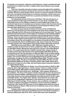**of inclusion and exclusion, sufferance and intolerance, remain constants through world history no matter how often or readily victims and victimizers may change their stripes.**

**There are vulnerable characters trying to survive throughout this exhibition, a wily menagerie of characters striving to fit in and thrive in their surroundings and societies. Not all succeed, but the drive to survive is a common impulse in all. Life is not a zero-sum game in which there are no winners and losers, and for most of us, the effort is to turn what we inherit from our parents and fashion it into something positive for our descendants.** 

**The intertwined stories of** *Veronica's Veil/Tigers' Tale* **also introduces us to the way** *Death to Pigs* **explores these themes in a non-linear, imagistic way, reflecting the way we are willing to suspend or amend belief to give order to our world and make sense of a situation we are trying to control. Over time these stories and fables, sometimes based on the flimsiest or most fantastical evidence, have assumed deep significance in our survival narratives.**

**The story of Jesus leaving an imprint of his face on the veil offered by Veronica on the Via Dolorosa is memorialized in the sixth of the 14 Stations of the Cross, although the first references to this legend are of much later date. The veil of Saint Veronica had become a revered object of veneration in the Catholic tradition by medieval times and it remains a central but controversial element of Christian reliquary. There are references to a purported original in the 7th century, and the accounts of later pilgrims and travellers have documented its passage and history. According to these, the veil travelled from Jerusalem to Kamulia in eastern Turkey, then Constantinople, Rome and Manoppello, Italy, where a Capuchin monastery currently guards a relic many believe is the veil described in the earlier accounts.** 

**Helen Bannerman (née Watson, 1862–1946) was a Scottish author of children's books, the best known of which, published in 1899, is** *The Adventures of Little Black Sambo***. Bannerman was married to a doctor in the Indian Medical Service. The couple spent 30 years in British colonial India, raising a family of two girls and two boys. Bannerman wrote and illustrated** *Little Black Sambo* **as an entertainment for the two girls (born in 1893 and 1896). It has an Indian setting, and features local geography in references to the bazaar, jungle, tigers and "ghi" (butter). The success of the book encouraged Bannerman to produce further related titles, including** *The Story of Little Black Mingo* **(1902),** *The Story of Little Black Quibba* **(1902),** *The Story of Little Black Quasha* **(1908),** *The Story of Little Black Bobtail* **(1909) and** *The Story of Sambo and the Twins* **(1936). Almost all of Bannerman's books are set in India, and most feature black characters related to the original Sambo figure.**

**Bannerman's inspiration for Sambo, one of the characters in** *Death to Pigs* **using his wits to fight oppression, remains unclear. There is a similar character in the wildly popular 1895 children's book by Bertha and Florence Upton,** *The Adventures of Two Dutch Dolls and a "Golliwogg***,***"* **which appears elsewhere in this exhibition. The dress of the Uptons' Sambo clearly places him in the American black-face minstrel tradition, while Bannerman's character, though brightly and colourfully dressed, is less easily identifiable nationally except for his skin colour and bright red lips. The origins of the "Sambo" name itself are not certain, with some sources suggesting it originated in Latin America as a term to describe offspring of mixed marriages. It was, however, also a relatively common name for slaves in America and appears in literature in works as diverse as William Thackeray's 1847** *Vanity Fair* **(the name of a bow-legged, black-skinned servant) and Harriet Beecher Stowe's 1852** *Uncle Tom's Cabin* **(the name of one of Simon Legree's overseers).** 

**Yuill also cites another possible source first proposed by Selma G. Lanes in**  *Down the Rabbit Hole: Adventures and Misadventures in the Realm of Children's Literature* **(Atheneum, New York, 1971). Lanes notes some close similarities**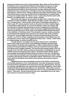**between the Sambo and a story in** *Struwwelpeter, Merry Tales and Funny Pictures for Children from 3–6* **by Heinrich Hoffmann, first published in German in 1846 and translated into English just two years later. In a series of unlikely stories with fantastical illustrations, the book purports to teach children that bullying misbehaviour has consequences. In the** *Story of the Three Inky Boys***, three unruly boys harass a "black-a-moor" taking a walk just as the tigers harass Sambo. A wise man tells the boys to stop, then punishes them by dipping them in a giant inkwell so they end up blacker than the "black-a-moor." Lanes notes that the victim is like Sambo in an unlikely detail—he carries a green umbrella.**

**Bannerman also appears to have picked up rather than created the names of Sambo's mother and father—Black Mumbo and Black Jumbo. The origins of the term "mumbo jumbo," which has the sense today of meaningless discourse, is cited in early 18th-century explorer books as the name of an idol or spiritual figure in west African tribal cultures. In one account, Mumbo Jumbo was a figure with the authority to arbitrate disputes between women in polygamous households, and used by husbands to maintain control. It has been suggested that this African reference is also the source of the name of the elephant memorialized elsewhere in the exhibition in** *The Dead Jumbo.* **This derivation, however, remains uncertain, in part because the elephant was captured on the eastern side of the continent. An early 19th-century English dictionary of slang and sporting idioms that cites "Jumbo" as a term for a large, ungainly person is perhaps a more likely source for the elephant's name; others have suggested the Zulu word, "Jamba," which refers to a large package, is another possible source.** 

**Though simple in conception and execution, Bannerman's** *Little Black Sambo* **was a huge success when it was published in England, going through three reprints in 12 months after publication. In 1900, it had its first U.S. printing by New York-based Frederick A. Stokes, which purchased the American rights from Bannerman's English publisher. The book became hugely popular in the U.S.**  through much of the 20<sup>th</sup> century, widely recommended on reading lists for young **children and much imitated by other authors. Despite its Indian setting, Sambo was inevitably associated with black history and culture in the U.S., and attacked for reinforcing unacceptable racial stereotypes among young white readers while providing a demeaning model for young black children. Bannerman's once-popular series would eventually be shunned by school systems and society at large as prejudiced.**

**While Bannerman was undoubtedly a product of her British colonial times, she had little experience of U.S. racial dynamics. Ironically, she gained no benefit from the immense popularity of her first book in America. Against advice, she had not retained copyright when she sold the book to her British publisher, which itself would profit when it quickly sold rights for U.S. distribution. "Many of the versions of** *The Story of Little Black Sambo* **published in the U.S. did not credit Bannerman as author," Yuill notes, "and since the book was never copyrighted here in her name, she received no income from its U.S. sales."**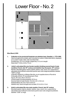# Lower Floor - No. 2



# *Blue Beard***, 2016**

- **1. Collection of six provincial Gustavian-era skeleton keys, Swedish, c. 1770–1800** Hand-wrought and cut steel, each mounted on custom-made steel stand, displayed on a custom-made, steel, wall-mounted shelf Smallest key: 15.2 cm in length; largest key: 21.3 cm in length Steel shelf: 7.0 (h) x 44.8 x 7.0 cm
- **2. Artist's articulated life-size female manikin (holding severed head of male**  manikin), French, late 19<sup>th</sup> century and skeleton key, European, 19<sup>th</sup> century Manikin: Moulded papier-mâché, plaster, leather, rope, wood, iron; supported on adjustable stand affixed to ebonized quarter sawn oak octagonal pedestal; labelled "1209" on thigh Originally retailed by La Maison Berville, an art-supplies store on Rue de la Chaussée-d'Antin, 9th arrondissement, Paris Figure: 161.3 (h) x 48.3 x 22.9 cm Overall height including pedestal: 221.6 cm Severed head of male manikin: 18.4 (h) x 24.1 x 18.4 cm Pedestal Base: 60.3 (h) x 40.6 x 40.6 cm Skeleton key: Hand-wrought and cut steel, 21.0 x 9.5 x 1.3 cm
- **3. Artist's articulated life-size male manikin, French, late 19th century** Moulded papier-mâché, plaster, leather, rope, wood, iron; supported by adjustable stand affixed to ebonized quarter sawn oak octagonal pedestal; labelled "1208" on thigh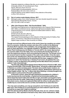Originally retailed by La Maison Berville, an art-supplies store on the Rue de la Chaussée-d'Antin, 9th arrondissement, Paris Figure: 169.5 (h) x 55.9 x 25.4 cm Overall height including pedestal: 229.9 cm Pedestal Base: 60.3 (h) x 40.6 x 40.6 cm Original clipped-corner platform base (in the collection of the artist): 4.4 (h) x 79.4 x 55.6 cm

#### **2.1 - Pair of custom-made display vitrines, 2017**

**3.1** Mahogany, glass, linen, brass hardware, rear door (double-keyed) for access Fabricated by Michael Buchanan, Toronto 293.1 (h) x 96.5 x 96.5 cm each

#### **4.** *After John Ferguson Weir: "His Favorite Model,"* **2016**

 Facsimile colour pigment print of original painting by John Ferguson Weir (American, 1841–1926), on stretched canvas, replica hand-gilt wood and plaster frame Original painting: oil on canvas, signed and dated (date indistinct: 188?), in period gilt frame Printed canvas: 63.5 (h) x 48.9 cm Replica frame: 82.6 (h) x 66.7 x 7.9 cm The original framed painting is in the collection of Yale University Art Gallery, New Haven, Connecticut, USA (Gift of Vincent Price, B.A. 1933) Digital image courtesy of Yale University Art Gallery

**Though sourced from different parts of the world, these two manikins are united here in a scenario. Unlike the roosters who face off in conflict in the** *Marburg! The Early Bird!* **segment of this exhibition, the protagonists stand together in back-to-back apposition. As originally installed in** *The Milliner's Daughter* **at The Power Plant Contemporary Art Gallery in Toronto (2017), the viewer approached the scenario either from the lobby, thus encountering the female figure first, or from the waterfront entrance, thus encountering the male first. The female carries the severed head of another example of the same male manikin. It has the same face as the one standing here. Since the male figure in the vitrine is not headless, the placement, contextualized by the painting and the keys, suggests a filmic sequence in which the female has, in fantasy if not in fact, decapitated the man. In today's world, as depicted in the painting and the Blue Beard story would be called a "male chauvinist pig."**

**The fairy tale of Blue Beard appears first in literary form in French in 1697, when Charles Perrault (1628–1703) included "Barbe-bleue" among the original eight stories in** *Histoires ou contes du temps passé***. The basic story and its tropes, however, are much older and appear in the folklore of diverse cultures. Shakespeare references an earlier English variant, "Mr. Fox," in** *Much Ado About Nothing***, a comedy thought to be written about a century before Perrault's publication.**

**In Perrault's version, which through subsequent translations for children's books has become the most familiar, a mysterious but immensely wealthy man, whose large blue beard makes him look like an ogre, persuades a young girl to marry him and move into his castle. Called away for business, he gives the girl six large keys that unlock rooms, chests and cupboards filled with his riches; he also gives her a smaller key to a room at the end of a corridor, but forbids her to unlock the door:**

**"You may open everything, you may go everywhere, but I forbid you to enter this little room. And I forbid you so seriously that if you were indeed to open the door, I should be so angry that I might do anything."** 

**(***Old-Time Stories told by Master Charles Perrault***, trans. by A. E. Johnson, Dodd, Mead and Co., 1921; reprinted in** *Perrault's Fairy Tales***, Dover Publications, 1969).**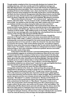**Though quietly compliant at first, his young wife disobeys her husband, thus violating what was, until only recently, part of the traditional marriage vow. After Blue Beard leaves, she explores the house with friends and neighbours, unlocking all the doors permitted. Then, overcome by curiosity, she cannot resist sneaking off alone to the forbidden room, where she finds the corpses of Blue Beard's previous wives hanging from the walls and the floor covered with blood. Terrified, she tries to hide her transgression after Blue Beard returns, but the little key gives her away. Smeared when she accidentally dropped it in the forbidden room, the blood, magically, will not wash off completely. Blue Beard is incensed:**

**"Why is there blood on this key?" "I do not know at all," replied the poor woman, paler than death. "You do not know at all?" exclaimed Blue Beard; "I know well enough. You wanted to enter the little room! Well, madam enter it you shall you shall go and take your place among the ladies you have seen there."**

**She begs for mercy, but Blue Beard "had a heart harder than stone." He grants her time to pray, however, and she is saved by the just-in-time appearance of her two brothers, who kill the ogre. Since he has no heirs, the young girl becomes "mistress of all his wealth." After settling money on her family, "the rest formed a dowry for her own marriage with a very worthy man, who banished from her mind all memory of the evil days she had spent with Blue Beard."**

**The origins of the Blue Beard story remain uncertain, though the character in Perrault's French version has been associated with the historical Gilles de Rais (1405–1440), a military commander and associate of Joan of Arc subsequently convicted and hanged for the serial sexual abuse and murder of young boys (but not of any woman or wife); the character has also been linked to Conomor the Cursed, a 6th-century Breton king who, according to legend, killed his wives when they became pregnant after he was told he would die by a child's hand. The plotline, however, is likely too widespread to be tied to a single historical figure, and it also embodies numerous symbolic devices and motifs from the wider world of fairy tales.**

**A blue beard is the title character's principal distinguishing characteristic, and immediately suggests an unnatural and suspicious nature by its very colour. The beard sets him in the company of other furry or hairy beasts in the fairy tale tradition, in this case a threatening authority figure (perhaps a threatening father figure, given that the other characters are all young siblings). Fairy tale animals or beasts are by no means always dark or evil (as with the beast in "Beauty and the Beast," for example, or the cat in "Puss in Boots"), but here Blue Beard is immediately isolated as one whose beard "made him so ugly and frightful that there was not a woman or girl who did not run away at sight of him."** 

**There are both sexual and, given the fate of Blue Beard's wives, misogynistic elements to the story, too, which portrays the young wife as independent in allowing her curiosity to guide her and "disobedient" in breaking the taboo against entering the small room. Though never named, the young wife is, like numerous young fairy tale characters of both sexes, pitted against a more adult character and forced into a life-or-death struggle. With its focused gender dynamics and the more sharply etched male chauvinism of its eponymous character, "Blue Beard" is a darker counterpart to "Beauty and the Beast," in which the love of the young heroine tames and redeems the savage beast and finds contentment for them both. In "Blue Beard," the power of love is not a factor, the young bride's short marriage being more like a physical test or trial to gain control. As the victor, she comes out of it wiser, richer and fulfilled. The relationship with Blue Beard starts and ends with betrayal. His silence about the fate of his other wives is a betrayal of her trust in him, while her insistence on using the forbidden key is a betrayal of her promise to follow his instructions. Through her betrayal, however, she becomes a stronger individual who can banish "from her mind all memory of the evil days she had spent with Blue Beard."**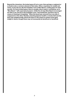**Beyond the characters, the locked space (if not a room, then perhaps a cupboard or a chest) is also a common element of fairy tales. Often a repository for wealth and riches, it may also be, like the forbidden room in Blue Beard, a hiding place for dark secrets. For every locked space, there is usually a key to open it, sometimes, as in "Blue Beard," with supernatural powers. Unlike the six keys Blue Beard encouraged his wife to use, the key to the forbidden room "was bewitched, and there was no means of cleaning it completely." When the blood was removed from one side, it reappeared on the other. Besides unlocking physical wealth or closely held secrets, keys may metaphorically unlock the future or the means to achieve some goal, insight or desire, though these may not necessarily be beneficent or beneficial.**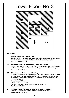# Lower Floor - No. 3



# *Crypt***, 2016**

# **1. Museum display case, English, 1880s**

 Oak and glass, with brass hardware, key-lock removable side panels and new linencovered wood riser; stamped "Holland & Sons, Mount Street, London" 175.3 (h) x 199.4 x 71.8 cm

## **1.1 Artist's articulated life-size manikin, French, 19th century**

 Hand-carved pine, with wooden ball joints and dowels; incised furrowed brow and eyebrows; dimpled chin; sculpted rib cage; fully jointed and articulated fingers 175.3 (h) x 50.8 x 25.4 cm

# **1.2 Christian rosary, French, mid-19th century**

 Double strand, pea-beaded rosary suspending brass, three-bar Patriarchal cross and Medal of the Immaculate Conception; brass clip to hold rosary at the waist of traditional Catholic habit, stamped with miniature Medal of the Immaculate Conception design Overall length: 63.5 cm Cross: 7.3 (h) x 4.0 x 0.3 cm Medal of the Immaculate Conception: 3.8 (h) x 3.2 x 0.2 cm Clip: 6.4 (h) x 1.6 x 1.3 cm

### **2. Artist's articulated life-size manikin, French, early 20th century** Hand-carved wood, with wooden ball joints and steel screw dowels; stylized anatomical features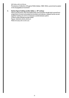# 167.6 (h) x 43.2 x 21.6 cm

 Provenance: Collection of Eugenio Pellini (Italian, 1869–1934), a prominent sculptor in the *Scapigliatura* movement

# **3. Santos figure holding candle, Italian, c. 18th century**

 Hand-carved wood, with removable head; torso and floor-length skirt carved from single block of wood; articulated at shoulders and elbows; clasped hands carved together holding a lit, 30.5 cm beeswax candle between palms Custom white-painted wooden plinth Figure: 149.9 (h) x 50.8 x 40.6 cm Plinth: 61.0 (h) x 91.4 x 91.4 cm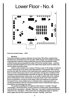# Lower Floor - No. 4



*From her wooden sleep…***, 2013**

#### **Manikins**

**This show includes a unique collection of more than 150 artists' manikins that Hendeles has assembled over two decades. With singular and multiple examples covering three centuries of their production and use, these handmade, finely crafted wooden pieces populate the realm of** *From her wooden sleep…* **and here become essential subjects of a work of art rather than studio tools for artists, the role for which most were made.** 

**Artists used manikins as a means of fixing a pose or the drape of material on the human body as far back as the Renaissance. Through the 19th century and into the 20th, the artistry of the dedicated and capable artisans producing them in earlier times gave way to more geometric and generic renditions that resulted in less individualization between the figures. Shoulder balls became mechanized abstractions rather than, as in earlier models with extra rotating joints, elaborations of the mechanism of human joints. Even when manikin faces are painted or carved in some detail, with such features as eyebrows, furrowed brows, heavy-lidded eyes or dimpled chins, physiognomies are usually generalized, with the narrowed waists further emphasizing a figure's anonymous and androgynous mien.**

**The preferred spelling for the figures in this show is "manikin," though "mannequin," the French form, is more common. In both cases, the derivation is from the Dutch** *manneken***—literally, "little man." An artist's manikin may also be referred to as a "lay figure." This comes from an antiquated usage of "layman," which again derives from a Dutch term,** *leeman***—literally, "joint man."**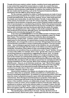**Though at first seen mainly in artists' studios, manikins found ready applications in any context that required the human body as a model. As a result, they have long been associated with medical disciplines as well as the clothing and fashion industries, and by extension retail display. In medicine, the manikin is often a life-size model used for teaching, such as the Transparent Anatomical Manikin developed in the late 1960s to show internal organs.**

**For the most part, manikins for artists or medical purposes are made of wood, with wood turning essential for the creation of the wooden dowels and pins needed to build articulated joints. At the same time, however, torsos, major body parts and fine details were handcrafted. As with the Grödner Tal dolls, it seems likely that as the volume of production rose in the 19th century especially, craftsmen might specialize in the production of specific parts so that a finished manikin would be the work of several people in a manufacturing workshop. Rather than being homemade or one-off productions, the artist learned from the process of building her collection that manikin workshops may have functioned rather like the studio of a master painter, who delegated some of the creation to able studio assistants. Manikins were produced across Europe, although France, and especially Paris, became a leading centre of production during the 19th century.**

**In her show** *sameDIFFERENCE* **in Toronto (2002) and later in** *Partners* **at the Haus der Kunst in Munich (2003), Hendeles made an installation called** *The Teddy Bear Project***. This included an archive of found family-album photographs determined by a single motif—a jointed, mohair-covered toy teddy bear. In a playful spoof on the authority of a natural history museum and its didactic use of classification, she arranged the archive in more than 120 typologies that were both real and fanciful, presented in a series of interlocking narratives.** *From her wooden sleep…* **has an analogous approach insofar as the manikins, too, are articulated and posable, and seemingly take their place in the tableau according to typological similarities. Sometimes, these adhere to their chronological dates or places of manufacture, but sometimes they are positioned as real or "found" families. Groups on some of the settles, for example, share a clear "genetic link" (such as common carved facial features or expressions), suggesting the shared "look" of a family grouping. Others may be related by the evidence of a single production feature, such as the remains of a subsequently painted gesso overlay. In still other cases, the grouping and positioning choices were determined by differences rather than similarities (life-size figures with and without carved hair, for example) and often by varying modulations in colour and size. Most of the manikins are positioned in an attentive pose—they are, as art historians would say, "rapt." Most of them appear to have their eyes trained on the lone standing figure at the front of the assembly, though a few appear to be distracted by people walking along the aisles. This common focus unites them in their own community and subtly casts the viewer as an outsider, interloper, intruder or voyeur.** 

**Almost all the manikins in the tableau are situated on the same floor as the viewer rather than on pedestals, plinths and platforms or behind glass, as a museum would likely display them—as artefacts or protected specimens. Here they share the viewer's physical and psychic space while still maintaining a communal cohesiveness. Since the figures lend themselves to projection, these objects summon a dreamscape that tends to blur the distinction between human and nonhuman. A few manikins, however, are deliberately set apart. Several are in glass vitrines in a** *mise-en-scène***, as if in a bubble of memory from the past. Others are positioned on surfaces, such as the refectory table or a sculptor's stand. And still others have lost their original "flesh" made of wood wool and stocking upholstery; these now appear under the refectory table as skeletal remains or in their vitrines like captured creatures—more suggestive of insects than human beings.**

**The standing figure with the key in its head—the key, like that of one of the manikin horses, used to lock a pose—stands apart from the rest, the subject**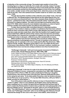**of attention of the community at large. The seated male manikin in front of the standing figure is a figure of authority. He is made with carefully, indeed "lovingly," carved features that include the rendering of veins on his hands and feet. His gaze seems momentarily averted from the standing subject in front of him; he's looking at an earlier, smaller version of the same figure form, which lies prone on the child's table by his side. This is the earliest known manikin made for an artist's use, dating from c. 1630.** 

**Though almost all the manikins in this collection were artists' tools, a few had a different role. The** *Gliederpuppen* **(noted above) are the oldest figures here, but were not made as professional tools. Two other examples likely doubled as Santos figures—painted forms that, with articulated joints like artists' manikins, could be posed in a religious tableau. The static écorché figure by Austrian artist Franz Nissl (1731–1804), which shows the most detailed musculature, is a kind of hybrid between manikin and medical model, but without articulated limbs.**

**To date, there has been little committed interest in collecting manikins. Except for a few models in dubious condition in institutions that have been noticed mainly for their connection with a field of study, little attention has been paid to how they were made and who made them, other than the handful of art-supply houses that provided them. With the advent of the camera, they have become secondary in the making of art. Peered at as curiosities of a bygone era, they can be uncanny, freakish and, when in disrepair, a little bit scary, like cracked dolls in movies.**

**While manikins have become obsolete relics as tools for artists, they have figured sometimes in photography and art. The pair of manikins in the vitrine on the railway cart, for example, is the very model used by Man Ray (American, 1890– 1976) for his** *Mr. and Mrs. Woodman* **series (1947); in art, one might cite the work of Germany's Hans Bellmer (1902–1975). For the most part, however, manikins as individual items have now become antique artefacts more than functional tools.** 

#### **"Golliwogg's Cakewalk," sixth and most popular movement of** *Children's Corner* **suite, Claude Debussy (French, 1862–1918), 1908**

 Audio: Digital recording of 1912 Welte-Mignon piano rolls for which Debussy played his own piece. In *From her wooden sleep…*, the recording plays on a continuous loop, with 10-second breaks between the composer's performances Recording: TACET Musikproduktion, Stuttgart, Germany Producer: Andreas Spreer Welte-Mignon reproduction system technician: Hans-W. Schmitz

Steinway piano technician: Paul Stöckle

 TACET audio release: *The Welte-Mignon Mystery*, Vol. XII, Debussy and Ravel, cat. 0166-0 CD, 2009

**"Golliwogg's Cakewalk" is the last of a suite of six pieces that make up Claude Debussy's** *Children's Corner***, composed for solo piano from 1906–1908. Published by Durand et Fils in Paris in 1908, the suite is dedicated to Debussy's daughter, Claude-Emma, who was three years old at the time. Debussy dedicated the piece to her using her pet name: "A ma chère petite Chouchou, avec les tendres excuses de son Père pour ce qui va suivre." ("To my dear little Chouchou, with your father's tender excuses for what follows.")**

**Four of the pieces make specific reference to toys in Claude-Emma's nursery: "Jimbo's Lullaby" refers to a toy elephant, the English name used by Debussy likely a spelling error for Jumbo, the giant African elephant that had been kept at Paris's Jardin des Plantes before it went to the London Zoo and subsequently to the Barnum & Bailey Circus; "Serenade for the Doll" refers to one of Claude-Emma's dolls; "The Little Shepherd" refers to a cardboard figure of a young shepherd with a flute; and "Golliwogg's Cakewalk" refers to her Golliwogg doll. Debussy himself sketched the design for the cover of the music's first edition, which shows an**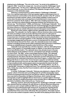**elephant and a Golliwogg. "The red on the cover," he wrote to his publisher on August 6, 1908, "must be an orange-red—try and surround the 'Golliwogg's' head with a golden halo—for the cover, a light grey paper scattered with snow." ("The Snow Is Dancing" is one of the six pieces.) The elephant, though not the Golliwogg, reappears on the dedication page.** 

**Debussy's musical humour is quite evident in "Golliwogg's Cakewalk." First, it is a spirited exploration of the syncopated ragtime musical genre born in**  African American communities in the American South, but later in the 19<sup>th</sup> century **prominent in broader popular culture. It was widely available in sheet music at a time when the piano was a principal form of entertainment in many homes. American composer Scott Joplin (c. 1867–1917) was a leading exponent of the genre, and there are indeed striking similarities between the introduction to his famous rag, "The Entertainer" (1902), and Debussy's "Golliwogg's Cakewalk." As a musical innovator looking to develop his own musical language (one that escaped the heavy influence of German Romanticism and especially Richard Wagner), Debussy was open to outside influences and non-European musical forms.** 

**By the turn of the century, ragtime and the cakewalk dance were closely associated. The cakewalk, too, had its origins in African American slave communities, the name according to some accounts referring to the prize of a cake given to winners of a dancing contest. Ironically, the dance's origins in slave society appears to have been born of mimicry of the minuets and marches danced by slaveholders at their own dances and get-togethers. In the cakewalk, the steps and gestures were increasingly exaggerated and became a source of entertainment for slave owners when their slaves danced it for them. Later, the cakewalk became more widely popular in travelling minstrel shows (often employing white performers in blackface) and was an established part of popular culture by the turn of the century.** 

**Cakewalk music typically has a 2/4 time signature, with two alternating heavy beats. In this respect, it's essentially similar to ragtime, so the dance and musical forms had affinities built in. The cakewalk dance was already known in Europe before Debussy wrote** *Children's Corner***, and indeed it was already something of a fad in Paris. "By 1908," writes musicologist Davinia Caddy, "the cakewalk had enjoyed a successful stage career. Renowned for its high-stepping, backarching postures, the dance was the star attraction of music hall and circus shows, performed by the celebrated entertainers Henri [sic] Fragson, La Belle Otero, and Marguerite Duval, to name a few. It even became a popular recreational activity; music halls sponsored concours de cake walk in which amateur couples competed in improvisational skill, and bourgeois salons incorporated the dance into their evening entertainment." ("Parisian Cake Walks,"** *19th-Century Music***, vol. 30, no. 3, Spring 2007, University of California Press.) The cakewalk was so well known in Paris, Caddy also notes, that the French tended to refer to all ragtime compositions as "cakewalks."**

**In writing "Golliwogg's Cakewalk," Debussy was playing to a degree off the popular culture of his time and a prevailing taste for primitive (especially negro) art that encompassed both American and African cultures. At the 1900 Exposition, there was both an Exposition de Nègres d'Amérique, which mainly through photography sought to highlight African Americans in a positive light in American society, and also an exhibit purporting to show primitive life in a Madagascar village (the kind of exhibition often referred to as a "human zoo").** 

**Debussy, however, famously introduced into "Golliwogg's Cakewalk" another alien element that has nothing to do with African or African American influences. The piece is cast in simple traditional ABA form, and in the B section, starting at measure 61 and continuing through measure 81, he quotes the opening phrase of Wagner's** *Tristan und Isolde***, the so-called Love/Death theme. The phrase is repeated three times and comes with banjo-like syncopations. Here high musical art is set in the context of popular culture, two alien forms playing off each other to**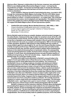**hilarious effect. Debussy's relationship to the German composer was ambivalent. While he was initially greatly influenced by Wagner's music—not least by the chromaticism of Tristan—he became increasingly eager to escape the influence of Wagner and the Wagnerism that had been as much of a craze in French musical circles as elsewhere.** 

**In this exhibition, Debussy himself is heard playing the piece, recorded in 1912 through the contemporary Welte-Mignon technology. The firm of M. Welte, based in Freiburg, Germany, had developed a mechanism that could accurately capture pieces played on a piano—in tempi and dynamics—on a paper tape. This could then be processed into a piano role for playback and reproduction. The digital recording heard in this exhibit was made by Stuttgart-based TACET Musikproduktion using the original 1912 Welte-Mignon piano roll and reproduction system.**

**1.** *Untitled* **[Girl doll reading], Morton Bartlett (American, 1909–1992), c. 1950** Unique unpublished vintage gelatin silver print, in wooden frame (Unique original negative and copyright: Collection of Ydessa Hendeles) Frame: 33.7 (h) x 28.6 x 2.2 cm Mat window: 11.4 (h) x 8.6 cm

**Morton Bartlett made his living as a graphic designer and print-project manager in his native Boston. Orphaned at the age of eight, he remained a loner all his life, with no living family and few friends. Over the quarter century since his death, however, he has won a reputation as an idiosyncratic outsider in the art world, his status the result of interest in his work as a sculptor and photographer. With no formal training in either discipline, Bartlett in 1936 started to make detailed half-size models of young children aged from about eight to 16, over the next 30 years literally creating a family of 12 girls and three boys. Working from anatomy texts and other books, he worked first with clay, and then cast his models in plaster before finishing their features in fine detail and dressing them in handmade clothes. He subsequently posed and photographed his models, his final archive of images numbering in the hundreds. In most cases, the photographed poses recreate mundane aspects of childhood and growing up.** *From her wooden sleep…* **begins with an unpublished Bartlett image of a young girl reading a book.**

**Precisely what urges found expression in Bartlett's unusual hobby is the subject of some speculation since critical discourse on his creations is entirely posthumous and he rarely talked about his work publicly. The consensus is that Bartlett's focus on making sculptures of preteen and adolescent children was largely innocent, born of his own difficult childhood circumstances and a subsequent lifelong yearning to create or be part of his own family. But there is also an erotic undercurrent in his idealized children, with the anatomical detail of the girl models especially detailed and finely rendered. (Though less detailed in execution, it has been noted that the three boy models bear features that are similar to Bartlett's own.) But even if Bartlett's choice of subject matter might strike some as less than innocent, there's no evidence that his interest in children in any way extended beyond his hobby. It appears that he stopped adding to his family after he was forced to move from a long time residence in Boston. He carefully stored his creations in custom-made boxes and wrapped these in newspaper. The full extent of Bartlett's work—each figure took a year or more to finish—only became public with the discovery of these boxes and the related photographs after his death.**

**Bartlett's sculptures and the extensive collection of family-album photographs documenting them appear to have been made solely for his own enjoyment. Since his death, however, he has increasingly been viewed as an important contemporary maker of "outsider art," the term denoting his self-tutored development outside any formal academic or institutional art context rather than any social or psychological marginalization. His art was privately made for palliative purposes, not for the public.**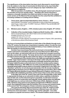**The significance of the description has been much discussed in recent times, from its relation to the idea of unschooled** *Art Brut* **laid out by Jean Dubuffet in the 1940s to its delineation as an art category by major institutions and contemporary art galleries.** 

**With its invocation of a bedtime story, this photograph seemed apt to launch the narrative of** *From her wooden sleep***…. Hendeles also chose it because it conjures a cinematic transition from black and white to colour (as in the original movie version of** *The Wizard of Oz***) and signals from the outset that this exhibition is a knowing conflation of curating and art-making.**

- **2. Three-panel, wall-mounted haberdashery mirror, French, c. 1870** Hand-painted "Chinoiserie" scenic landscape on back of ebonized wood panel; steel hinges; maker's label: "M. BRET, Fabricant, PARIS 57 Rue de MAUBEUGE" 142 (h) x 198.1 x 10.2 cm
- **2.1. Miniature piano, English, c. 1870; miniature piano stool, English, 19th century**
- **3. Collection of five mountain banjos, Virginia and North Carolina, USA, c. 1880–1920** Hand-carved hardwood, with vellum head covers and steel hardware Smallest: 83.8 (h) x 27.9 x 5.1 cm Largest: 92.7 (h) x 27.3 x 5.7 cm Provenance: Private collection of a scholar and curator in Virginia, USA, specializing in the arts and culture of the American South

**The focus of musical fads and fashions on both sides of the Atlantic through much of the 19th century, the banjo has a long history in popular culture. It is also the most prominent musical instrument in the turbulent history of race relations during and after the heyday of colonial slaving society.**

**Scholars have traced banjo-like instruments back to Ancient Egypt, but the modern instrument's immediate ancestors are more likely found in West Africa, such as the xalam, an instrument with one to five strings and a wooden sound box typically covered with cowhide. The banjo derives from such primitive instruments brought to America through the slave trade from Africa or through the Caribbean.** 

**The development of the minstrel show in the 1840s and especially the popularity of white "negro impersonators" were key to the banjo's wider entry into society. Its popularization across racial and social barriers eventually reached the point where the banjo rivalled the piano as the instrument of choice for amateur parlour players. Joel Walker Sweeney (c. 1810–1860) was one of the most influential performers, after reputedly being taught to play by slaves on his family's Virginia farm in the 1820s. As a "blackface" performer, he not only toured extensively in the US, but also travelled to England with an American circus in 1843 and enjoyed huge success there. Also in 1843, the Virginia Minstrels blackface troupe followed Sweeney to England, and these acts are credited with establishing minstrelsy and the banjo in that country at the same time.** 

In the latter part of the 19<sup>th</sup> century, there was in the US especially a major effort **to appropriate the banjo as an instrument of white culture, explicitly an attempt to deny its folk roots. As the instrument grew in popularity, it underwent numerous changes in terms of construction and materials, tuning, playing styles and attitudes to its legitimacy as a serious instrument. White banjo artists, displaying virtuosic skills, started to enjoy great success playing arrangements of Western classical music, thus helping the banjo make the transition from circuses and minstrel shows to the concert hall. The emergence of banjo orchestras was part of this process.** 

The craze for the banjo died out around the turn of the 19<sup>th</sup> century in both **the US and England just as the African American-inflected music with which it had become most associated—including rags and the cakewalk—won wider acceptance in popular and serious culture. The minstrel tradition would continue**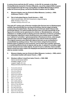in various forms well into the 20<sup>th</sup> century—in the US, for example, in the New **Christy Minstrels (named for Christy's Minstrels, one of the original 1840s troupes) and in England through the long-running Black and White Minstrel Show (which, unlike the American group, carried the blackface tradition into the 1980s).**

- **4. Museum display case (ex-Victoria & Albert Museum, London), c. 1850; birdhouse, French, c. 1850**
- **4.1 Pair of articulated figures, South German, c. 1520** Hand-carved linden, with birch dowel pins; catgut stringing Male: 43.8 (h) x 17.8 x 7 cm Female: 43.8 (h) x 18.4 x 6.7 cm

**This early 16th-century pair of German manikins (the German term is** *Gliederpuppe***) exhibits characteristically fine carving and finishing. Internal catgut stringing connects the articulated limbs. Given the size and intricate detail of these male and female figures, it is quite possible that they were not made specifically as lay figures for an artist, but as specimens for a** *Kunst-* **or** *Wunderkammer***, set up by institutions or wealthy people to display personal collections of diverse curiosities. Such disparate collections, which would become more widely known in English as a "cabinet of curiosities," gained popularity in Renaissance times, when people started to take a keener intellectual interest in the natural world around them. The original museums were filled with objects that were as yet unclassified or unclassifiable by existing science. There were fewer categorical boundaries between types of objects in such museums, and so there was a greater openness to considering different kinds of objects side by side. A cabinet of curiosities might include natural and man-made objects. As part of such a collection, these manikin figures would have been made to be displayed and admired as artworks rather than used as wooden models.**

- **5. Museum display case (ex-Victoria & Albert Museum, London), c. 1850; artist's articulated manikin with stand, French, c. 1880**
- **5.1 Nineteen milliner's head form lasts, French, c. 1830–1880**

Hand-carved wood, leather Smallest: height, 11.4 cm Largest: height, 24.1 cm Measurements of all 19 (h x w x d):

- 1:  $11.4 \times 2.5 \times 2.5$  cm
- 2:  $12.1 \times 2.5 \times 2.5$  cm
- 3: 14 x 4.4 x 3.8 cm
- 4: 14 x 6.4 x 6.4 cm
- 5: 16.5 x 5.4 x 4.8 cm
- 6: 15.9 x 5.7 x 6.4 cm
- 7: 18.1 x 7 x 5.4 cm
- 8: 19.7 x 7.3 x 7 cm
- 9: 24.1 x 9.8 x 9.8 cm
- 10: 18.4 x 13 x 10.5 cm
- 11: 22.2 x 17.8 x 15.9 cm
- 12: 21 x 7.6 x 6.4 cm
- 13: 21 x 10.2 x 8.3 cm
- 14: 22.2 x 10.2 x 8.9 cm
- 15: 19.1 x 17.1 x 15.2 cm
- 16: 22.9 x 17.8 x 15.2 cm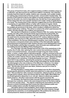17: 22.9 x 16.5 x 14 cm

18: 24.1 x 17.8 x 15.2 cm

19: 20.3 x 16.5 x 13.3 cm

**This group of head form lasts, all in original working condition and likely unique as a collection, was discovered in an old French milliner's workshop. The collection includes head form lasts for adults, children and, unusually, even smaller models for making wigs and bonnets to fit early wooden- and porcelain-headed dolls. The function of the head form last for the milliner is loosely analogous to that of the lay figure for the artist. As a tool to help define size, the last has a more generalized human shape than the more specific hat block and a wider variety of applications as a result. The varying sizes in this collection suggest they are from the boutique or workshop of a specialist milliner or hatter with a coterie of regular clients.** 

**When Hendeles encountered this collection of hat lasts, she was struck by the multiple pin punctures in the lasts, which recalled a childhood in which her mother made all her clothing. This vitrine is rooted in the artist's past because her mother, Dorothy Zweigel, was a milliner and seamstress.** 

**She was born in Zawiercie in southern Poland in 1916. Her mother died when Dorothy was still a child, leaving the family impoverished by medical bills. Her rabbi father, Joel Menachem Zweigel, was left to raise her and her five siblings.**  He could trace his ancestry back to the eminent 16<sup>th</sup>-century rabbinical scholar, **Joel Sirkis, who was born in 1561, about the same time that the oldest objects in this installation, the German** *Gliederpuppen* **manikins, were made. Her father also became a renowned scholar and a member of the internationally regarded governing board of Chachmei Lublin Yeshiva, Europe's most distinguished centre for Torah studies until the Nazi occupation, when its books were destroyed and the building became the Military Police Headquarters.**

**As a teenager, Dorothy Zweigel learned the craft of the seamstress in the nearby city of Lodz, later opening her own custom hat workshop in Zawiercie. It was a successful business—successful enough to buy her music-loving father, a cantor, a large cabinet radio/phonograph—until her eventual arrest and deportation to Bergen-Belsen and then Auschwitz. When Ydessa Hendeles was a child, her mother told her that her older brother Karl's child, Szlamus Zweigel, often played in her workshop. A family photograph survives— Hendeles's uncle hid it in his clothing—showing the young boy in a Bavarian-style yellowand-green outfit that her mother made to help camouflage his Jewish identity. The photograph is the only evidence of the little boy's existence. It is dated "Warthenau [the German name for Zawiercie after the occupation] May 31, 1942." Shortly after the picture was taken, Szlamus was put on a train to Auschwitz and murdered.**

**Dorothy Hendeles's sewing skills in part helped save her life in Auschwitz. Female guards admired her artistic talent and asked her to make special items for them. This provided her with a measure of protection, albeit precarious, as well as enough food to subsist, which she shared with her sister, Balla. When Balla was too ill with typhoid to attend the 4 a.m. roll call—failure to attend was usually a death sentence—Dorothy's intercession with the guards saved her life.**

**For Hendeles, the head form lasts resonate with meaningful associations that span four centuries, which is the same temporal frame for the items making up** *From her wooden sleep....* **The objects underlying the associations sit in the vitrines in a kind of dreamscape that crosses the chasm between public and private realities before and after the National Socialist era.**

**Like all the vitrines in this installation, these antique showcases and the objects inside evoke personal memories of her past. Her work, however, though inspired by her memories, is not autobiographical. She positions the vitrines in a shared present for viewers to summon their own memories.**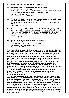### **6.** *Marburg Madonna***, Ydessa Hendeles, 2007–2008**

- **6.1 Artist's articulated equestrian manikins, French, c. 1890** Hand-carved wood, with steel joints Both manikins impressed on back: "MAQUETTE FRANÇAISE, BREVETÉE S. G. D. G." and "PARIS B DEPOSÉE, SUR ARMATURE ARTICULÉE" Male manikin: 50.8 (h) x 12.7 x 7 cm Female manikin: 47.6 (h) x 12.7 x 7 cm
- **6.2 Travelling salesman's miniature model of an obstetrician's examination table,**  probably Argentinian, early to mid-20<sup>th</sup> century Fully articulated steel and brass construction; impressed: "N. Strikman, Chile 967, BS Aires"

26.7 (h) x 61 x 30.5 cm

**6.3 Medical lamp, Type LRG, No. 1772, designed by André Walter, Paris, c. 1930** Aluminium lamp hood and steel base; half-mirror incandescent lamp bulb; maker's label on base: "ÉTABLISSEMENTS ANDRÉ WALTER, SOCIÉTÉ ANONYME AU CAPITAL DE 600,000 FRS, UNIS-FRANCE 128, 37 Boulevard Saint-Michel – PARIS"

129.5 (h) x 104 x 54.6 cm

# **6.4 Custom-made disassemblable display vitrine, 2010**

 Mahogany, linen, double curved glass showcase with two curved-glass end doors (keyed) for access, brass fittings, electrical socket Fabricated by Michael Buchanan, Toronto 190.5 (h) x 198.1 x 121.9 cm

**These four objects were specifically created to serve particular functions, but are here brought together in a vitrine Hendeles designed to make a** *mise-en-scène* **that is removed from their individual origins. The wooden male and female manikins were made for use with wooden articulated horses and were used by artists to animate and then capture a rider's posture and position. The obstetrician's examination table is fully functional, an exact miniature of the real thing used by travelling salesmen. It was probably made by a medical-supply company, since the name and address on the label are precise, though its exact significance is lost. The source of the medical lamp is clear. Lighting designer and engineer André Walter was an innovator in lighting for the medical sector, and his Parisbased company was a leader in the development of systems and units for operating theatres and other specialized medical contexts.**

**In this composition, the female wooden manikin lies on the adjustable model table, posed in a way that projects the head support as a shining silver halo. The reflections in the curved glass of the vitrine augment this sense of the ecclesiastical and ethereal.**

**When she was born in Marburg in 1948, daughter and only child of Jacob and Dorothy Hendeles, the city was already a focus for rebirth and regeneration after the catastrophe of National Socialism. Emerging relatively unscathed from the war, in part because it was a known hospital city, Marburg quickly became an important administrative centre in the American Zone of Occupation. It was also one of a handful of cities designated as collecting points for Nazi-looted art and artefacts. Its famous university was among the first institutions designated to restore the ruined country's system of higher education. Indeed, the University of Marburg, especially for those who wanted to pick up their lives by continuing their education, was yet another attraction for Hendeles's parents and their surviving family and friends.**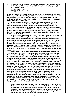**7.** *The Adventures of Two Dutch Dolls and a "Golliwogg,"* **Bertha Upton (1849– 1912, writer) and Florence K. Upton (1873–1922, illustrator), Longmans, Green & Co., London, 1895**

Four first edition issues 22.2 (h) x 28.6 x 1.9 cm each

**Florence K. Upton was born in Flushing, New York, to English parents. Her father had immigrated to New York City in 1868, where he went to work for the American Exchange Bank, and her mother followed in 1870. Florence was the second of four children (including two sisters and a brother), and by all accounts she grew up in a happy, arts-loving household.** 

**When she was 15, Florence joined her father to take free art lessons offered on evenings by New York's National Academy of Design. When she was 16, she had already started to earn some income selling drawings and illustrations to publications, an activity that tragically became a necessity when her father died of a stroke in 1889, leaving the family without its major source of income. The family in fact found its feet quite quickly, with Florence's mother, Bertha, giving voice lessons, and the two oldest girls quitting school to work, Florence as an illustrator.** 

**In 1893, the family had sufficient means to visit Bertha's family in the London suburb of Hampstead. Now 20, Florence had been successful as a commercial illustrator in New York and started to find such work in London. Her goal was to become a painter, though she recognized that she would need further training, preferably in continental Europe. As a way of supplementing her income to finance her goals, she started to think about producing children's books. She decided to stay on in London when her family returned to New York in September 1894, and then also conceived the idea for the series of books that were, in their time, as much anticipated as J. K. Rowling's Harry Potter stories would become a century later.**

**Upton started with an idea for a story based on her own collection of five "penny-wooden" peg dolls. Produced mainly in Germany, these were popularly known as "Dutch Dolls" (a common Anglicization of "Deutsch" or "German," but also perhaps because some were made in the Netherlands). Upton's story about toy dolls that come alive was relatively new at the time, though the theme was known in England as early as 1845 from an English translation of a reworking of E. T. A. Hoffmann's** *Nutcracker***. One of the most famous living-toy creations,**  *Pinocchio***, had come to life in Italy in 1881, though an English translation was not available for another decade. The plan was for Kate Upton to illustrate a new story written in verse by her mother, Bertha. Somewhere along the way, the Golliwogg, a soft rag doll of a black boy dressed in the American minstrel tradition, was taken up and given a central role in the story—and the leading role in all the sequels to what on its initial printing was titled** *The Adventures of Two Dutch Dolls***.**

**In later years, Upton gave a matter-of-fact explanation of the genesis of the Golliwogg character. The inspiration, it seems, was a rag doll the Upton children owned, though Florence isn't clear about where it came from. In "Birth of the Golliwogg" (***John O'London's Weekly***, December 22, 1950), author Hubert Peet quotes Upton from notes made by his father when he was head of advertising for Longmans, Green & Co., Upton's English publisher:**

 *He fell into our hands when we were children. In those days he was nameless. Be it said to our disgrace he submitted to some pretty bad treatment. Seated upon a flowerpot in the garden, his kindly face was a target for rubber balls and other missiles, the game being to knock him over backwards. It pains me to think of those little rag legs flying ignominiously over his head, yet that was a long time ago, and before he had become a personality.*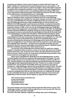**Longmans was taking a chance when it signed a contract with the 21-year-old Upton. Initially, the company had not been interested, but one of its editors, J. W. Allen, took Upton's story home to read to his children. Their enthusiastic response is credited with changing the publisher's mind. When the title was released before Christmas, it was a huge success, necessitating additional printings. With these, and recognizing the instant popularity of the Golliwogg character, the title changed to** *The Adventures of Two Dutch Dolls and a "Golliwogg."*

**So successful was this first volume that the company commissioned the Uptons to develop a series, and the pre-Christmas launch of a new Golliwogg adventure would become a tradition for more than a decade. In all, there were 13 titles, one a year until 1909 (with the exception of 1908). By the time the series came to an end, the Golliwogg had become a well-established figure in the toy industry, too. While the first Golliwogg dolls would have been handmade, commercial companies**  took them up in the early 20<sup>th</sup> century, with the Germany-based Steiff starting mass **production of them in 1908. In fact, as a toy, the Golliwogg predates the Teddy Bear, which made its first appearance commercially as a soft toy in late 1905. The Golliwogg became a favourite childhood companion of boys as much as of girls, as is evident in the poignant memories summoned by the late English art historian Sir Kenneth Clark in his autobiography,** *Another Part of the Wood: A Self Portrait* **(John Murray, 1974):**

**Like Charlemagne, I thought I would never succeed in mastering this difficult art [reading] but in the end I succeeded, and what joys were available to me. The chief of these was a series of illustrated books, by Florence and Bertha Upton which recount and illustrate the adventures of a Golliwogg and five Dutch dolls. I do not think it an exaggeration to say that they influenced my character more fundamentally than anything I have read since ... He was for me an example of chivalry, far more persuasive than the unconvincing Knights of the Arthurian legend. I identified myself with him completely, and have never quite ceased to do so.** 

**The success of the Golliwogg series allowed Upton to realize her original ambition of studying further to pursue a career as an artist. She went on to study in Holland and France, and, at the time of her death, was described by** *American Art News* **as having "lived in London for many years and painted many portraits of wellknown American and English men and women."** 

**Upton never copyrighted her illustrations for the Golliwogg books, so never received royalties from the toy companies that appropriated her imagery. The only other notable income for her invention was an act of charity to aid the war effort. In 1917, she gave Christie's her dolls (including the rag doll minstrel figure that inspired Golliwogg) and 350 original illustrations from the 11 books for an auction to benefit the Red Cross. The lot sold for about £500, which was used to buy and equip an ambulance—called Golliwogg—that served on the Western Front in France. The dolls are now in the collection of the Victoria and Albert Museum of Childhood in London.** 

**There's no reason to believe that Upton's invention of the Golliwogg character is based on anything other than her own fond memories of a childhood toy, though he was undeniably introduced as a distinctly different character and one who was frightening on first encounter. He first appears on page 26 of the original book:** 

*Then all look round, as well they may to see a horrid sight! The blackest gnome Stands there alone, They scatter in their fright.*

**The mood changes over the next two stanzas when the dolls ask for a name ("The 'Golliwogg' my dear"), and then all three walk off arm-in-arm as each doll "tries her chance/And charms him with 'small talk'."** 

**The shift in the dolls' attitude is significant. Initially, they react to Golliwogg's**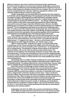**difference based on skin colour, but then look beyond surface appearances. From here (and through the rest of the book series) the Golliwogg is a benevolent figure—cheeky, adventurous and extricating himself and his companions from all kinds of mildly dangerous situations (many of his own making). One can understand how the somewhat anarchic character might have appealed to children in the relatively straitlaced times in which he was created.** 

**Another sympathetic but somewhat different perspective has been explored by Australian scholar Olga Buttiegieg in** *Recognizing the spirituality of the Golliwogg: An analysis of Upton's Golliwogg picture books* **(PhD thesis, Australian Catholic University, April 2014). She argues that the character's "original identity has been misrepresented by subsequent childhood authors ... The change reflects the different social conditions under which many people appropriated the Upton Golliwogg and used his name and image in ways that reflected racism. However, the Upton Golliwogg was a character who brought a new kind of spiritual presence to childhood literature." Far from alienating young readers by his otherness, Golliwogg invited them "to embrace all of life's experiences by drawing them into various adventures and creating characters with whom children could identify, thereby providing the potential to nurture their spirituality. His key spiritual qualities of kind-heartedness and imagination were legitimate ways of knowing and being in the world."**

**In the original book, Golliwogg is not, from the dolls' perspective, the only exotic character they encounter. One of the set pieces in the first story is a ball, where the more extroverted Sarah Jane dances with "a jovial African with large admiring eyes," a "magnate from Japan ... dances a curious Easter dance," Golliwogg dances with Peggy Deutschland, and "Sambo sings a song."** 

**Upton's rendering of the "magnate from Japan" is not particularly Asian in demeanour, but he's shown dancing to the delight of the Caucasian girl, who watches with her arm over the shoulder of the "jovial African," an unnamed black girl in a striped dress. The illustration of Sambo draws entirely on the American minstrel tradition, still current when the Uptons produced their books. The character is seen playing a six-string banjo, dressed in a top hat, high-collar, tails and striped pants. The fuzzy hair protruding from the hat and the exaggerated lips are shown in white to stand out against the black skin in one of a group of sketches rendered in black and white to contrast with the more finely detailed main suite of coloured illustrations.** 

**Interestingly, Upton's rendition of Sambo predates by four years another famous children's book seen elsewhere in this exhibition, Helen Bannerman's 1899** *The Story of Little Black Sambo***. The setting of Bannerman's story is South Asian, however, while Upton's explicitly derives from the African American history of her native America.** 

**Even if the creation of Golliwogg, as Upton insisted, had no racist or discriminatory intent, her beloved character was soon burdened with negative historical baggage. "The comic incongruity of his gentlemanly demeanour, combined with his minstrel-show features, could only, in a basically racist society, lead to a degeneration of both his situation and his name," writes Lois Rostow Kuznets in** *When Toys Come Alive: Narratives of Animation, Metamorphosis and Development* **(Yale, 1994). Certainly, the minstrel tradition in popular entertainment, by the late 19th century well established in America and Europe, played off stereotypes of black people (males especially) and tended to bolster assumptions of their inferiority in white, Eurocentric society. In "Golliwogs and Teddy Bears: Embodied Racism in Children's Popular Culture" (***The Journal of Popular Culture***, vol. 46, no. 3, June 2013), Donna Varga and Rhoda Zuk describe the stereotyping embedded in the minstrel tradition:**

 *Originating in the US in the 1820s and a common entertainment in Britain by the 1850s, the white performer used burnt cork to color his face; painted a broad band of white or red around his mouth; put on elongated shoes to*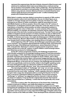*represent the supposed ape-like feet of blacks; dressed in fitted trousers and waistcoat to emphasize black male sexual debauchery; a tailcoat and top hat as mockery of incomplete civility; and/or a fright wig—the long black hair would stand on end when a cord was pulled. The minstrel spoke in a spurious dialect; sang, danced, clowned. Black performers in minstrel theatres were made to apply the burnt cork and paint as well—in effect imitating white people who imitated black people!*

**While Upton's creation may bear distinct connections to aspects of 19th-century American popular culture and racial attitudes, the use of a black figure as an outsider is of longer lineage and more global. In Europe, the black man, often portrayed as an inferior to white counterparts, might be associated as much**  with Middle Eastern as African peoples. Hence the origin in the 16<sup>th</sup> century of **"blackamoor" to designate someone with a dark skin. In the arts, there is a very long history of characters whose position as (often malevolent) outsiders is signalled through the colour of their skin—in some variants of the** *commedia dell'arte* **tradition, for example, the Harlequin character had his origins in a blackfaced servant of the devil who rounded up damned souls. The later Punch and Judy tradition in England saw the inclusion of a black character as early as 1825 and its development into a minstrel-like figure named Jim Crow, after the popular song of the 1850s. In literature and music, one might cite Shakespeare's Othello and Aaron in** *Titus Andronicus***, Mozart's Monostatos in** *Die Zauberflöte***, and (a comparatively rarer female) Verdi's fortune-telling, cave-dwelling Ulrica in** *Un ballo in maschera.*

At the beginning of the 20<sup>th</sup> century, the Golliwogg's popularity grew without **much comment. Toy companies appropriated the character freely, and it famously became the logo of the British jam manufacturer, James Robertson & Sons, in 1910. A decade later, Robertson's started a hugely popular programme, which**  lasted until the turn of the 20<sup>th</sup> century, in which children could exchange tokens **from Robertson products for Golliwogg pins.**

**As the 20th century progressed, however, the Golliwogg morphed from child-friendly companion to increasingly insulting symbol of racial discrimination. Not surprisingly, in 1934, Adolf Hitler banned Golliwogg books and toys because the black characters were deemed unsuitable for Aryan children. Also in Nazi Germany, a Sambo-like minstrel figure, with grossly exaggerated lips and a Star of David on the lapel of his tailcoat, was used as an icon to represent** *Entartete Musik* **(Degenerate Music). In the post-war era, however, the Golliwogg was perceived in much more specifically racist terms further afield. In the English-speaking world, the name itself gained usage as a dismissive epithet for black people, and its association with the equally offensive "wog" only compounded the situation.** 

**The etymological origins of "Golliwogg" and "wog" are not clear, and they are likely connected only by circumstantial usage. On some accounts, "Golliwogg" is derived from the much older "polliwog," which originally referred to tadpoles, though in later usage also designated sailors crossing the Equator for the first time or served as a dismissive epithet for politicians. One account connects "Golliwogg" to "polliwog" by suggesting that the character's tailcoat reflects the shape of a tadpole. It may be that the original doll character that inspired Upton was purchased as a "polliwog," a name that did not generally carry racial connotations.** 

**Less than a century after** *The Adventures of Two Dutch Girls***, Golliwogg, initially so beloved of children, was totally discredited as a negative and unacceptable stereotype. Racial tensions, immigration patterns and civil rights movements all contributed to the eventual elimination of Golliwogg images. By the**  late 20<sup>th</sup> century, the Upton books were already largely forgotten, and by that time **opposition was focused more on the malevolent Golliwoggs of English author Enid Blyton's stories of the 1940s and 1950s. These developed three characters directly**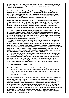**appropriated from Upton in Golly, Woggie and Nigger. There was never anything in Upton's books to match Blyton's overtly racist passages, such as this from** *The Three Golliwogs* **(1944):**

*Once the three bold golliwogs, Golly, Woggie, and Nigger, decided to go for a walk to Bumble-Bee Common. Golly wasn't quite ready so Woggie and Nigger said they would start off without him, and Golly would catch them up as soon as he could. So off went Woggie and Nigger, arm-in-arm, singing merrily their favourite song—which, as you may guess, was Ten Little Nigger Boys.*

By the turn of the 20<sup>th</sup> century, the Golliwogg had been largely relegated to the **status of a collectible with a dubious heritage and associations. The Robertson jam company ceased production of its Golliwogg pins in 2001—20 million of them had been sent out by that time—and dropped the Golly brand altogether the following year, ostensibly on the grounds that children no longer knew about the character.**

**Caricatures of dark-skinned figures persist and cause suffering. There is, for example, the debate about Zwarte Piet (Black Peter), a traditional character in the Netherlands. He made his first popular appearance in an 1850 book by Jan Schenkman, but has deeper roots in the folklore of the Low Countries. Zwarte Piet is a servant of Saint Nicholas who distributes candies to children on the evening before his master's December 6 feast day.** 

**Zwarte Piet, in Renaissance costume, is usually depicted as a blackamoor with blackface makeup. Even though Holland has its own history as a colonial power in Africa and Asia, polls suggest that most Dutch people do not associate Zwarte Piet with racism or slavery. But opposition is growing. Though a charge of racial stereotyping raised at the United Nations Educational, Scientific and Cultural Organization (UNESCO) in 2013 was dropped, protests have continued, leading authorities, including the Mayor of Amsterdam, to suggest that some changes to the representation of the character may be made in future.**

**Such situations are in sharp contrast to the presentation here of an antique book depicting a black protagonist. The inclusion of the Upton book recalls the way society saw things at the time of publication. In the context I have provided, the focus is on the behaviour of the character, not his appearance, which is no impediment to his acceptance by the other toys. Upton's presentation is inclusive and Utopian. Whether that is the reality is up to the individual viewer to decide.**

**7.2 Steel worktable, French, c. 1910**

#### **7.3 Pair of Grödner Tal wooden dolls, German, 19th century**

 Hand-carved wood, with wooden peg joints at the shoulders, elbows, hips and knees; painted hair, bonnet, face and neck, one bib, forearms, hands, lower legs and shoes

19.7 (h) x 5.1 x 2.5 cm each

**Dolls have been produced commercially in Europe for more than half a millennium, though the word "doll," a short form for Dorothy, only came into use in the 19th century. While wooden dolls have been produced over the years in many European countries, Germany and German-speaking regions were probably the first commercial centres and have always been dominant producers. As Jill Gorman notes in her essay, "The Heart of the Tree: Early Wooden Dolls to the 1850s" (Part II,** *Doll News***, Fall 2002), Germany had the natural advantage of abundant hardwood and softwood trees in its forests, as well as fast-flowing streams to power lathes. There were strong local traditions of wood carving and woodworking for architectural or ecclesiastical use.**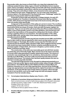**Peg wooden dolls, also known as Dutch Dolls, are a type that originated in the relatively isolated Grödner Valley region of South-Tyrol/Südtirol (a form Austrian region, that is now Italian). Starting as lathe-turned dolls with fixed, immobile limbs, they evolved into jointed constructions, with the arms and legs attached to the torso by pegs. They were sold without clothes, to be dressed in home-sewn garments. As is evident from the name "Peggy Deutsch" for one of the main characters, Florence Upton's** *The Adventures of Two Dutch Dolls and a "Golliwogg"* **relates the adventures of peg wooden dolls from this tradition.**

Production of these dolls was effectively a cottage industry. An early 19<sup>th</sup>**century** *Handbook for Travellers in Southern Germany* **(John Murray and Son, London, 1837) shows how important wood was to the local economy, although it does not mention dolls specifically:**

**A large part of the population of this valley are carvers in wood. The crucifixes planted by the road-side in every corner of Tyrol, the figures of animals of unpainted wood which fill the toy-shops of London, Paris and other European capitals, are made here. They are cut out of the soft wood of the pine (***Pinus cembra zirbelnusskiefer***), a tree of slow growth, found in very lofty situations, and now become rare owing to the improvidence of the peasants in cutting down the forests, without sowing or planting others to succeed them. The total population of the valley exceeds 3000 souls, and the value of the articles they manufacture and export annually amounts to 50,000fl.**

**It is believed that the wooden peg doll was invented around 1800, and Grödner liked to take credit for that (as opposed to other wood carving centres such as Oberammergau or Thuringia). But another source says the first lathe was not introduced into the Grödner Valley until about 1820, which suggests that the earliest dolls would have been handcrafted. Grödner certainly eventually became the principal supplier of Dutch Dolls, also known in England, a prime market, as Plain Bettys, Gretchens and Plain Janes.** 

**The construction of the dolls was reasonably good, but with their wooden pin joints they were inherently fragile. Wear and tear due to the stress and strain of normal child's play guaranteed a healthy replacement market. The volume of production was surprisingly high in its consistency. Doll production continued robustly up to World War I, but never really recovered from the total economic disruption that ensued. The industry then declined rapidly between the wars as interest in wooden peg dolls dwindled.** 

**The peg-doll image became iconic through its widespread popularity as a children's toy, just as later figures would achieve similar status through childhood associations—from Mickey Mouse, Brer Rabbit and Elmo to Super Mario and Pokémon characters in our own video-gaming times. And just as the Golliwogg image was appropriated commercially beyond its original incarnation in a children's storybook, so the peg doll also had a longer history in popular culture through its use in non-toy items, such as the sugar tongs and salt-and-pepper shakers included in** *From her wooden sleep....*

#### **7.3 Curved glass haberdashery display case, French, c. 1910**

- **8. Collection of seventeen fairground distortion mirrors, English, c. 1890–1930** Each curved (concave, convex or both) mercury-glass mirror housed in ebonized wooden box frame; maker's label: "T. & W. IDE, Glasshouse Fields, London" Smallest: 59 (h) x 64 x 10.8 cm Largest: 157 (h) x 65 x 10.8 cm Thickness of mercury-glass mirrors: 0.95 cm
- **9. Primitive Windsor armchair, English, c. 1835; artist's articulated manikin, Italian, c. 1800**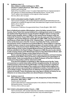**10. Audience rows 1–3: Nine children's settles (catalogue no. 1937), Charles P. Limbert (American, 1854–1924), c. 1905** Quarter sawn fumed oak Eight of the nine settles in rows 1–3 custom-fabricated from an original example in the collection of Ydessa Hendeles by Michael Buchanan, Toronto, 2013 The  $9<sup>th</sup>$  settle in this installation is the original Limbert example 58.4 (h) x 96.5 x 38.1 cm each

#### **10.1 Artist's articulated manikin, English, mid-18th century**

 Hand-carved mahogany, with wooden ball joints reinforced with steel bolts and nuts; dimpled chin; sculpted rib cage and chest; articulated toes; fingers carved in the round 68 (h) x 20.3 x 10.2 cm (Row 1, middle, 2/3) Provenance: Collection of surgeon/artist Henry Tonks (English, 1862–1937)

**Born in Solihull just outside of Birmingham, where his father owned a brass foundry, Henry Tonks first seemed destined for a distinguished career in medicine. He studied at the Royal Sussex County Hospital in Brighton before moving to the Royal London Hospital, where, in 1886, he was named House Surgeon under the eminent Sir Frederick Treves (1853–1923). That was the same year that, at Treves's instigation, the grossly disfigured Joseph Merrick (1862–1890), who had eked out a sad living as a freak under the title of the "Elephant Man," moved into the hospital to live out the final years of his life. It seems most likely that Tonks, mentored in this period by Treves, would have encountered Merrick, whose plight as a rejected outsider became a cause for some leading members of London society. Later in his early career, Tonks became Senior Medical Officer of the Royal Free Hospital and taught anatomy at the London Hospital Medical School. He passed his final exams and was admitted to the Royal College of Surgeons in 1888, the year he also started to take evening classes at the Westminster School of Art with Frederick Brown, later principal of University College London Slade School of Fine Art.** 

**Brown subsequently persuaded Tonks to give up medicine and teach drawing and anatomy at the Slade, where he became a potent influence for generations of British artists. Tonks succeeded Brown as Slade Professor of Fine Art in 1918 and continued in that position until his retirement in 1930.**

**From the first exhibition of paintings in 1891 until the end of his life, Tonks put a premium on careful observation and fine draughtsmanship. He returned to medical practice at the front during World War I, but also produced a significant body of work (in the final stages of the conflict as an official artist) ranging from large-scale canvases documenting the battlefield to studies of wounded men for use in plastic surgery. Though far from an adherent of new directions in early 20th century art himself, Tonks nonetheless was a key figure in British art history for his influence on so many young artists over almost 40 years of teaching.**

#### **10.2 Audience rows 4–6:**

 **Nine children's settles (catalogue no. 215), designed by Gustav Stickley (American, 1858–1942), c. 1903** Quarter sawn fumed oak Custom-fabricated from original examples in the collection of Ydessa Hendeles by Michael Buchanan, Toronto, 2010

76.5 (h) x 104.5 x 35.6 cm each

#### **10.2.1 Artist's articulated manikin, French, c. 1800**

 Hand-carved pine, with wooden ball joints and dowels; incised eyebrows; carved drapery around waist; painted head and face; fully articulated fingers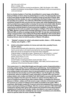146.1 (h) x 44.5 x 20.3 cm (Row 4, middle, 2/2) Provenance: Collection of artist Arnold Machin, OBE, RA (English, 1911–1999), sculptor and designer whose effigies of Queen Elizabeth II were commissioned for coins and stamps

**Born to a family of potters in Trent Vale, Arnold Machin's career began at the Minton factory in Stoke-on-Trent, where he painted figures on china. He subsequently moved to the Crown Derby Porcelain Works and started to study art part-time in Derby. After switching to full-time studies, he won a scholarship to the Royal College of Art, where his specialty was sculpture. The outbreak of World War II hampered his progress somewhat, though his early success won him a place with Josiah Wedgewood & Sons, which provided many opportunities to develop his technical and artistic skills. Besides his work for Wedgewood, Machin pursued his own interests, developing a flair for capturing the essential details for busts and portrait medallions. It was this facility that prepared him for his work as sculptor and designer of effigies of the Queen, starting in the 1960s. Machin's portrait of the sovereign appeared on every coin minted between 1964 and 1985, as well as on postage stamps from 1967. He was also commissioned to design commemorative coins marking the Royal Silver Wedding in 1972 and the Silver Jubilee in 1977. He was an influential teacher at the Royal College of Art and the Royal Academy School, where he held the position of Master of Sculpture.**

- **11. "Skeletal" armature for artist's articulated manikin, Italian, c. 1870; standing display case, English, c. 1875**
- **12. Artist's articulated manikins of a horse and male rider, possibly French, late 19th century**

 Unique extant example with original box, stand and locking key Hand-carved walnut, with steel-screw ball joints; key-lock adjustable steel stand Base also serves as storage box for the horse when collapsed Original retailer's metal tag on base: "Roberson & Co. 99 Long Acre – London" Possibly made by: Pitet Ainé & Fils, 24 Rue du Faubourg, St. Denis, Paris Horse: 33 (h) x 64.8 x 11.4 cm Rider: 38.7 (h) x 12.7 x 6.4 cm Overall height, including box/stand, horse and rider: 75 cm Provenance: C. A. (Nick) Bell-Knight (English, 1918–1994), the first restorer and craftsman of the American Museum in Britain

**The London-born C. A. (Nick) Bell-Knight went through a series of apprenticeships including cabinet making, French polishing and upholstering—that established him as a master craftsman and restorer. He had already established his own business as an antique dealer and restorer when he was persuaded to move with his family to the derelict but structurally sound Freshford Manor near the English city of Bath, in Somerset, where he undertook a major restoration on behalf of the new owners, antique dealers John Judkyn and Dallas Pratt. Bell-Knight's success with this project led to the invitation from the same two dealers to restore Claverton Manor, just north of Freshford and about three miles outside of Bath, to establish the American Museum in Britain. Judkyn and Pratt owned a major collection of Americana and saw the museum as a means of making it more widely accessible to the public. With a small team, Bell-Knight created the 15 period rooms that established the museum, as well as restoring furnishing and fittings. After the museum opened in 1961, Bell-Knight continued to develop other parts of the property and remained active with programs established at Freshford by Pratt after Judkyn was killed in a car crash in France in 1963. Bell-Knight would also establish his own museum of artefacts and collectibles, which he opened under the name of British Nostalgia**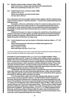- **12.1 Manikin newborn baby, unknown maker, 1860s Hand-carved ivory, unique, fully articulated with metal ball joints With arms outstretched: 9.5 (h) x 9.5 x 1.9 cm**
- **12.2 Celluloid pelvic bone, unknown maker, 1890s 3.2 (h) x 7.6 x 5.1 cm Glass-dome display case with wooden base: 24.1 (h) x 29.2 x 18.4 cm**

**The components of an ivory manikin newborn baby, together with the celluloid pelvis, make up what is called an "obstetric phantom"—a tool for the medical teaching of the birthing process.** 

**Its position, with arms outstretched, is that of a newly born baby, whose arms open up to allow the chest cavity to inhale air. This powerful symbol of life has its counterpart in a dark symbol of death. It is speculated that Christ died largely from the inability to inhale when limbs stretched open by crucifixion incapacitate the diaphragm.** 

**Celluloid is the name of a class of compounds created from nitrocellulose and camphor, plus dyes and other agents, generally regarded as the first thermoplastic. Easily moulded and shaped, celluloid was first made as an ivory replacement. It is highly flammable and therefore no longer used.**

12.3 Comic theatrical nose worn by Jester or Pulcinella character, Italian, c. 17<sup>th</sup>–18<sup>th</sup> **century Hand-carved pearwood, with traces of reddish-pink pigment and a hole in the top flange Nose: 13.5 (h) x 7 x 5 cm Nose with stand: 20.3 (h) x 7.6 x 5.7 cm**

*The nose would be tied around an actor's head with ribbon threaded through the flange hole, which would then be hidden by an upper face or carnival mask*

**Pulcinella is a stock character in the** *commedia dell'arte* **theatre tradition, which**  flourished in Italy in the 16<sup>th</sup> century. The origins of the tradition remain a subject of **debate, with some tracing it back as far as comedic genres of the Roman Empire. In its 16th-century form, it emerged as street or puppet theatre, and while improvisation was a prominent feature, stock characters and stock situations evolved. Three main role types included masters, servants (usually clowns) and lovers. Pulcinella, first making his appearance as such in Naples, apparently represented a put-upon servant suffering the demands and whims of aristocratic masters.**

**Traditionally, Pulcinella appeared with a long beak-like nose and was dressed in white with a black mask. He was characteristically devious, crafty, mean and violent, often angling to gain the upper hand by pretending not to understand what's going on around him or what the other characters are saying.**

**From his early Italian origins, the character subsequently appears in variant forms across numerous popular cultures—as Polichinelle in France, Kasperle in Germany, Petruschka in Russia and, in perhaps the most-enduring puppet form, Mr. Punch in Great Britain. Punch had crossed the English Channel in the latter half of the 17th century. It's thought that a line in Samuel Pepys's diary for May 9, 1662, may be the earliest reference to a Punch and Judy puppet show: "Thence to see an Italian puppet play that is within the rayles there, which is very pretty, the best that ever I saw, and a great resort of gallants." (Accessed online,** *pepysdiary.com***). Italian puppeteer Pietro Gimonde, performing as Signor Bologna (after his native city), introduced the first Pulcinella character in his glove-puppet performances around Covent Garden in the same year, and it's likely that Pepys saw one of these.**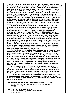**The Punch and Judy puppet tradition became well established in Britain through**  the 18<sup>th</sup> century, though it wasn't until the early 19<sup>th</sup> century that it was documented **in literary and artistic form. In 1827, journalist John Payne Collier, artist George Cruickshank and publisher Edward Prowett visited Giovanni Piccini in London's Drury Lane district. Piccini was a leading "Punchman," and the glove-puppet performance he mounted for his visitors—much interrupted while Cruickshank sketched and Collier took notes—was captured in** *The Tragical Comedy, or Comical Tragedy, of Punch and Judy***, published the following year. This is the first recorded script of a Punch and Judy show in England, though both marionettes and glove puppets were part of English popular culture long before Gimonde's first shows featuring Pulcinella. Collier's role in the first written presentation of one of western culture's great dissembling tricksters is ironic since he later gained notoriety as a literary forger.**

**By Piccini's time, England's Punch and Judy tradition had its own set of characters (such as the constable with his truncheon and Jack Ketch, the hangman) and its own storylines. With his anarchic defiance of authority, uninhibited speech and propensity to deal with any obstacle by violently eliminating it, Punch struck a responsive chord in children and adults alike. His development and popularity in the late 18th and early 19th centuries has been associated with Britain's rapid industrialization, increasingly violent colonial experience and the hardening of socio-economic divisions along class lines. Individual characters came to reflect social dynamics and tensions. The way Punch tricks Ketch into hanging himself, for example, resonated at a time when public hanging or transportation could be the penalty for trivial offences. The country's fractious involvement in the slave trade is reflected in a Punch script in Henry Mayhew's** *London Labour and the London Poor* **(1851), which has vivid scenes with a black character named Jim Crow. Later scripts, reflecting British expansion in Asia, added a Chinaman character.** 

**"As Punch puts an end to wife and child, black servant and beggar, doctor and courtier, constable and hangman, he puts an end to the society that gave rise to the repressions of gender, race, class and law," writes Peter Linebaugh in** *The London Hanged: Crime and Civil Society in the Eighteenth Century* **(Allen Lane, 1991). "This, so to speak, is the revolutionary side to Punch. In exercising his murderous rage against women, children, beggars and black people, Punch recapitulates, in the little motions of the puppeteer, larger, actual divisions within the London working class as a whole, in which rape, infanticide and the suppression of slave rebellion were mass experiences, recognizable and undeniable."**

**Punch survives today, but differently and without any underlying dynamics of social protest. It is now pure slapstick entertainment, with Piccini's Punchman successors—often called Professor and working puppets made for the trade—nonetheless providing one of the few living links to the age-old oral tradition of itinerant players, street theatre and puppet theatre.**

**The theatrical nose is presented in this show both as a way to breath in air and also as a way to block breathing. Additionally, it might serve as a cultural signifier, since nose shape is determined by genetic characteristics linked to each person's family origins.** 

- **12.4 Miniature, apprentice-made cheval mirror, English, c. 1870–1880** Hand-carved wood and iron details in Regency style, with convex mirror 27.9 (h) x 13.3 x 9.5 cm
- **12.5 "Highway" mirror, Belgian, c. 1880** Circular convex mercury-glass mirror in steel frame Diameter: 124.5 cm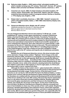- **12.6 Refectory table, English, c. 1620; twelve artists' articulated manikins and**  artist's manikin carrying case, 19<sup>th</sup> century; "Dutch doll", German, 19<sup>th</sup> century; **Shaker child's armchair and Shaker miniature oval box, American, c. 1875**
- **13. Industrial cart, Czech, 1986; 31 artists'miniature articulated manikins, 19th century; twelve "Dutch Dolls" and "Dutch Doll" objects, early 20th century; anatomical demonstration model of a pregnant woman, German or Austrian, c. 1770; display case, English, c. 1910**
- **14. Shaker tailor's worktable, American, c. 1860–1880; "skeletal" armature for artist's articulated manikin, Italian, c. 1850–1880; haberdashery display case, French, c. 1900**
- **14.1 Fairground distortion mirror, British, late 19th century** (Separate example from the set of 17 described above) Mercury-glass mirror in ebonized-wood box frame 68.6 (h) x 68.6 x 10.2 cm

**The set of fairground distortion mirrors was made by T & W Ide Ltd., a wellestablished 19th-century London glass manufacturer, located in Glasshouse Fields in the East End Borough of Tower Hamlets. Founded by Thomas Ide (1832–1896), the company grew to produce a wide array of glass products for commercial and household use (such as glass shades for electrical fittings) as well as more specialized components for medical and scientific equipment. In some contemporary references, Ide is also referred to as a glass bender, a skill necessary for the set of 17 distortion mirrors in this work. The set is believed to have been part of the last original "Hall of Mirrors" travelling fairground show in the United Kingdom; it was also a feature at one time in Brighton's Kings**  Road Arches, built in the 19<sup>th</sup> century and long the site of sideshows and public **amusements.** 

**Besides the set of fairground distortion mirrors, this show includes other mirror elements. A large convex outdoor "Highway" mirror hangs on the wall behind the refectory table, and there is a rectangular concave fairground mirror, not part of the Ide set, on the wall opposite. Both mirrors visually link different parts of** *From her wooden sleep…* **according to their surface geometries. On the refractory table, there is a miniature, full-length doll's house dressing mirror, also called a chevalier mirror, while at the entrance, standing behind the small Beaux Arts children's piano like an altar triptych or church organ pipes, is a three-part, flat-surface tailor's mirror, marked from Paris.** 

**Although the history of the modern mirror—glass backed with a reflective sheet—certainly predates the Renaissance, key discoveries in that period spurred its development and wider usage. Convex mirrors, of the kind seen in such artworks as Jan van Eyck's 1434** *Arnolfini Portrait* **in the National Gallery, London, became more common with the development of glass-blowing techniques, while the Venetians are credited with the commercial development (if not the invention) of flat mirrors starting in the early 16th century. Because they feared catastrophic fires in a city where wood was a primary building material, Venetian authorities had moved its glass manufacturers and their furnaces to the linked Murano islands, just outside the city proper in the lagoon. As the mirror trade became more lucrative, the Murano manufacturers enjoyed an effective monopoly and were in fact forbidden to share any of the secrets of their craft outside. Despite the strictures, Venetian glassmakers were enticed to France, where their expertise fuelled the development and refinement of glass- and mirror-making industries in that country. Mirrors were still luxury goods at this point, and, especially after the refinement of the polished plate glass process in France permitted manufacture**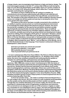**of larger sheets, were increasingly prized features in high-end interior design. The**  most extravagant example is the late 17<sup>th</sup>-century Hall of Mirrors built during the **reign of Louis XIV at his Royal Palace of Versailles. Each of 17 arches contains 21 mirrors, for a total of 327 along the hallway, which reflect the 17 arcade windows opposite overlooking the royal gardens.** 

The history of mirror making into the 19<sup>th</sup> century is complex, as **manufacturers across Europe experimented with different raw materials and processes to find a manufacturing solution that was efficient, economical and safe. The invention of the silver-backed mirror in 1835 (credited to German chemist Justus von Liebig) met all three goals and was key to carrying the mirror from luxury good to the mass market.** 

**The history of the mirror has been crucially connected to the evolution of our ability to examine and document our world and geophysical environment in increasingly fine detail. Beyond the physical sciences, however, the mirror has served as a metaphor for the way we see and define ourselves socially, psychologically and psychically since the earliest times. There are biblical references, as well as numerous non-Christian religious citations. From the 12th– 16th centuries, probably spurred by the growing interest and development of glass and mirror making, there emerged a whole genre of "speculum" literature, named for the Latin word for mirror. With titles such as** *Speculum Humanae Salvationis* **(Mirror of Human Salvation), manuscripts or texts generally surveyed knowledge on a certain subject or laid down broad prescriptive guides to behaviour or duties. In English, titles included the word "Mirror," such as** *Myrrour of the Worlde***, one of the first illustrated books in that language. From Cassius's enticement of Brutus in Shakespeare's** *Julius Caesar***—**

**And since you know you cannot see yourself So well as by reflection, I, your glass, Will modestly discover to yourself That of yourself which you yet know not of.**

**—to more contemporary titles from Oscar Wilde's** *The Picture of Dorian Gray* **and Lewis Carroll's** *Alice Through the Looking Glass* **to J. K. Rowling's Harry Potter series, the mirror has remained a powerful and continuing literary symbol or metaphor for self-knowledge, self-awareness and self-deception.** 

**In art photography, the** *Distortions* **series by André Kertész (Hungarian/ American, 1894–1985) also comes to mind. Commissioned in 1933, the series of 200 female nudes explores extensively the perceptual effects of using reflections and mirrors. Kertész had first become interested in such effects much earlier, when he photographed a swimmer underwater. (There was a print of this work in Hendeles's 2010 show,** *Marburg! The Early Bird!***) Further experiments that predate the** *Distortions* **series are to be found in photos Kertész made in the late 1920s for**  *Vu***, the Paris-based photography magazine. In her show** *Realities* **(Toronto, 1998), Hendeles included a group of seven unique prints of a shoot acquired from the** *Vu* **archives featuring editor Carlo Rim.**

**In** *From her wooden sleep…***, the visitor is invited to find and interpret his or her own image in the mirrors, all in the context of a self-contained world populated by other people and by otherworldly people and their manikin surrogates. Though they are certainly distortions of our known reality, the mirrors also serve as portals to a dreamscape world of fragmentary recollections and memories. The curved mirrors are analogous to the use in film of waves or ripples on water as a convention to cue a flashback in time or space. The eerie and ethereal effect of the mirrors is augmented in this show with reflections playing off the glass of the large curved antique and custom-made vitrines housing some elements when their interiors are illuminated and their exteriors are dark.**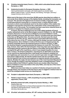- **15. Primitive industrial stand, French, c. 1900; artist's articulated female manikin, European, c. 1930**
- **16. Anatomical model of a European Honeybee, German, c. 1920** Hand-painted plaster and paper, with steel supports on wooden base Maker's label on base: "Louis M. Meusel, Sonneberg, Thüringen, Germany" Overall: 55.9 (h) x 53.3 x 53.3 cm

**While most of the bees in the more than 20,000 species described are solitary or sub-social, three distinct groups of the Apidae family, including the honeybee, are eusocial. This denotes the highest level of animal sociality; it typically involves a multi-generational community in a common home, a clearly defined caste structure in which most individuals work for the direct welfare of the relative few engaged in reproduction (and hence the continuation of the community) and cooperative care of the young. The honeybee has been used since classical times as a symbol or metaphor for industry and community.** 

**In France, the bee is believed to be one of the oldest symbols of French royalty, dating back as far as the Merovingian monarch Childeric I (c. 440–481/482). A chance discovery in Tournai (now in Belgium) uncovered Childeric's tomb, which included numerous gold and silver objects, including what were described at the time as 300 golden bees. On some accounts, the bees were the visual inspiration for the** *fleur-de-lys***, which has been associated with French kings since about the turn of the 12th century, although the design has been traced back to Mesopotamia. Since Childeric's tomb at the time was on Hapsburg land, the contents eventually went to the imperial treasury in Vienna, but then, in 1665, the Austrian Emperor Leopold presented the treasure to Louis XIV. The French king, however, then still in the first trimester of his long reign and not yet given to extravagant patriotic gestures like the Palace of Versailles and its Hall of Mirrors, consigned the gift to the royal library, where it was largely forgotten for more than a century. The Emperor Napoleon, searching for an alternative to the** *fleurde-lys* **used by the deposed Bourbon royal family and looking to establish his own legitimacy and connection to a more ancient royal order, brought Childeric's bees back to light and life. He had the symbol woven into his coronation robe, into his Imperial Coat of Arms and engraved on imperial utensils and household objects. Besides the eagle, the bee became one of the most important Napoleonic icons, though the emperor may have adopted it under a misapprehension. Some scholars believe that Childeric's golden insects are cicadas rather than bees. Much of Childeric's trove was stolen in the early 1830s, and only two of the insect figures were recovered.**

**While bees have been taken as a symbol of industry and good social order through history, the inclusion of the bee here is also to suggest a medical class for which the enlarged model serves as a teaching tool.**

- **16.1 Sculptor's adjustable tripod stand, European, c. 1880–1920**
- **17. Painter's easel, French, c. 1875; oil painting of a young soldier as sculptor's apprentice, French, 1916**
- **18. Butterfly-jointed hall settle, designed by Gustav Stickley, c. 1902** Quarter sawn oak Custom-fabricated from a unique antique example in the collection of Ydessa Hendeles by Michael Buchanan, Toronto, 2013 161.9 (h) x 144.8 x 62.2 cm

# 18.1 **20 artists' articulated manikins, 18<sup>th</sup>–20<sup>th</sup> century; Santos head, Italian, c. 1840**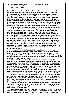**19. Child's Table (catalogue no. 639), Gustav Stickley, c. 1904** Quarter sawn fumed oak 55.9 (h) x 61 x 91.4 cm

**Gustav Stickley and Charles P. Limbert were both furniture makers around the turn of the 19th century whose work exemplifies the American Arts and Crafts Movement. Stickley is the more important figure, his company's introduction of the experimental New Line of furniture in 1900 doing much to launch the form and aesthetic of the style (also sometimes referred to as Mission Furniture). Based in New York State, the Gustav Stickley Company in 1903 became the Craftsmen Workshops and, while remaining primarily a furniture maker, branched out into other areas, including home design. Limbert's enterprise was based around Grand Rapids, Michigan, and his output was often described as Dutch Arts and Crafts to recognize the influence of the large Dutch immigrant population in that area.** 

**In the context of rapid industrialization, the philosophical aesthetic of the Arts and Crafts Movement inclined towards plain and simple design, emphasizing "honest" and quality craftsmanship to afford any household well-designed furniture that was good for the soul and mind. Stickley incorporated an old Flemish craftsman's phrase,** *Als ik Kan* **(To the Best of My Ability), in some of his branding marks. It was a "back-to-basics" philosophy of integrity, of objects crafted with "honest materials and honest labour," of furniture made with sturdy hardwoods in geometric and vernacular forms that primarily served function. Decoration was often limited to the natural look of the materials or to the details of construction—large key tenons or exposed joinery, for example. Much of the furniture, even the cheaper-quality items, lasted for years. Evolving to some degree out of Gothic furniture, Shaker furniture and Japanese designs, the Arts and Crafts style's "form-follows-function" approach to design was also a critical precursor to Modernism.** 

**American Arts and Crafts was a high-minded movement. The desire was to go back to a time when things were made by hand—the era of guilds. It was a reaction to the forces of industrialization and mechanization that were driving society in the later 19th century. The movement's work expressed a wistful longing for an earlier age that valued individual craftsmanship and a lifestyle that was more in harmony with the natural world.** 

**At the same time, as Kevin W. Tucker makes clear in his survey of the evolution of Stickley's enterprise (***Gustav Stickley and the American Arts & Crafts Movement***, Dallas Museum of Art, Yale University Press, 2010), Stickley and his designers were also keenly aware of and influenced by the work of contemporary European furniture designers, such as English architect-designer Mackay Hugh Baillie Scott (1865–1945). Stickley visited England and purchased furniture there, and the transatlantic connections of his approach were readily appreciated. Reviewing an exhibition organized by Stickley in 1903, The** *Rochester Herald* **noted under the headline "Arts and Crafts: Wonderful Exhibition in Mechanics Institute":** 

**Every bit of the furniture is made by hand. The big old fashioned [settles] and the goodly proportioned Morris chairs suggest some baronial hall or some rustic English country seat. There is a dining room, all furnished, every article handmade. It is indeed a revelation to one who has lived all his life in a machine-made world. (Quoted in Tucker, p. 44.)** 

**The tall, butterfly-jointed settle from Hendeles's collection appeared in that 1903 show, introduced as a unique piece and perhaps made on commission. The only extant example of this form, it is the model for the custom-fabricated versions used in** *From her wooden sleep....*

**Even though most American Arts and Crafts furniture was built by machine, consumers believed they were buying quality, handcrafted products, usually oak with strong joints. Arts and Crafts furniture functioned like a sturdy protective**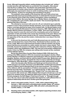**forest. Although frequently slatted, seating designs also included oak "settles," wooden benches with high backs as a protection from draughts, often placed near the fire in a sitting room. The kitchen was particularly important as the central hearth of a house, where food is cooked and eaten. The practical design philosophy was expressed in down-to-earth moralizing mottos, such as this one for the kitchen: "A place for everything and everything in its place."**

**The aesthetic colour palette of the American Arts and Crafts school was philosophically based and essentially autumnal. It celebrated the harvest moment in the seasonal cycle of Fall in the northern hemisphere, where everything is about to die in Winter. But every Spring, God, or Mother Nature, brings back new life, completing the cycle of birth, death and rebirth. This movement glorifies the glowing Fall fruits of the land.**

**The attempt to reconnect with some far-off, pre-industrial age is patently evident in some of the prominent design elements, such as the medieval-looking leather coverings attached by large round-headed nails. As Wendy Kaplan wrote in** *The Arts and Crafts Movement in Europe & America, 1880–1920: Design for the Modern World* **(Thames and Hudson, London, 2004), "Arts and Crafts ornament was thus meant to carry the mind out to the countryside, just as the historical inspiration of Arts and Crafts work carries the mind back to the past. Nature and the past were the twin dream worlds of the 19th-century Romantic imagination, the opposites of the city and the modern. Antimodernism runs deep in the Arts and Crafts."**

**In the end, the American Arts and Crafts Movement was not commercially viable and devolved into a trend of the times. Handmade furniture was then, as it is now, costly. With much of the American furniture made by machine, the sturdy pieces had become accessible to a wider market, but never a mass market. That, ironically, became the preserve of the mail-order enterprise of Sears, Roebuck and Company, which was established in 1893. This was how most people outfitted their homes. In fact, by 1908, the company was selling entire houses as kits, marketed as Sears Modern Homes.**

**By the time Roycrofters founder Elbert Hubbard (1856–1915) died in the sinking of the RMS** *Lusitania* **in 1915, the movement was already in decline. When Gustav Stickley's Craftsmen enterprise went bankrupt in 1916, he moved in with his daughter, Barbara, and lived with her until his death 23 years later. Modernism and Art Deco had begun to thrive, alongside the return to luxury materials and design extravagance. After World War I, tastes changed and other philosophies prevailed.** 

**Just a few decades after Stickley went bankrupt and American Arts and Crafts had gone out of style, Germany's post-World War I sentimental and patriotic interest in folklore had its attendant back-to-the-land movement. The embrace of the** *völkisch***, with its connotations of folklore and populism, comes out of the German term** *Das Volk* **("The People," as a national group). In 1932, Adolf Hitler conceived the idea of the Volkswagen (the "People's Car") at a time when only the economic elite owned cars. Hitler believed that everyone should own a car and enjoy it for vacation travel. He called the 1936 version of the car, which Ferdinand Porsche designed, the KdF-Wagen ("Kraft durch Freude" or "Strength through Joy"). His, too, was an anti-urban populism that aspired to a self-sufficient life in a mystical relationship with the land. Another good idea going bad.**

- **19.1 Artist's articulated manikin, French, c. 1630: child's slatted folding chair,**  German, c. 1900, with artist's articulated putto manikin, Italian, 18<sup>th</sup> century; **panelback open armchair, English, 1809, with artist's articulated life-size manikin, Italian, c. 1770–1800**
- **20. Standing artist's articulated manikin, with original supporting armature, base and locking key, Italian, c. 1800**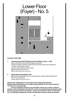# Lower Floor (Foyer) - No. 5



# *Canadian Child***, 2009**

- **1. Oversize bicycle bell, Établissements Paul Maury, Paris, c. 1925** Steel, with fully functional internal gears and action Image of rooster's head inscribed on front of thumb-lever ring mechanism, "Le Coq" inscribed on reverse Custom white-painted wooden plinth Bell: 55.9 (h) x 81.0 x 61.0 cm Plinth: 34.3 (h) x 121.9 x 121.9 cm
- **2. Family-album photograph, 1951** Black-and-white pigment print on archival paper, white-painted maple frame Print: 21.0 (h) x 29.5 cm Frame: 62.5 (h) x 57.8 x 3.4 cm

**This precise enlargement of a tiny object was probably fabricated by Établissements Paul Maury as an engineering prototype for the mass-produced "Le Coq" line of bicycle bells.** 

**French companies started to use the Gallic rooster, the country's national**  symbol, in their marketing in the late 19<sup>th</sup> century, the symbol being especially useful **in the burgeoning world of competitive sports. French bicycle maker A. Clément & Cie., for example, adopted the rooster, as did Émile Camuset, whose sportswear**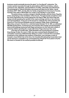**business would eventually become the giant "Le Coq Sportif" enterprise. The rooster symbol resonates through its associations with French history, culture, commerce and, ultimately, representations of virility, nationality and nationhood. The photograph of Ydessa Hendeles was posed and taken by her father, Jacob Hendeles (1917–1987), shortly after her family emigrated from Germany to Toronto, Canada in the wake of World War II to create a new identity in a new world.**

**The photo shows a surface change in identity already, with the Union Flag (the Union Jack) flying on the handlebar of the tricycle. Though Canada sometimes used the Union Flag before the country gained its own flag in 1965, the Union Flag was always strictly speaking the symbol of the royal sovereign and his or her services and representatives. It was put on the tricycle to celebrate the visit to Canada and America of The Princess Elizabeth and her husband, Philip, Duke of Edinburgh. When they arrived in Toronto for a visit that lasted October 10–12, 1951, an estimated 500,000 greeted them. Contemporary documentary film footage and photographs show local buildings festooned with flags and banners for the visit and crowds of cheering children greeting the couple with Union Flags wherever they went.**

**Less than six months later, while Elizabeth was touring African countries, King George VI died. On June 2, 1953, she was crowned Queen Elizabeth II in a coronation ceremony at Westminster Abbey in London. It was the first coronation broadcast on the relatively new medium of television, and, perhaps a mark of Canada's close British ties at the time, the Canadian Broadcasting Corporation beat out its American competitors by commandeering a Royal Air Force plane to fly the film back to Canada for the earliest possible broadcast.**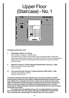## Upper Floor (Staircase) - No. 1



#### *The Eagle and the Hare***, 2017**

**1.** *Flying Eagle***, Alpine, 18th century**

Oil on canvas, unsigned, in wooden frame

 The painting by an unknown artist depicts a life-size golden eagle, in flight with talons open, descending on its prey. The eagle's head and it's neck was deliberately distended by the artist to make the figure look natural when viewed from below. 240 (h) x 106 cm

- **2.** *Wild hare* **(model no. 077531), Margarete Steiff GmbH, Germany, c. 2000** Woven wool, with painted acrylic eyes 33 cm in length
- **2.1 Four-post doll's bed, Charles P. Limbert (American,1854–1924), c. 1904** Oak with original fabric mattress 40.6 (h) x 53.3 x 30.5 cm

**Though the painting renders the eagle life-size, it is also an example of artistic anamorphosis in that part of the image is deliberately distorted to make the whole look realistic from a specific point of view. In this case, the head and neck of the eagle are distended so that they appear naturally in proportion when viewed from below. The device is familiar in art history from Renaissance times. The upper facial features of Michaelangelo's David are similarly distorted to be seen in proper perspective from below.**

**In heraldic terms, the painting shows a form of eagle displayed, meaning that it is upright with head, both wings, both legs and tailfeathers outstretched. The common phrase "spread eagle" is related to this, the most common**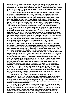**representation of eagles as emblems of military or national power. The attitude is not entirely warlike, serving as a symbol of the strength of a protector as well as of an aggressor. Besides Austria, the bird figures in the national seal or coat of arms of countries as diverse as Poland, Romania, the Philippines, Kazakhstan, Montenegro, Mexico and the United States.**

**The bird figures as an emblem of courage, strength, power and even wisdom around the world in mythology and history. It's natural size and superiority in the skies have given it a ready association with gods and supernatural forces across many cultures. It was, for example, thus associated with Zeus by the Greeks, with Jupiter by the Romans and with Odin by the Germanic tribes. In North America, the birds figure prominently in the myths and spiritual traditions of almost all First Nations, which often imbue the bird with magical powers. There is a Banner of the Eagle in Islamic history, while in Christian iconography the bird is the symbol of Saint John, alongside the winged lion, winged ox and winged man for the other three.**

**The dual potential of the eagle as predator or protector is well established in art history. While such old masters as Michelangelo, Rubens and Titian produced powerful images of deadly aggression—the story of the eagle eternally tearing a regenerated liver from Prometheus as punishment for giving fire to mankind is a common subject—the depiction of a more benign power and strength is especially evident in Christian and other religious or spiritual iconography. The eagle appears in other installations in this exhibition in different forms and contexts, and, just as the eagle here may be maneuvering to protect its nest or readying to attack the hare, the various representations of the bird are open to interpretation.**

**Though not prominent like the eagle as a national emblem, the hare nonetheless plays a rich part in global culture, featuring in folklore and legend in the East and the West. Though classified into the same family of rabbits, there are significant differences, most notably in the popular imagination their relatively long ears, their solitary, above-ground lifestyles and their generally faster speed. There are almost three dozen identified species of the mammals around the world.** 

**With significant variations from culture to culture, hares have been associated with or as deities, as fertility symbols (like rabbits, they breed rapidly), as tricksters and shapeshifters, and variously as cunning, careless, resourceful and mad. The phrase "mad as a march hare," perhaps referring to the animal's behaviour at the start of breeding season, appears as early as a 16th-century collection of proverbs in England, though the idea of madness would gain much wider circulation through the appearance of the character in Lewis Carroll's** *Alice's Adventures in Wonderland***. Another instance of the creature's supposed poor judgement comes earlier from the collection of Fables credited to the Greek storyteller Aesop**  around the turn of the 6<sup>th</sup> century BCE. In its most familiar version, the fable tells **of a boastful hare that goads a tortoise into a race. After swiftly taking the lead, the hare is so confident of victory that it decides to take a long nap, during which time the tortoise plods past and on to the finishing line. The moral of the story is some variant of "slow and steady wins the race."**

**On the other hand, there are traditions and beliefs that put the hare in a more positive light. In one, a hare immolates to feed Buddha and is rewarded by a permanent spot on the moon (visible in the heavenly body's dark markings; in another, an Indian hare, like Sambo in the** *Veronica's Veil/Tigers' Tale* **element in this exhibition, outwits a tiger intent on eating it by persuading the cat to engage in an endless fight with its own reflection.**

**The hare, like the "Golliwogg," has crossed the border from popular culture to high art. In 1965, the German artist Joseph Beuys (1921–1986) performed** *How to Explain Pictures to a Dead Hare* **as a performance piece for a gallery in Düsseldorf. In this, the artist, his head covered with honey and gold leaf, could only be seen at first from outside the locked gallery explaining pictures in the exhibition to a dead hare cradled in his arms. When the public was finally admitted, he sat at**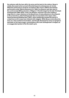**the entrance with the hare still in his arms and his back to the visitors. Beuys's widely discussed action proved influential beyond contemporary art circles. While the performance would be recreated in New York in 2005 by the Serbian performance artist, Marina Abramovic (b. 1946), its influence was also seen in the controversial 2004 production of Wagner's** *Parsifal* **staged by the late Christoph Schlingensief (1960–2010). In this, the Klingsor character was seen holding a large hare in a clear reference to the Beuys (one of many allusions to the artworld in the production), while Schlingensief also incorporated a time-lapse video,**  *Hasenverwesung* **(Rotting Hare, 2007), which graphically showed the decay of a dead hare as its corpse was infested with maggots. While Beuys wrote about the hare as a clear symbol of incarnation, and though dismissed by some as egregious bad taste on the opera stage, commentators also took Schlingensief's imagery as an exaggerated symbol of the life-death cycle.**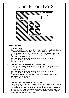## Upper Floor - No. 2



## *The Dead Jumbo.***, 2011**

### **1.** *The Dead Jumbo.***, 2011**

 Based on an original photograph by Scott & Hopkins, St. Thomas, Ontario, Canada (Thomas Hunter Scott, 1849–1918; James Henry Hopkins, d. 1927) Black-and-white pigment print on archival paper, with custom round blind deboss (3.8 cm, in diameter), mounted on museum-board, in ebonized poplar frame Original newspaper illustration Original publication: *Harper's Weekly*, Saturday, September 26, 1885 (Volume XXIX, No. 1901, p. 629)

168.1 (h) x 122.6 x 5.2 cm

## **2.** *The Dead Jumbo. ("Death of Jumbo." Obituary)***, 2011**

 Three black-and-white pigment print on archival paper, one print with custom round blind deboss (3.8 cm, in diameter), mounted on museum-board, in ebonized poplar frames Original publication: *Harper's Weekly*, Saturday, September 26, 1885 (Volume XXIX, No. 1901, p. 629), uncredited author The text is reset to run over three panels, the third marked with the round blind deboss in the lower right corner

155.9 (h) x 122.9 x 5.2 cm each

## **3.** *The Dead Jumbo. (French Bulldog, c. 1950)***, 2011**

 Lithographed tin-plate, key-wind clockwork toy, displayed on custom white-painted wooden pedestal and linen-covered riser, under acrylic cover Made in Nuremburg by the toy company Blomer & Schüler. "MADE IN GERMANY U.S. ZONE" marked on stomach. Blomer & Schüler Jumbo logo appears as a dog tag attached to the red collar. The logo also appears on both sides of the original winding key inserted in the side of the toy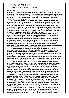Bulldog: 16.8 (h) x 20.3 x 8.3 cm Linen riser: 7.6 (h) x 21.6 x 21.6 cm Pedestal with cover: 150 (h) x 38.1 x 38.1 cm

*The Dead Jumbo.* **is an allegorical reference to the largest systematic, statesponsored extermination program in the history of the world. Originally made as a site-specific extension to** *THE BIRD THAT MADE THE BREEZE TO BLOW***, it includes wall panels based on material published in Harper's Weekly in 1885 and a Blomer & Schüler clockwork tin toy of a French Bull Dog (c. 1950) with the company's "Jumbo" logo on its collar tag.**

**In her practice, Hendeles frequently takes imagery and objects from one historical context and reorients them to precipitate insight into another. At a time when many cultures believe that they have experienced a "Holocaust" in their own histories, she summons the story of Jumbo to talk about the way a name—like "Holocaust"—has definitive roots, though its signification and usage mutates over time. Meanings change as shared values and belief systems play out in cultural and social dynamics—for better and for worse. The fate of "Golliwogg," explored in**  *From her wooden sleep...***, provides a different example.**

**The four hanging elements here recreate in word and image the violent end of an animal that had galvanized attention in North America and Europe, but whose celebrity and influence became global. The illustration was derived from a news photograph that showed a crowd of people around the animal. The image as it was etched showed the carcass of the animal, with its constant human trainer and companion standing over the body, while the anonymous text, from** *Harper's Weekly* **(a leading American publication that counted Mark Twain among its contributors), is an artfully written obituary that both records the event and provides a wry commentary on its circumstances and major characters.** 

**The African elephant named Jumbo would become the first live animal superstar in popular culture, his celebrity appeal becoming equally great on both sides of the Atlantic and his influence pervasive and enduring. His name quickly entered the English language as an adjective to describe any super-sized object, and his image and name is still used to market and promote a wide variety of goods and services, from hotdogs to jet airliners. Jumbo is one of the very earliest cultural icons whose widespread fame was both a product of and a shaper of the emerging mass media, a creature of hyperactive marketing and promotion and blatant manipulation.** 

**The exact origins of the elephant are unknown, with accounts placing his birth in various locations around what is now Sudan and Ethiopia. But as a young elephant, he ended up in a diverse group of wild animals that a Bavarian-born animal collector, Johann Schmidt, assembled for shipment to Europe in 1862. African wild animals were already popular attractions in European menageries and travelling shows, exotic creatures that excited great interest at a time when the African continent was still being explored and opened for colonial development.** 

**From Africa, the Italian adventurer and entrepreneur Lorenzo Casanova, Schmidt's boss, transported Jumbo to Trieste via Suez and Alexandria, and then by train on to Vienna and Casanova's home base of Dresden. Pressed for money, Casanova sold the animals to Gottlieb Kreuzberg (c. 1810–1874), a Prussian impresario with a travelling menagerie that was part circus and part itinerant pet shop. All of Kreuzberg's animals were for sale, and Jumbo, the first live African elephant seen around that part of Europe, was snapped up by the wealthy and prestigious Jardin des Plantes in Paris. It beat out the Zoological Society of London, which was looking for a specimen for its London Zoo.** 

**Three years later, in 1865, London got its opportunity when Paris offered to swap one of its three African elephants for a rhinoceros and other animals and birds. At this point, Jumbo was about four years old, but hadn't grown much since arriving in Paris and was not in good condition. Matthew Scott (1834–1914),**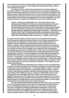**who would become Jumbo's principal keeper right up to the elephant's violent end, had a very poor assessment: "A more deplorable, diseased and rotten creature never walked God's earth."** 

**In London, however, Jumbo thrived and became the storied mainstay of the animal collection. Just how he acquired his name is unknown, although some believe the elephant already had the name in Paris. One possible derivation is from Mumbo Jumbo, a West African holy man known from explorers' descriptions, who dressed in bark and leaves. On this account, Jumbo's sorry-looking state when he was bought from Paris might have suggested the holy man's appearance. An 1823 English dictionary of slang and sporting idioms also has the following entry:** 

 *Jumbo—a clumsy or unwieldy fellow. 'Go it, my jumbo' said to an ugly wallupping chap. Watermen to hackney coaches, market-porters and others, who wear heavy patched-up habiliments are addressed with 'My Jumbo.' Derived distinctly from Mr. Park, who relates (***Travels in Africa***,) that a scolding wife of a certain nation (of blacks) was corrected by a being huddled up and clumsily disguised, applying a tremendous birch to her bare —. He took for name 'Mumbo Jumbo,' but is shrewdly suspected (by us) of being the hen-pecked husband himself.* **(***Slang. A Dictionary of The Turf, The Ring, The Chase, The Pit, of Bon-Ton and the Varieties of life***, Jon Bee Esq., T. Hughes, London, 1823)**

**No matter what the origins, the name became so associated with the animal that the large size it attained itself gave the term new meaning. A generally even temperament and willingness to carry children, first by saddle and then in a howdah, made the elephant a beloved beast of burden and turned him into a folkloric character. But as it approached full maturity, its behaviour also became more unpredictable. Keeper Scott seemed to be the only person who could calm him, and the zoo became increasingly nervous about the risks of keeping the undoubtedly popular animal in a public place. In 1881, when he was about 20 years old, Jumbo's behaviour was particularly erratic, perhaps fueled by the sexually charged state of musth in male bull elephants. Zoo Superintendent Abraham Dee Bartlett (1812–1897) was so concerned that he wrote to the Zoological Society Council: "In conclusion, I may ask that I should be provided with and have at hand, the means of killing this animal, should such a necessity arise." In December of that year, however, Bartlett received a telegram that offered a different solution: "What is the lowest price you can take for the African elephant?" It was signed "Barnum Bailey and Hutchinson."** 

**Phineas Taylor Barnum (1810–1891) was already one of the most flamboyant characters in American popular entertainment, an impresario and huckster whose travelling shows and entertainments —"The Greatest Show on Earth"—drew big crowds with a wide array of genuine and fraudulent oddities, freaks and sports of nature. After Barnum merged his operation with three similar shows owned by James Bailey (1847–1906) and James L. Hutchinson (1838–1902), the three were looking out for new and bigger attractions. When a scout cited Jumbo as the biggest thing he'd seen on his travels, the circus owners asked the zoo for a price. Bartlett set it quite quickly at £2,000. It took a while for the American showmen to follow through—ironically, Barnum was not enthusiastic initially—but they finally signaled their firm intent to bring Jumbo to North America.** 

**The sale attracted little attention initially. But after Jumbo acted up violently on the first attempts to get him to the ship for transportation and was returned to the zoo pending alternative plans, there was a new wave of Jumbo-mania. The press, including such leading establishment newspapers as** *The Times***, whipped up a public outcry against the sale that even raised questions in the House of Commons and resulted in legal action. Zoo visits skyrocketed again, with thousands of visitors a day in February, when attendance would usually be**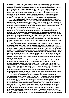**measured in the low hundreds. Barnum fueled the controversy with a canny eye on Jumbo's prospects in North America now that the purchase had become an international incident. Here's how London's** *Daily Telegraph* **characterized Jumbo's fate: "No more quiet garden strolls, no shady trees, green lawns, and flowery thickets... Our amiable monster must dwell in a tent, take part in the routine of a circus, and, instead of his by-gone friendly trots with British girls and boys, and perpetual luncheons on buns and oranges, must amuse a Yankee mob, and put up with peanuts and waffles." Even after the attempted assassination of Queen Victoria on March 2, 1882, Jumbo was still a bigger story in some newspapers.** 

**A deal had been made, however, and despite protests and legal wrangling, Jumbo was hoisted aboard the SS** *Assyrian Monarch* **for the transatlantic crossing, with keeper Scott in attendance. The ship left London on March 25, 1882, picked up more than 400 immigrants bound for a new life in the New World at Gravesend, Kent, and then, after a further brief stop at Dover, steamed westwards until it dropped anchor in New York late at night on April 8.** 

**Barnum, of course, had prepped the media for Jumbo's arrival, successfully rebuilding the hype around the elephant as a star attraction with his travelling circus. After an initial appearance at Madison Square Garden, Jumbo achieved the same celebrity status he had enjoyed in England. For the 1885 season, Barnum had revamped the Greatest Show on Earth program, and was laying plans to take Jumbo to western states that had not seen him yet and on an international tour back to Europe and to Australia. On September 15, however, the show was in St. Thomas in southwestern Ontario, the town then an important intersection for Canadian and U.S. railways.** 

**After the show finished that evening, Barnum's crew packed up to move on to the next destination. There are numerous accounts of what happened, but it appears that Jumbo and a young elephant, named Tom Thumb, were moving down an empty railway track to board their own train when Scott, who was minding them, saw the lights of a freight train bearing down on them from behind. According to one account, Jumbo heaved the young elephant out of the way in time, though it's more likely that the train hit them both. Tom Thumb was injured, but survived; for Jumbo, the clash with the freight locomotive proved fatal. Scott, who by this time had been with the elephant for 20 years, broke down and reportedly lay on the body for hours weeping and sobbing.** 

**Even in death, however, Jumbo exerted a powerful influence. Barnum lost little time getting the dead animal to a taxidermist, and for a while toured both a reassembled skeleton and a ghoulish replica made by nailing the animal's hide around a padded wooden frame. Indeed, in death Jumbo was truly larger than life, since Barnum encouraged his taxidermists to make the frame as large as possible with the injunction: "By all means…let him show like a mountain!" However, because they showed different sizes, the hide and the skeleton could not be displayed side by side. In the winter of 1889/90, Barnum's circus took both artefacts on tour to England, drawing English crowds once again.** 

**Shortly after, the skeleton was loaned, then ultimately donated, to the American Museum of Natural History in New York—not Washington's Smithsonian Institution as "The Death of Jumbo***.***" obituary text here on view suggests. It was on display until 1975, and bought out again in 1993 to commemorate the 200th anniversary of the first American circus (the museum promoted the bicentennial in a release titled, "Jumbomania returns to New York City"). Barnum gave the hide to what is now Tufts University in Massachusetts, an institution of which he was a major benefactor. Besides being a must-see attraction, Jumbo became a Tufts mascot, the elephant logo and "Jumbos" name still used by the college's sports teams. The hide stood in Barnum Hall (originally the Barnum Museum of Natural History) until April 14, 1975, when a fire destroyed the building and its contents. The only purported physical remains of Jumbo today are in ashes collected from the site**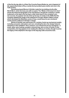**of the fire the day after in a Peter Pan Crunchy Peanut Butter jar, and a fragment of tail, apparently broken off by a Jumbo fan by accident years earlier and now in the Tufts archive.** 

**Nuremburg-based Blomer & Schüler made the toy bulldog shortly after World War II, when Germany was still occupied. The "Made in Germany U.S. Zone" shows the historical geography of its manufacture, though the company's Jumbo trademark on the tag on the toy dog's collar harks back to the company's prewar success. So popular were its wind-up tin toys of Jumbo in the 1930s that the company adapted the image of the elephant for its logo. Britain's Moko Lesney, which developed the Matchbox series of toys, would issue its own clockwork Jumbo based on Blomer & Schüler's design.** 

**Blomer & Schüler was well known for a variety of wind-up mechanical models, including carousels, helicopters and cars, including the Aero-Car design featured elsewhere in this exhibition. Here, however, is an animal from its toy menagerie––a small, rather wary-looking, pumpkin-coloured dog, who is a fan of Jumbo. In this composition, the dog appears to be reading the obituary of Jumbo, though it carries the legacy of the elephant in the logo on the dog-tag collar around its neck.**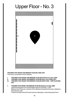# Upper Floor - No. 3



## *THE BIRD THAT MADE THE BREEZE TO BLOW***, 2006–2011**

This work is composed of three chapters:

- **I.** *THE BIRD THAT MADE THE BREEZE TO BLOW (Hallowe'en Girl)***, 2006**
- **II.** *THE BIRD THAT MADE THE BREEZE TO BLOW (Aero-Car N˚500)***, 2011**
- **III.** *THE BIRD THAT MADE THE BREEZE TO BLOW (PART ONE PART ELEVEN),*  **2011**

#### **1.** *THE BIRD THAT MADE THE BREEZE TO BLOW (Hallowe'en Girl)***, 2006** LightJet photograph of an enamel painted cast-iron doorstop, c. 1930 Made by Littco Products, a division of the Littlestown Hardware & Foundry, Littlestown, Pennsylvania, USA Printed on Kodak Endura Premiere archival matte paper, in ebonized poplar frame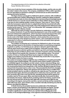**This is one of only four known examples of this doorstop design, and the only one with the maker's label on the reverse. The company, established in 1916, is still in operation, but now specializes in aluminium casting for commercial use as well as aluminium awning and marine hardware.** 

**The figure shows a young girl in a Hallowe'en ghost's costume, with a traditional carved pumpkin jack o'lantern distending her stomach, making her appear pregnant. The doorstop was made at a time when Hallowe'en was becoming increasingly popular in North America as a secular annual celebration in which children dress in costume to go door-to-door seeking candies, money or favours. Their cries of "Trick or Treat" when the homeowner opens the door is a playful threat that the household will suffer from their tricks if they don't receive treats. One of the earliest known references to the practice by the name of "Trick or Treat" is in a November 1927 newspaper article in the**  *Lethbridge Herald* **in Alberta, Canada.** 

**Although the spirit of today's secular Hallowe'en celebration is largely a 20th-century construct, it's just the latest development in one of the world's oldest and most widespread celebrations, which has been traced back beyond the early Christian era to pagan Celtic times. Some authorities believe that Hallowe'en has its roots in the Celtic festival of Samhain, which marked the end of summer and the beginning of the dangerous winter season. This eventually became the celebration of a kind of netherworld intersection of life and death where ghosts and spirits were abroad.** 

**The tradition of dressing up in costumes for Hallowe'en is also of very early origin, perhaps based on the practice of wearing masks to avoid being recognized by ghosts or spirits, or of dressing up as a ghost or demonic agent to blend in with the spirit world and so again avoid recognition. Until quite recently, children generally dressed as witches, goblins and spirits to go trick-and-treating, though today they are just as likely to dress in the costumes of popular cartoon characters or even figures from popular film, television or video-gaming culture. The actual practice of trick-or-treating itself likely has its origins in medieval times, when beggars and children around the time of All Saints Day would offer to say prayers for the dead in return for food or money.** 

**The custom of carrying a lantern to light the way on Hallowe'en or to guide good spirits to a home is also of great antiquity. The common name of jack o'lantern comes from an old British legend. According to one Irish variant, a farmer nicknamed Stingy Jack invited the Devil to have a drink with him, though, being stingy, did not want to pay for it. He convinced the Devil to turn himself into a coin, but then decided to keep the money and put it into his pocket next to a silver cross. This prevented the Devil from changing back into his original form. Stingy Jack agreed to free the Devil only on condition that he did not bother Jack for one year or, should he die, claim his soul. The next year, Jack tricked the Devil again, this time persuading him to climb into a tree to pick fruit. Jack then carved the sign of the cross into the tree, stranding the Devil until he agreed not to bother Jack for 10 more years. When Jack died shortly after, God would not allow the trickster into heaven, while the Devil, punishing Jack for his trickery, would not let him into hell and sent him off into the dark night with a burning coal to light his way. According to the legend, Jack put the coal into a carved-out turnip and has roamed the earth with it ever since. Jack o'lantern, then, is another eternally wandering soul, like the Mariner who killed the Albatross.** 

**In North America, the pumpkin has become emblematic of the Hallowe'en lantern, and the carved features in the Hallowe'en Girl doorstop are typical. Though perhaps not by design, the girl figure looks pregnant, which is suggestive of the pumpkin's significance in some cultures as a symbol of fecundity (as also is the rooster). In his** *Zoological Mythology, or the Legends of Animals* **(1872), the Italian born,**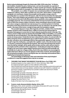**Berlin-trained philologist Angelo De Gubernatis (1840–1913) notes that, "In Hindoo (sic) tradition, besides the pea or kidney-bean, we have the pumpkin as a symbol of abundance, which is multiplied infinitely, or which mounts up to heaven. The wife of the hero Sagaras gives birth to a pumpkin, from which afterwards come forth 60,000 sons."** 

**The pumpkin, as a cultivar of squash, has a prominent position in North American indigenous cultures, which often consider it as one of the "three sisters" of agriculture alongside corn and beans. Indeed, the pumpkin and its golden orange colour is generally taken as a symbol of the fall season, after the harvest and when the days grow shorter. This in part explains why pumpkins and the orange colour feature prominently in the American Arts and Crafts Movement, whose aesthetic colour palette was essentially autumnal. The movement celebrated the harvest moment in the seasonal cycle of Fall in the northern states of America, when everything is about to die in winter. The colour orange is celebrated not only because it is a central symbol of a fruit that flourishes in the Fall, but because it represents fire and, by extension, the warmth of the hearth—the heart of the home, a refuge to keep safe from predators outside.** 

**The pumpkin figures in many other legends and tales, notably in the most familiar western versions of the Cinderella story, a fable of a journey from persecution to liberation that appears in some form in most cultures around the world. In the late 17thcentury version written down by Charles Perrault (1628–1703) as** *Cendrillon, ou La petite pantoufle de verre* **(***Cinderella or The Little Glass Slipper***) in his collection,** *Histoires ou contes du temps passé***, Cinderella has been reduced to the status of a servant after her father remarries and is not allowed to go to a ball at which a prince intends to choose his wife. Left alone, she is distraught until her fairy godmother appears to help, turning the girl's rags into a ball gown, a pumpkin into a golden coach, mice into horses to pull it, a rat into a coachman and lizards into footmen. She warns the girl that if she doesn't leave the ball by midnight, all the spells will be broken and the coach will turn back to a pumpkin and the animals to their original form. Cinderella just makes the deadline, though in her hurry loses a glass slipper that the prince finds and will eventually use to identify her to give her a happy ending. Such is the way children are encouraged to believe their lives will turn out. As she appears in this show, however, the fearful girl is left carrying the pumpkin, forever serving the door as a doorstop and burdened with a frightening and perpetual pregnancy.**

**The assemblage of elements in this work intertwines three psychological conditions in a way that suggests there may be no escape.** 

**2.** *THE BIRD THAT MADE THE BREEZE TO BLOW (Aero-Car N˚500)***, 2011**

Sculpture based on a toy made in the U.S. Zone, Germany, 1945–1952 An original example in green is in the collection of the artist. Hand-worked and machined aluminium body, clear-coat gloss automotive paint and nickel-plated steel and brass details, welded and aircraft-riveted to a waterjet-cut aluminium chassis, supported by four powder-coated cast-aluminium wheels Overall height: 85.7 cm

Overall length (propeller retracted): 297.8 cm Overall length (propeller extended): 316.2 cm Overall width (wings retracted): 108.9 cm Overall width (wings extended): 323.1 cm Original Toy: 6 (h) x 19.2 x 7 cm Scale of the Aero-Car to the original toy: 15.5:1

#### **2.1 Custom-made disassemblable display vitrine, 2011**

 Mahogany, linen, seven-paneled, curved-glass showcase with a pair of curvedglass end doors for access, brass hardware Fabricated by Michael Buchanan, Toronto Overall height: 252.7 cm Overall length: 510.9 cm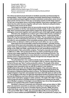Overall width: 368.9 cm Height of glass: 199.4 cm Height of base: 45.7 cm Height of the two interior risers: 15.2 cm each Key is in cast aluminium with sides and raised surfaces polished 41.3 (h) x 44.8 x 8.3 cm

**The vitrine has 26 structural elements to facilitate assembly and disassembly for transportation. These include: mahogany and poplar-plywood base consisting of six units bolted and keyed together to make a seamless construction; seven curved glass panels and two doors of two-ply curved glass panels provide hinge support for two rear curved glass doors; and locked-together, three-piece mahogany crown, which ties the entire structure together with pin-locks. Starburst ceiling formation not glazed so the sound can be heard.**

**Two hinged curved glass doors at rear provide access for Aero-Car, which is rolled into position on its four cast-aluminium wheels. Inside, it sits on two 15.2 cm high, linen-covered wooden bases built to support the 181 kg sculpture. Three-piece mahogany crown locks together and is pinned to each of the eight upright supports.**

**This Aero-Car, designed on a scale to suit a child of about seven, is based on an antique mechanical wind-up tin toy—Das Flugzeug-Auto—made shortly after World War II by Nuremburg-based Blomer & Schüler. The toy realized the dream of making a car that could travel by land and air, a futuristic hybrid that encapsulated the hope for new possibilities in the immediate postwar period. A lever on the bottom of the car allowed a child to set the toy to work either as a car or a plane.** 

**Quite apart from its protractible central turning propeller, vertically moving control lever at the back and retractable side wings and rear stabilizers, the overall shape of the toy embraced the modernist streamlining in European transportation design of the 1920s and 1930s, specifically the pre-war streamlined products of Czechoslovakia's Tatra automobile company. Tracing its corporate roots back to 1850 and, in 1897, Tatra produced the first car made in Central Europe and its vehicles were highly regarded in Germany by Hitler and Ferdinand Porsche. The earliest Volkswagen Beetle had so many elements in common with Tatra models that the Czech company launched a lawsuit, though that was dropped after the German invasion of Czechoslovakia.** 

**The articulated Aero-Car sculpture stands at just under 86.4 cm, but when positioned in the vitrine on risers, its roof height is 164 cm, which is about the same as that of the pre-war Tatra T-series production vehicle. The length of the vitrine also echoes that of the vehicle and is designed to accommodate the Aero-Car's full wingspan when extended to line up with the sculpture's riser platform. Significantly for this work, the fully extended wingspan of the automaton (323 cm) matches that of the Wandering or White-winged Albatross (***Diomedia Exulans***), the first species of Albatross fully described in science. The Wandering Albatross has the largest wingspan of any bird, and examples have been cited with spans as wide as 370 cm. The wingspan of the Aero-Car links this streamlined symbol of postwar hope to the promise the Albatross must have offered to sailors facing an uncharted and unknown future in their exploratory voyages in earlier centuries. The eagle ("***Der Adler***") was also a bird of hope (as well as a Christian symbol of omnipotence) soaring over the earth, and in Whalley's analysis of Coleridge's** *Ancient Mariner* **(op. cit.) is cited alongside the albatross as a symbol of the poet's creative imagination.** 

**Hendeles's interest in automata and clockwork wind-up toys dates to 1992, when she started to assemble an extensive collection of antique examples. Her first exhibited wind-up toy was in** *Canadian Stories* **(Toronto, 2000); the piece, called** *Snik-Snak***, was a German toy made by Ernst Paul Lehmann Patentwerk in the period 1926–1933. In 2002, she presented** *Minnie Mouse Carrying Felix in Cages* **in a show entitled** *sameDIFFERENCE***. In 2005, she positioned a unique, life-**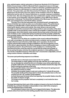**size, painted papier-mâché automaton of American illustrator W. W. Denslow's Mother Goose (made in 1901 for Marshall Field's department store in Chicago and perhaps the earliest automaton created to advertise a published American children's book) as a still element in a work she made for** *Predators & Prey* **in Toronto. Two years later, just after** *Documenta 12* **in Kassel, she returned to Marburg for the first time since her infancy at the invitation of Prof. Dr. Matthias Rothmund and his wife, Dr. Gesine Rothmund, to consider making an exhibition for their town. She was intrigued by the city's emblematic rooster, which functions in the manner of an automaton. She then installed a circa-1900 Puss in Boots automaton in** *Marburg! The Early Bird!* **exhibited at the Marburger Kunstverein in 2010, and restaged here in the North Gallery upstairs.** 

**This Aero-Car is the first automaton she conceived herself, reimagining the Blomer & Schüler toy's wind-up action as an articulated creature. The performance sculpture is controlled with a custom aluminum-and-steel clockwork mechanism driven by DC electric motors and controls. One motor drives a cam and crank assembly to control the movement of the wings and the in-and-out motion of the steel propeller shaft. A second electric motor controls the propeller's rotation through a set of bevel gears. And a third electric motor powers the up-down action of the lever on the back of vehicle. A zinc-coated steel spring mounted around the propeller unfolds the three propeller blades when they emerge; contact with a bezel closes the blades as the propeller shaft retracts.** 

**The Aero-Car in its vitrine as a sculpture in the round continued Hendeles's work with curved glass, the vitrine serving as both a container and as a generator of light reflections and refractions. Both static and in operation, the Aero-Car projects otherworldly images and light scintillations onto the transparent curves of the vitrine's glass elements, the effects changing as viewers shift position and perspective around it. The performance of the sculpture is a rendering of the mechanical function of the key-wind toy, except that the wings and propeller of the toy spring into place whereas the sculpture operates in a slow gliding motion. The remote-controlled sequence of the Aero-Car's movements is adjustable, and set using a series of timers, controllers and relays.** 

**The seven-part performing sequence is as follows:**

- **- Activation lever on the back moves down to the "on" position**
- **- The wings begin to unfold, gliding out to the side until they are at right angles to the car and give the vehicle the form of a Christian cross; at the same time, the propeller shaft in the car's body cavity moves the blades towards the edge of the bezel covering the opening on the front.**
- **- As the propeller blades move beyond the edge of the bezel, the spring around the shaft forces them to unfold.**
- **- Unfolded, the propeller begins to spin and continues for 1 minute 50 seconds.**
- **- The propeller shaft and the wings start to retract, the activation lever on the rear moving up to the "off" position as this happens.**
- **- As they retract past the bezel at the front opening, the propeller blades close like the petals of a flower at night.**
- **- The wings and the propeller fold back completely to rest inside the Aero-Car's body.**

**The large fabricated key that is part of this sculpture is based on the key for the Blomer & Schüler toy, and bears Hendeles's interpretation in** *bas-relief* **of the company's Jumbo the Elephant logo on both sides.**

**The articulated creature tries to fly, but is trapped behind glass. The glass also protects others from harm from the twirling propeller that comes out regularly.**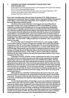### **3.** *THE BIRD THAT MADE THE BREEZE TO BLOW (PART ONE – PART ELEVEN)***, 2011**

 Eleven black-and-white pigment prints on archival paper with square blind deboss (3.8 x 3.8 cm), ebonized poplar frames Source: *The Rime of the Ancient Mariner*, New York, Harper & Brothers, 1877 American first edition issue in the collection of the artist Frames: 156.21 (h) x 122.6 x 5.2 cm

**Poet, critic and philosopher Samuel Taylor Coleridge (1772–1834) remains an enigmatic and emblematic figure in English letters. Alongside William Wordsworth (1770–1850), a close friend and collaborator, he is credited as a founder of the Romantic Movement in British poetry.**

*The Rime of the Ancient Mariner* **is the longest and most influential of Coleridge's poetic works. It was published in 1798 in** *Lyrical Ballads***, a poetry collection co-authored with Wordsworth. In his own recollections,** *Biographia Literaria* **(1817), Coleridge says that when he and Wordsworth devised the idea of a collection melding supernatural subjects with topics taken from everyday life "it was agreed, that my endeavours should be directed to persons and characters supernatural, or at least Romantic; yet so as to transfer from our inward nature a human interest and a semblance of truth sufficient to procure for these shadows of imagination that willing suspension of disbelief for the moment, which constitutes poetic faith." The idea of the "willing suspension of disbelief," then, may be traced back to Coleridge.**

**It's not certain why he decided to set his story on a sea voyage ranging as far as the southern ice pack, though such voyages were vivid in the popular imagination in the 18th century Age of Exploration. An account by Wordsworth suggests the idea for the poem was developed on a country walk with his sister and Coleridge. Wordsworth says he told his companions about a book he was reading,** *A Voyage Round the World by Way of the Great South Sea* **(1726) by Captain George Shelvocke (c. 1675–1742), in which a sailor kills an Albatross. Wordsworth also takes credit for the idea that supernatural spirits rose to exact vengeance for the crime.**

**Coleridge's mariner, however, seems condemned not only to a sea voyage over which he has no control, but also, even after he has reached port, endless wandering in search of redemption for the crime of killing the seabird. This key aspect of the story taps into more widespread narratives, most clearly that of the**  *Flying Dutchman* **ghost ship. That in turn has been linked with the older tale of the Wandering or Immortal Jew, an association that Coleridge himself made explicitly when he wrote in a notebook: "It is an enormous blunder...to represent the An. M as an old man aboard ship. He was in my mind the everlasting wandering Jew—had told this story ten thousand times since the voyage, which was in his early youth and 50 years before."**

**Although there is a Christian underpinning to the poem's tale of sin, guilt and the search for redemption, the universality of its themes gives it much wider resonance. The poem is also rife with references to the role of chance or fortune in our lives, of individual and collective responsibility and the secular concept of death-in-life.**

**The first illustrated edition of Coleridge's poem was published in Edinburgh in 1837, three years after the poet's death. There have been numerous attempts to capture its mystery since, though the most widely known is that of the Strasbourgborn Gustave Doré (1832–1883), one of the most influential artists and illustrators of the 19th century (see also the Note on** *Marburg! The Early Bird!***). His 38 full illustrations (there are also four smaller supporting images) were first published in a jumbo-format edition in 1876. The prints have assumed iconic status, and their visual representation of the poem has certainly influenced its interpretation.**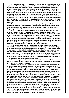*THE BIRD THAT MADE THE BREEZE TO BLOW (PART ONE – PART ELEVEN)* **derives from** *The Rime of the Ancient Mariner* **and uses some of Doré's illustrations to focus on the tale of the ship in trouble, the encouraging omen of the bird, the mariner's shooting of the bird and his subsequent shunning by the other sailors, who scapegoat him for the ship's miserable reversal of fortune after he kills the bird. By selecting specific images to create a filmic sequence that ends with the mariner still at sea, the sole survivor of the trauma, Hendeles's retelling of the story is restricted to the bird and the sailor and his subsequent isolation with the carcass of the albatross strung around his neck. There is no resolution or redemption in her allegory insofar as the mariner is stranded on the ship, burdened both by his own sense of responsibility and remorse and by the behaviour of the group of which he was part.** 

**The dynamic interplay of personal and group belief systems in Hendeles's interpretative reading arises from the eleven selections she made from the total suite of Doré illustrations, resequenced to create a narrative with an alternative beginning, middle and end.**

**In form, these large pages were inspired by the didactic panels recording another narrative of group prejudice, persecution and responsibility at the Topographie des Terrors museum in Berlin. Located on the site of the Nazi Secret Police, SS and State Security headquarters, the museum is close to König Galerie, where this artwork was first shown. As with early photographs, which were initially made for publications, engravings were generated for books and journals. Hendeles's renditions are scaled for viewing on a gallery wall. Their size addresses the viewer in the public space, while also inviting an intimate experience by revealing the handmade gestures inscribed in each engraving.** 

**They were made on a high-density, state-of-the-art scanner by a master scanner, the contemporary equivalent of Doré's master engravers, the resulting images recreating the original artwork on a larger scale and in unparalleled detail. The scans were painstakingly worked on to reverse the effects of the publishing process, effectively rendering the type and engraving on the original pages in a hyper-realistic way. They were then printed with inkjet technology that generated deep, rich blacks. The eleven elements chosen are debossed with individual square blind stamps to identify each one (***PART ONE* **to** *PART ELEVEN***) as part of a group. They were then presented as a specific selection.**

**The book pages selected create a new narrative that acts as both a context for and dialogue with the other components in this work, and they do the same for it. That is, each "frames" the other.**

**One aspect of Hendeles's practice is to choose narratives that are so deeply entrenched in culture that specific words or images can assume iconic status as metaphors for understanding the human condition. The common English idiom, "like an albatross around the neck," to designate an unwanted burden is derived from Coleridge's poem. It is analogous to a spiritual burden. It hampers an individual's freedom to act through its psychological or emotional weight, as well as isolating and stigmatizing the individual among peers. The Doré images reflect Coleridge's original portrayal of a solitary soul separated and tormented by his separation from others. In "The Mariner and the Albatross" (***University of Toronto Quarterly***, XVI, 1946/47), George Whalley (1915–1983) made a detailed case for reading Coleridge's poem as an allegorical reflection on his own life as an artist and outsider. "Whether or not he recognized this process at the time, Coleridge enshrined in** *The Ancient Mariner* **the quintessence of himself, of his suffering and dread, his sense of sin, his remorse, his powerlessness." Even the grotesquely vivid image of Life-in-Death in the poem reflects the ghosts and demons that haunted the poet's life and informed his writing. "Life-in-Death is a recurrent theme in Coleridge's thought," Whalley continues. "Lifein-Death meant to Coleridge a mixture of remorse and loneliness. Yet 'loneliness' is perhaps too gentle and human a word; let us say 'aloneness'."**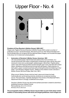## Upper Floor - No. 4



## *Predators & Prey (Denslow's Mother Goose)***, 2005–2017**

*Please note: Pages of the book* Denslow's Mother Goose *(1901) contain a number of politically incorrect / racial stereotypes. We want to point out, that Ydessa Hendeles and the Kunsthalle Wien do not agree with the depicted ideas (images), but included the pages in the show, for it's historical contextualization.*

## **1. Automaton of Denslow's Mother Goose, American, 1901**

 Life-size painted papier-mâché head articulated at the neck and beak, on a carved-wood body with hollow, hooped back containing an open-spring, key-wind clockwork motor and counterweight; webbed papier-mâché feet. Original yellow cotton cape with fringe and ribbon border beneath open-work cape tied with a black ribbon, pantaloons and felt bonnet trimmed with silk flowers. Figure stands on a dark-green, paper-covered wood base with printed gilt borders and lettering on four sides: "I am Denslow's Mother Goose." (Refers to the children's book: *Denslow's Mother Goose*, McClure Philips, New York, 1901.)

 When wound, Mother Goose nods her head, opens and closes her beak rhythmically and, as the spring unwinds, produces an occasional clucking sound. This automaton, originally displayed in the window of the Marshall Field's department store in Chicago, is believed to be unique.

 *Denslow's Mother Goose* may also be the earliest automaton created to advertise a published American children's book. Removable key: 6.4 x 3.5 x 0.6 cm 94.6 (h) x 43.2 x 30.5 cm

**The iconographic history of Mother Goose may be taken as part of the deep-rooted tradition of associating women with birds and winged goddesses. Such images are**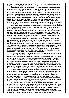**prevalent in Greek, Roman and Egyptian mythology, but also date even further back to the pre-historic Neolithic and Upper Paleolithic eras.**

**However, the name of Mother Goose was not connected to children's stories until 1650, when it first appeared in print in** *La Muse Historique***, a French versified diary of current events that ran over many years. After that, three countries claim her as their own: France, England and America. In 1697, Charles Perrault published his** *Histoire, ou Contes du temps passé***.** *Avec des Moralitez***, a collection of eight folk tales that included the still-familiar "Cinderella," "Sleeping Beauty" and "Little Red Riding Hood." The frontispiece shows a woman in a bonnet telling stories to children by candle and firelight; behind them, a poster reads: "Contes de ma mère l'oye." Although the storyteller has a rather prominent, beaky nose, she is neither old nor goose-like. In 1729, Robert Samber translated Perrault's collection into English, which remains the first authenticated appearance of Mother Goose in the English language.**

**After crossing the channel, the history of Mother Goose becomes a trans-Atlantic story. In 1744, a London publisher, John Newbery, brought out** *The Little Pretty Pocket Book***, which included rhymes and which was so successful that Newbery continued to publish juvenile literature until his death in 1767. His stepson, Thomas Carnan, took over the publishing business, and, in 1780, published what most regard as the first volume that associated Mother Goose with nursery rhymes:** *Songs for the Nursery, or Mother Goose's Melodies of Children***. It consisted of traditional English rhymes and nonsense patter songs, as well as some verses by Shakespeare.**

**Pirated editions of Carnan's** *Songs for the Nursery* **appeared in the young American republic almost immediately until, in 1786, Isaiah Thomas of Worcester, Ohio, published the first authorized U.S. edition. The collections were popular in America, as in England, and went through several reprints. By the early years of the 19th century, Mother Goose had become almost exclusively associated with rhymes and children's songs, effectively losing her original connection to the folk tales recounted by Perrault. After Thomas, the Boston publishing firm of Munroe and Francis published editions from the 1820s to the 1840s, which helped establish the character as a standard of American children's literature.**

There's a curious twist to the tale later in the 19<sup>th</sup> century. In 1860, John Fleet Eliot **wrote a letter to the** *Boston Transcript* **claiming that one of his ancestors, the colonial Boston printer Thomas Fleet, had printed a collection of nursery rhymes in 1719, under the title,** *Songs for the Nursery, or Mother Goose's Melodies for Children***. Not only does this book bear the same title used by Carnan in London in 1780, its publication is a decade before Samber's translation of Perrault's** *Contes***. If true, Mother Goose would have been invented as a figure in children's literature independently by Perrault in France and Fleet in England's American colonies! Intriguingly, Fleet's mother-in-law was named Elizabeth Foster Goose. However, no copy of the Fleet book has ever been found, and his claim to authorship remains conjecture.**

**Though not written down until the 18th century, nursery rhymes are of much older vintage in the oral tradition and there have been many interpretations of the rhymes as references to historical personages and events. The interpretations, however, are largely speculative. The reason the old rhymes have survived is probably due, as Henry Bett writes in** *Nursery Rhymes and Tales - Their Origin and History* **(Methuen & Co. Ltd., London, 1924), "to the astonishing persistence of popular tradition, reinforced by the characteristic conservatism of childhood which insists on having rhymes repeated the same way each time."**

**In addition, some well-known English rhymes have counterparts in other popular cultures. The story of Humpty Dumpty, for example, is found across Europe under various titles: "Boule, Boule" in France, "Annebadadeli" in Switzerland, "Lille-Trille" in Denmark, and "Humpelken-Pumpelken" in different parts of Germany. "The House That Jack Built," a cumulative rhyme, is also found in numerous variants. Bett cites an example in "Had Gadya," one of two Aramaic rhymes recited at the end of the Passover Seder service to keep the children entertained:**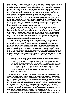**It begins: 'A kid, a kid! My father bought a kid for two zuzim.' Then it proceeds to relate that a cat worried the kid, a dog bit the cat, and so forth. The splendid climax of the tale (possibly influenced by St. Paul's words in 2 Tim. i, 10) is as follows: 'then came the Holy One — blessed be He! — and destroyed the Angel of Death, who killed the butcher, who had slaughtered the ox, that had drunk the water, that had quenched the fire, that had burned the staff, that had smitten the dog, that had bitten the cat, that had worried the kid, that my father bought for two zuzim. A kid, a kid!'**

**The Rabbis explained it as a parable of the persecutions of Israel. The Hebrew nation is the kid; the two zuzim (pieces of money) were Moses and Aaron; the cat represented Assyria; the dog, Babylonia; the stick, Persia; the fire, Alexander the Great; the water, Rome; the ox, the Saracens; the butcher, the Crusaders; the Angel of Death, the Turks. The Holy One is the Messiah. The edition of the Haggadah printed in Prague in 1526 does not contain the tale, but the edition of 1590, published in the same city, prints it with a German translation.**

**Numerous collections of Mother Goose rhymes and songs have been published right up to the present day. She is an intriguing character, always a single woman, though one who has assumed several forms. She has been portrayed as an old crone in human form, sometimes in a witch's conical hat. In** *Mother Goose: The Old Nursery Rhymes* **(1913), English illustrator Arthur Rackham represented her as a kindly looking witch flying on a goose. In the Denslow version, she is an anthropomorphic goose wearing an 18th-century American country wife's costume, with a hand-crocheted shawl and a flowered bonnet.**

**One common element in her history is that she has always been a collector or curator, whether of the original folk tales or of the nursery rhymes. Moreover, her collections are much older than she is. In the case of the rhymes, especially, she is the curator of some of the oldest attempts to clarify and codify human experience. Bett persuasively shows how the origin of rhymes can be traced back to myth and early history as vestiges of our attempt to make sense of the world and the dynamic forces—natural and man-made—that have shaped human experience. In a sense, then, Mother Goose has always been much more than a literary device to entertain, educate or soothe children; she has also been the custodian of the enduring collective memory and experience from the childhood and adolescence of mankind itself.**

#### **1.1** *Jumeau Triste* **or "Long-faced"** *Bébé Jumeau***, Maison Jumeau, Montreuilsous-Bois, France, c. 1885**

 Doll with fully articulated wood and composition body, jointed wrists; bisque head, impressed "13" on neck, old blonde mohair wig, flowered cap, lightly outlined closed mouth with white space between lips (small pink line at corner of mouth where the painter's hand slipped), large applied ears with earrings, with paper label "Bébé Jumeau Diplome d'Honneur," white cotton undergarments and white lawn dress with lace insertion, brown leather shoes with Jumeau bee imprint on sole 73.7 (h) x 25.4 x 15.2 cm

**The outstretched arm gesture of the doll—her "show-and-tell" gesture to Mother Goose—is one of many body-language communications made with limbs. In this scenario, the articulated arm is posed stiffly in a straight-arm salute, alongside the goose, the gait of which inspired the goose-step military march favoured by Stalin, Hitler and Mussolini and still in use in many countries around the world. Although the distinctive straight-legged gait of the goose-step originated in military practice**  in Prussia in the 18<sup>th</sup>-century, the term is of later English origin. It is thought to **come from a training drill in which recruits adopted a gait that had them standing alternately on one leg while swinging the other backwards and forwards. "Goosestep" appears to reference the way geese often stand on one leg.**

**George Orwell extrapolated upon the menacing nature of the goose-step in his wartime essay, "The Lion and the Unicorn: Socialism and the English Genius"**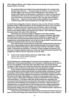**(1941). Sitting in Britain, while "highly civilized human beings are flying overhead, trying to kill me," he wrote:**

 **One rapid but fairly sure guide to the social atmosphere of a country is the parade-step of its army. … The goose-step, for instance, is one of the most horrible sights in the world, far more terrifying than a dive-bomber. It is simply an affirmation of naked power; contained in it, quite consciously and intentionally, is the vision of a boot crashing down on a face. Its ugliness is part of its essence, for what it is saying is 'Yes, I am ugly, and you daren't laugh at me.' … Beyond a certain point, military display is only possible in countries where the common people dare not laugh at the army.**

**In anti-Fascist propaganda, however, the goose-step was also ridiculed. As Mark Scheffler writes in "Marching Orders: Goose-stepping, the dance craze of tyrants" (***Slate.com***): "Where there isn't revulsion, there's humour. Years of sarcastic derision —both in the popular culture at large and by comedians such as Mel Brooks and ex-Monty Python cast member John Cleese—have ultimately relegated the goose-step to the realm of the ridiculous."**

**Historically, the American pledge of allegiance to the flag ("I pledge allegiance to my Flag and the Republic for which it stands; one Nation, indivisible, with Liberty and Justice for all"), written by Francis Bellamy in August 1892, had the palm of the hand turned downwards until the words "to my flag," when, as suggested by James Bailey Upham, who wrote the original drafts, it was then turned upwards and held like that to the end of the affirmation.**

**Even with the palm turned upwards, people later realized that the palm-down part of the original pledge had been appropriated (possibly from American films) by Germany's National Socialists, which converted it into the "Heil Hitler" military salute. To eliminate any similarity or confusion in these straight-arm gestures, the American Congress adopted a bent arm, hand-over-the-heart gesture instead of the straight-arm salute in the U.S. Flag Code of June 22, 1942.**

**1.2 Child's Chair, Gustav Stickley (American, 1858–1942), c. 1905** Quarter sawn oak with leather upholstery 60.3 (h) x 35.6 x 33.0 cm

**Gustav Stickley was a leading figure in American Arts and Crafts, his company's introduction of the experimental New Line of furniture in 1900 doing much to launch the form and aesthetic of the style. New York State-based, the Gustav Stickley Company in 1903 became the Craftsmen Workshops, and while remaining primarily a furniture maker, branched out into other areas, including home design.** 

**In the context of rapid industrialization, the philosophical aesthetic of the Arts and Craft Movement inclined towards plain and simple design emphasizing "honest" and quality craftsmanship to afford any household well-designed furniture that was good for the soul and mind. Stickley incorporated an old Flemish craftsman's phrase,**  *Als ik Kan* **(To the Best of My Ability), in a number of his branding marks. It was a "back-to-basics" philosophy of integrity, of objects crafted with "honest materials and honest labour," of furniture made with sturdy hardwoods in geometric and vernacular forms that primarily served function. Decoration was often limited to the natural look of the materials or to the details of construction—large key tenons or exposed joinery, for example. Much of the furniture, even the cheaper-quality items, lasted for years. Evolving to some degree out of Gothic furniture, Shaker furniture and Japanese designs, the Arts and Craft style's "form-follows-function" approach to design was also a critical precursor to Modernism**

**American Arts and Crafts was a high-minded movement. The desire was to go back to a time when things were made by hand––the era of guilds. It was a reaction**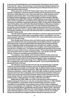**to the forces of industrialization and mechanization that began to drive society**  in the later 19<sup>th</sup> century. The movement's work expressed a wistful longing for an **earlier age that valued individual craftsmanship and a lifestyle that was more in harmony with the natural world.** 

**At the same time, as Kevin W. Tucker makes clear in his survey of the evolution of Stickley's enterprise (***Gustav Stickley and the American Arts & Crafts Movement***, Dallas Museum of Art, Yale University Press, 2010), Stickley and his designers were keenly aware of and influenced by the work of contemporary European furniture designers, such as the English architect-designer, Mackay Hugh Baillie Scott (1865–1945). Stickley visited England and purchased furniture there, and the transatlantic connections of his approach were readily appreciated. Reviewing an exhibition organized by Stickley in 1903,** *The Rochester Herald* **noted under the headline,** *Arts and Crafts: Wonderful Exhibition in Mechanics Institute***: "Every bit of the furniture is made by hand. The big old fashioned [settles] and the goodly proportioned Morris chairs suggest some baronial hall or some rustic English country seat. There is a dining room, all furnished, every article handmade. It is indeed a revelation to one who has lived all his life in a machine-made world" (quoted in Tucker, p. 44).** 

**The tall, butterfly-jointed settle in Hendeles's collection appeared in that 1903 show, introduced as a unique piece and perhaps made on commission. The only extant example of this form, it is the model for the custom-fabricated versions used in** *From her wooden sleep…***.**

**Even though most American Arts and Crafts furniture was built by machine, consumers believed they were buying quality, handcrafted products, usually oak with strong joints. Arts and Crafts furniture functioned like a sturdy protective forest. Frequently slatted seating designs also included oak "settles," wooden benches with high backs as a protection from draughts, most frequently placed near the fire in a sitting room. The kitchen was particularly important as the central hearth of a house, where food is cooked and eaten. The practical design philosophy was expressed in down-to-earth moralizing mottos, such as this one for the kitchen: "A place for everything and everything in its place."**

**The aesthetic colour palette of the American Arts and Crafts school was philosophically based and essentially autumnal. It celebrated the harvest moment in the seasonal cycle of fall in the northern hemisphere, where everything is about to die in winter. But every spring, God, or Mother Nature, brings back new life, completing the cycle of birth, death and rebirth. This movement glorifies the glowing fall fruits of the land.** 

**The attempt to reconnect with some far-off, pre-industrial age is patently evident in prominent design elements, such as the medieval-looking leather coverings attached by large round-headed nails. As Wendy Kaplan wrote in** *The Arts and Crafts Movement in Europe & America, 1880–1920: Design for the Modern World* **(Thames and Hudson, London, 2004): "Arts and Crafts ornament was thus meant to carry the mind out to the countryside, just as the historical inspiration of Arts and Crafts work carries the mind back to the past. Nature and the past were the twin dream worlds of the 19th-century Romantic imagination, the opposites of the city and the modern. Antimodernism runs deep in the Arts and Crafts."**

**William Morris (1834–1896), one of the most important cultural voices in England during the Victorian era, was also an important influence. In 1903, Stickley even republished a compendium of his socialist writings about the current "conditions of manufacture" and outlining a vision for the modern enlightened factory in his magazine,** *The Craftsman***. Perhaps the most conspicuous production crossover between Morris and Stickley was the popular "Morris chair" referred to in the review of Stickley's 1903 show. It's a slant-backed, adjustable reading chair with moderately high arm rests on which one can balance a book. The original design was popularized in England by Morris himself, produced by his own**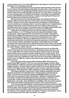**company, Morris & Co., from about 1866 based on the design of a chair found in the possession of an old Sussex carpenter.**

**Morris expressed disdain for the progressive dehumanization of the world in the 19th century. In keeping with his philosophy, the myth of the "noble savage" was revitalized in the form of a gratifyingly idealistic belief in living close to the land, in harmony with it and not disturbing the environment. One uses what one needs and no more, allowing nature to replenish itself. Whole communities were established on Arts and Crafts Movement principles, a leading one being Roycroft House and the Roycrofters Group in East Aurora, New York.**

**But the American Arts and Crafts philosophy of handmade products of integrity, utility and simple style was not the reason why most people bought the furniture. Indeed, the movement was beset with contradictions. As Stickley grew more successful, he increasingly relied on machines, albeit never in the grim factory settings characteristic of other industries and never utilizing a dehumanizing assembly-line process. However, his business was increasingly caught between the ideals of the Arts and Crafts Movement and commercial practicalities.**

**Unlike the more flexible and more commercial company formed by his younger brothers, L. & J. G. Stickley, Gustav was staunchly unwilling to make compromises. Tucker argues that his commitment to the ideals "was genuine, leaving him to obligate his financial resources to championing its principles and works, well beyond the point when it was commercially logical to do so. Both idealistic and ambitious, Stickley can rightly be perceived as one who was particularly well suited to reconcile the progressive aspirations of early twentiethcentury America with the established principles of the English Arts and Crafts movement of the nineteenth-century, with its exhortation of the virtues of the simple life, celebration of the handmade, expression of natural materials, and emphasis on the unity of design, creation, and use."** 

**In the end, the American Arts and Craft Movement was not commercially viable and devolved into a trend of the times. Handmade furniture was then, as it is now, costly. With much of the American furniture made by machine, the sturdy pieces had become accessible to a wider market but never a mass market. That, ironically, became the preserve of the mail-order enterprise of Sears Roebuck and Company, which was established in 1893. This was how most people outfitted their homes. In fact, by 1908, the company sold entire houses as kits, marketed as Sears Modern Homes.**

**By the time Roycrofters founder Elbert Hubbard (1856–1915) died in the sinking of the RMS** *Lusitania* **in 1915, the movement was already in decline. When Gustav Stickley's Craftsmen enterprise went bankrupt in 1916, he moved in with his daughter, Barbara, and lived with her until his death 23 years later. Modernism and Art Deco had begun to thrive, alongside the return to luxury materials and design extravagance. After World War I, tastes changed and other philosophies prevailed.** 

**Summing up Stickley's achievement, Tucker might be speaking by extension about the whole Arts and Crafts Movement: "Having shaped a style through his efforts, he found that it could not be sustained indefinitely within a consumer culture driven by changes in fashion. Nonetheless, Stickley's underlying principles of carefully considered and emphasized function, proportions, materials, and construction, would resonate throughout the following decades as a precursor to Modernism's own tenets, which glorified the possibilities of the city and the machine over the Arts and Crafts movement and its romance of the country and nature."**

**Just a few decades after Stickley went bankrupt and American Arts and Crafts had gone out of style, Morris's writings would experience a resurgence in popularity and find a place in the development of Germany's post-World War I sentimental and patriotic interest in folklore, with its attendant back-to-the-land movement. The embrace of the** *völkisch***, with its connotations of folklore and populism, comes out of the German term** *Das Volk* **("The People" as a nation).**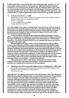**In 1932, Adolf Hitler conceived the idea of the Volkswagen (the "people's car") at a time when only the economic elite owned cars. Hitler believed that everyone should own a car and enjoy it for vacation travel. He called the 1936 version of the car, which, Ferdinand Porsche designed, the KdF-Wagen ("Kraft durch Freude" or "Strength through Joy"). His, too, was an anti-urban populism that aspired to a selfsufficient life in a mystical relationship with the land. Another good idea going bad.**

#### **1.3 Cobweb card, German, c. 1840**

 Watercolour country scene. Pulling up the centre string creates a paper cage and reveals a watercolour of a songbird on a perch 10.5 cm, in diameter 7.0 cm in height when suspended Frame: 30.8 x 30.8 x 4.8 cm

**The child manikin in the vitrine is holding in her hand what turns out to be the final filmic frame of an animated paper puzzle. She is showing the Mother Goose figure the answer to the riddle of what is inside the antique card beneath the romantic pastoral scene (a foretaste of later sentimental longing in the Arts and Crafts movement). It is a small magic trick.**

**In the book** *Eyes, Lies and Illusions* **(Hayward Gallery Publishing, London, 2004), a catalogue for an exhibition of curiosities from the Werner Nekes Collection, this type of intricately cut, handmade paper is also described as a "beehive paper animation." The Werner Nekes Collection has an example that opens up to show a rat caught in the paper cage.**

**Propped against the child's chair is a frame displaying the original antique cobweb card closed; the exhibition replica hanging open from the manikin's hand was crafted by artist David Armstrong Six. It is as if she has brought the card to the**  *Antiques Roadshow***, the popular television series that originated in Britain in 1979 but has given rise to similar shows elsewhere. In North America, the Public Broadcasting Service has touted its series at its "most watched, thanks to an addictive mix of suspense, history, and dramatic revelations—in bite-sized segments. It's the alchemy of turning trash into treasure (and sometimes vice versa) before our very eyes, performed by some of the world's most adept antiques and collectibles experts. Each appraisal reveals a new surprise — and that never gets old."**

**The appraisers are often noted dealers, themselves in search of fresh material to sell in their own shops and auctions. Their knowledgeable status functions as a calling card to lure items to the marketplace.**

**1.4 Handbag in form of French poodle, Belgian (made for Walborg Corp., USA), 1950s** Handmade beaded purse with hand-strap at collar and concealed zippered back, Walborg Corp. label affixed to interior of purse 33 x 27.9 x 12.7 cm

**Although there is no general agreement on the exact timeline, Hilde Cahn Weinberg (1905–1976) founded the Walborg Corp. as a specialist manufacturer of high-fashion purses and bags in the late 1940s. She had been an executive in a cosmetics company, although her involvement in that industry seems to have come to an end after she and the distribution company of which she was vice-president were charged and found guilty of trading in cleansing creams adulterated with "uncertified coal-tar colours" (she was put on probation for one year and, along with the company, fined US\$1,500). She then apparently studied bag design and construction for a period before launching what through the 1950s and 1960s would become a very successful enterprise. Besides running the company alongside her husband, she also served as its chief designer. Her beaded bags were particularly notable and popular, valued not only for their design but also for**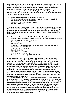**their first-class construction. In the 1950s, most of them were made in Italy, France or Belgium, although later, for economic reasons, manufacture shifted to Asia. An astute businesswoman, Hilde maintained a high-profile, central location for the company on Madison Avenue, she and her husband were prominent in New York's commercial society, and she would be officially honoured by Belgium, Italy and Hungary for her role in developing international markets. The company was sold in 1974, two years before her death.**

**1.5 Custom-made disassemblable display vitrine, 2005** Mahogany, linen, double curved glass showcase with bow front and back, side doors (keyed) for access, brass hardware Fabricated by Michael Buchanan, Toronto 204.5 (h) x 177.0 x 156.1 cm

**The choice of wood, mouldings and fittings references well-appointed, 19th-century libraries. The double-curved glass panels reference snow globes and 19th-century museum dioramas, while the surrealist reflections created under the exhibition lighting recall the ghostly imagery captured in Eugène Atget's photographs of Paris store fronts.**

**2.** *Denslow's Mother Goose***, McClure Philips, New York, 1901** Illustrated by William Wallace Denslow (American, 1956–1915), verses hand-lettered by Frederic Goudy (American, 1865–1947) Colour lithographic process, cloth-bound First edition issue Presented on a stand as a book in the vitrine, and with the pages in a grid of 49 ebonized oak frames on the wall. Stand: 20.3 (h) x 17.8 x 8.9 cm Book: 28.3 x 22.5 x 1.9 cm Each sheet: 27.6 x 21.6 cm Each frame: 51.9 x 35.6 x 3.2 cm Overall installation (frames): 250.5 x 363.7 x 3.2 cm

**Frederic W. Goudy was a world-renowned type designer whose classic fonts, created in consciously archaic styles, are still widely used. Goudy drew all his letters by hand, and would not let the large commercial foundries translate his designs into commercial type. He also insisted on achieving a hand-lettered look in lithographed books, such as the Denslow on display. To achieve his vision of a harmony of design and production, he opened his own foundry in 1925, personally engraving his matrices. After the enterprise ran into economic difficulties, he went on to design type, becoming an instructor and lecturer for the next 50 years.**

**Goudy's attempt to capture the essence of what is handmade even though it would be realized by machine in the printing process is an example of a cultural dichotomy in his own time. In our own time, his handcrafted fonts have been made available digitally for mass use.**

**William Wallace Denslow was the original illustrator of L. Frank Baum's** *The Wonderful Wizard of Oz* **(1900) and held, with Baum, joint copyright to the book. With his portion of the royalties from the book and its first staging (as** *The Wizard of Oz),*  **Denslow bought himself an island off Bermuda, crowned himself King Denslow I, drank away his money and died of pneumonia in obscurity. Denslow and Baum achieved their first success with** *Father Goose, His Story* **in 1899, one year before the** *Oz* **book. By the time Denslow produced the Mother Goose volume two years after, his playful, juvenile style was well-established and hugely popular, albeit some renderings of non-white characters, although innocently conceived, are considered offensive caricatures today.**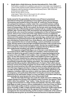**3.** *Quelle Idole* **or** *Kelly Doll* **purse, Hermès International S.A., Paris, 2000** Swift leather; posable arms, palladium eyes and turn-lock clasp nose; displayed on custom white-painted wooden pedestal and linen-covered riser, under acrylic cover Designed under the direction of Jean-Louis Dumas (French, 1938–2010) and produced as an edition of 50 Purse: 18.4 (h) x 16.5 x 11.4 cm Linen risers: 7.6(h) x 21.6 x 21.6 cm and 1.0 x 19.1 x 8.9 cm Pedestal with cover: 150 (h) x 38.1 x 38.1 cm

**Family-owned for five generations, Hermès is one of France's preeminent international enterprises specializing in luxury fashion goods and accessories.**  The business was founded in Paris in the early 19<sup>th</sup> century by Thomas Hermès, **who parlayed his training as a leather maker into a successful business crafting harnesses and other related goods for an age in which horses provided the main means of transportation. By the mid-century, the Hermès name was already widely respected for fine craftsmanship and the company built up a wealthy and influential clientele. After Thomas died in 1878, the business was developed by his son, Charles-Emile, who moved the business's headquarters to Rue du Faubourg Saint-Honoré, where it now counts most of the major fashion houses as neighbours. The company's early focus on leather goods for the horse-and-carriage trade, still referenced in the graphic that is part of the corporate logo, continued up to the rapid development of mechanized transport after World War I. By this time, the company was controlled by Charles-Emile's son, Emile-Maurice, who, through the interwar years, expanded the lines to include handbags, couture and fashion accessories. Today, Hermès stands as the last high-end global brand that is still in private hands. While most other luxury brands have gone public, Hermès has resisted takeover, most recently the controversial and bitterly contested attempt by Maisons LVMH (the conglomerate including Louis Vuitton and Moët Hennessy).** 

**The trapezium-shaped Kelly Bag is one of Hermès's most distinctive and successful products. With long handles and a studded, reinforced bottom that allows it to stand on the ground, it owes its origins to a large bag designed by the company in the early 1890s to hold saddles. It was redesigned in the 1920s to fit into a car door (the primary purpose still to hold saddles) and then again in the 1930s, when it was refashioned as a spacious travel bag called a** *sac à dépêches***. The bag remained a low-key element in the Hermès line until the mid-1950s, when its popularity surged through celebrity association. The costume designer Edith Head used Hermès products in Alfred Hitchcock's** *To Catch a Thief***, which starred American actress Grace Kelly alongside Cary Grant. Kelly's first encounter with the bag in the movie turned her into a life-long customer as well as (albeit inadvertently) one of the bag's biggest advertisers when she was frequently photographed with one after she became Princess Grace of Monaco. Photos of Kelly appearing in** *Life* **magazine, including a 1956 cover photo in which she clearly uses the bag to hide her pregnancy, were particularly influential in turning the accessory into a fashion statement for the well-heeled. Indeed, so close was Kelly's association with the bag that eventually her name became the name of the product itself.**

**Only 50 of the Kelly Doll bags were made (for adults and not for children), the vintage example from Europe in the exhibition made of smooth, fine-grained "Swift" leather rather than pebbled "Togo" leather. Today, Hermès uses the "Kelly" name on bags and accessories in a range of sizes and materials. Very few of the original Kelly Bags are made, however, and are unattainable for most even if they can afford them. Some high-profile would-be customers have been turned away at Hermès stores, including, in 2005, a widely reported rebuke of American media mogul Oprah Winfrey, who was turned away from the signature Paris boutique. The company apologized for the misunderstanding, but the incident is emblematic of the extent of exclusivity that has grown up around the brand and become an important element**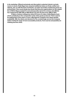**in its marketing. Offered exclusively and discreetly to selected clients in private rooms in stores, Kelly Bags have acquired additional status as finely crafted rare objects, and, as with the best of artworks, an active secondary market has grown up around them. One recent study has shown that the price appreciation for the related line of Birkin Bags (created for and subsequently named for actress Jane Birkin) has outpaced the S&P 500 on Wall Street over the 35 years from 1980 to 2015.** 

**It takes a trained craftsperson about 25 hours to make a Kelly Bag by hand, which contributes to the comparative rarity of the goods produced. There used to be waiting lists of five years or more, although the company now claims greater availability. Still, the desire and demand for the coveted bags serves the company well to market its range of more-accessible products, from scarves and jewellery to clothing and fine china.**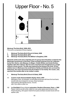## Upper Floor - No. 5



### *Marburg! The Early Bird!***, 2008–2016**

This work is composed of three chapters:

- **I.** *Marburg! The Early Bird! (Church & State)***, 2008**
- **II.** *Marburg! The Early Bird!***, 2010**
- **III.** *Marburg! The Early Bird! (The Milliner's Daughter)***, 2016**

**Elements of this work were originally part of a group show Hendeles curated for the Marburger Kunstverein in Germany. It also included artworks from her collection by Ian Carr-Harris, John Massey, Liz Magor, Colette Whiten and André Kertész, together with other objects. She has since reworked and reimagined it as a single artwork in three scenes. The title was inspired by the timing of her birth. Of four children born in Marburg to the small flock of family and friends who survived the Holocaust, she came second but was the firstborn in her family. Her cousin, Joel, was born five months after to her mother's sister.**

- **1.** *Marburg! The Early Bird! (Church & State)***, 2008**
- **1.1 Custom-made disassemblable display vitrine, 2010** Mahogany, linen, six-paneled, curved-glass showcase with bow front and back, double side doors (keyed) for access, brass hardware Fabricated by Michael Buchanan, Toronto 252.7 (h) x 350.5 x 238.1 cm
- **1.2** *Le Chat Bott*é (Puss in Boots) **automaton, Roullet et Decamps, Paris, c. 1900** Papier-mâché cat with white, rabbit-fur coat, green glass eyes and pink nose Posed standing, with papier-mâché front paws and black wooden boots with tan leather cuffs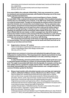Internal key-wind clockwork mechanism activates head, hands and internal music box, original key Metal lift-up lever located at belly starts and stops mechanism 36.2 (h) x 16.5 x 12.1 cm

**From about 1860 to the outbreak of World War I, Paris was renowned as a centre for clockwork and mechanical automata, with Roullet et Decamps one of the most highly regarded manufacturers.** 

**The automaton here represents a much-loved figure in France. Charles Perrault (1623–1703), a retired civil servant and a member of the Académie française, told the tale of** *Le Chat Bott***é, Puss in Boots, in his 1697 book of fairy tales,** *Histoires ou contes du temps pass***é. Though not necessarily the earliest version of the story about the trickster cat, it remains the most widely known. The toy automaton also has a windup, mechanical musical instrument embedded in its body. After winding, music plays as the figure turns its head from side to side and its hands rotate at the wrists as though opening or closing a sack, or conniving its next move. The standing cat automaton and its movements reflect details of the story. At the outset, Puss in Boots tells his new master, a miller's youngest son, that all he needs to improve his master's fortune as the poorest of the three inheritors is a pair of boots to walk in the woods and a pouch or sack. The cat uses the pouch to trap animals and birds and carry them as gifts to curry favour with the king.**

**The cat perches precariously on the back of a high-flying eagle that looks as if it has just landed. The cat's head rotates and its hands twirl back and forth as he conjures up new ideas and new tricks.**

#### **1.3 Eagle lectern, German, 19th century**

 Hand-carved oak on a previously truncated post; custom-made wooden shelf; custom-made Belgian Black (Noir Belge) marble base 105.4 (h) x 87.6 x 71.1 cm

**Eagle lecterns are common in churches and cathedrals throughout Europe, some dating back to medieval times. This imposing lectern depicts a proud bird, its wings outstretched and its head cocked attentively to one side, clutching a dragon or winged serpent.** 

**In early Christianity, pictorial symbols taken from the natural world were used to represent people and ideas as a means of communication before the advent of print. The eagle is associated with Saint John the Apostle, for example, and has also been widely used as a symbol for angels and for Christ. The latter is perhaps the more likely representation here, since it holds dominion over a winged serpent, a common Christian symbol for the Devil.**

**1.4 Bisque-head manikin with articulated wooden arms and legs and regimental uniform, attributed to Maison Jumeau, Montreuil-sous-Bois, France, c. 1885** Hand-sculpted and -painted bisque head with brown glass eyes on original twill-over-form torso; wooden limbs dowel-jointed for infinite articulation at the shoulders, elbows, wrists, hips and knees; wooden hands with fully articulated finger joints; carved knee-high boots with applied gilded decorations Original blue and white wool regimental uniform, including golden brass buttons embossed with the French Imperial eagle, grasping a thunderbolt in its talons with a crown above its head; original wig made of natural hair Labelled "Musée Grévin, 10 Bd Montmartre, Paris 9e" on the inside of the waist of the wool trousers; "Grenadier" is hand-written on the label]

Body form stamped "Stockman, Paris"

 Undervest and overcoat hand-labelled "Junot" Possible reference to Jean-Andoche Junot (1771–1813), who participated in the French Revolutionary War and became a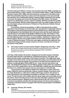First Empire General Overall: 170.8 (h) x 48.9 x 27.9 cm Bisque-head: 24.1 (h) x 19.1 x 22.2 cm

**The doll-making firm Maison Jumeau was founded in the early 1840s, originally as a partnership between a ship's captain, Louis-Desire Belton (died c. 1846), and Pierre-François Jumeau (1811–1895), who had worked as a young man in the fabric trade. After the partnership dissolved, Jumeau went into business on his own and built his enterprise into a leading doll-making company highly respected for the quality of its work. Its heyday was in the final decades of the 19th century. The bisque head here is attributed to Jumeau, based on stylistic attributes and the fine quality of the workmanship. With its unique bisque face, this is an adult manikin version of the articulated Jumeau doll shown in** *Predators & Prey (Denslow's Mother Goose)* **(Toronto, 2006).** 

**According to verbal documentation, in 1885 or thereabouts the manikin appeared in the workshop of a French tailor who specialized in regimental uniforms. The uniform is that of the Imperial Guard, which started out as a small elite corps serving Napoleon I but developed into a full-scale army over the years leading up to the Emperor's final defeat at the Battle of Waterloo in 1815. The buttons on the uniform, which are embossed with the French Imperial Eagle flying under a crown and with lightning bolts in its talons, are key identifiers. Napoleon's regiments, like Roman legions, liked to carry eagle emblems at their head and their capture was a mark of defeat and shame. The bronze-cast eagles carried by the regiments had outstretched wings and their heads cocked to one side, much like the carving on the lectern in this vitrine.** 

**1.5 Percussion-action truncheon pistol, English, designed by John Day, c. 1830** Brass, with an eagle-head handle containing compartment for shot, swamped blunderbuss barrel and screw-affixed metal label ("DAY's PATENT") 40.0 (h) x 7.6 x 3.5 cm

**John Day, of Barnstable, Devonshire, designed and invented weapons intended for police enforcement or self-defence, including truncheons, cane guns, rifle sticks and this unique combination of truncheon and pistol. The eagle head, large enough to store three shots, screws off, and the percussion-cap mechanism has an ingenious under-hammer design. An innovator in his field, Day was granted many patents, including English Patent #4861 for an "under-hammer percussion-cap lock." He designed the weapon around 1823 to supply London police (an organized police force in the capital wasn't set up until 1829) with a reliable gun and truncheon, but there is no evidence the weapon was ever purchased or used officially.**

**The truncheon in the tableau is hidden from sight when a visitor enters the gallery. While the vitrine presents like a history museum display, it functions more as a book illustration or a film frame. Unlike a flat image, however, this picture is three-dimensional, free-standing and viewable on all sides. It is a sculpture in the round. The full scenario only unfolds when the viewer approaches and walks around the vitrine. There to be discovered on the lap of the male figure, gripped in his hand, is the cocked truncheon. Staged to pose a direct threat to the cat's survival, the truncheon immediately animates the interplay between the three primary players and piques individual viewers to grapple with what this psychological constellation might mean.**

#### **1.6 Armchair, Chinese, 20th century**

Mahogany

 Chair form and hand-carved decorations incorporate elements typically found in furniture of the late Ming period (early to mid-17th century), towards the end of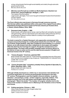a long-ruling dynasty that brought social stability and orderly though autocratic government to China. 88.3 (h) x 55.8 x 55.2 cm

#### **1.7** *Märchen nach Perrault neu erzählt von Moritz Hartmann. Illustriert von Gustav Dor*é**, Eduard Hallberger, Stuttgart, c. 1870**  Two copies of the third edition

 Large quarto, gilt edges. Front cover has gold-embossed Gustave Doré illustration of Puss in Boots 35.7 (h) x 29.2 x 2.2 cm

**The** *Puss in Boots* **story was known in Germany through numerous sources. This German edition was published within a few years of the original French edition illustrated by Gustave Doré (***Les Contes de Perrault, dessins par Gustave Dor***é, J. Hetzel, Libraire-Éditeur, Paris, 1862).** 

#### **1.8 Davenport desk, English, c. 1880**

 Exotic woods, with burled-walnut veneer, slant top fitted with red leather decorated with gold tooling, with four side drawers and a decorative railing at the top with four small drawers; finished on all four sides for a variety of room placements 94.0 (h) x 61.6 x 58.4 cm

**The desk is named for a Captain Davenport, who apparently commissioned this compact and practical design for a writing desk towards the end of the 18th century. The inclined, hinged desktop, rather like a traditional school desktop, is a common feature, as are side drawers and other cubbyholes to store paper and supplies. Often the desk has two front legs for support, though the example here is of a pedestal design. The desk is like portable campaign desks carried by officers to the field (or to sea) on active service and the style became popular in English and**  American homes in the 19<sup>th</sup> century.

### **1.9 "Canary Songster," American, patented 1923** Brass whistle with water reservoir. Three of the four examples here are of the same form, but only one is marked on top of reservoir: "RISDON MFG CO. NAUGATUCK, CONN. PAT. 3-13-23 USA" 9.2 (h) x 8.2 x 2.9 cm

**1.10 "Canary Songster (fat)," unmarked, probably Victory Sparkler & Specialty Co., Elkton, Maryland, USA, c. 1925** Brass whistle with water reservoir 10.8 (h) x 5.7 x 2.9 cm

**Although initially developed as a child's toy or amusement, bird whistles had a practical application as commercial photography developed in the later 19th century. Photographers used the brightly coloured whistles -to get the attention—and perhaps a smile—of their subjects, especially children. This simple tool gave rise to the still widely used English idiom when taking a photograph: "Watch the birdie!" The number of songster whistles here is the same as the number of children born in Marburg in the Hendeles circle of family and friends.** 

**1.11 Folding spectacles, Chinese, c. 1850** Glass; brass fittings and clasp; hinged rubber foot Closed:  $6.4$  (h)  $x$  4.4  $x$  0.8 cm Open: 7.0 (h) x 10.5 x 2.6 cm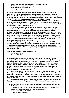**1.12 Oversize pince-nez, unknown maker, early 20th century** Tortoiseshell, glass and bronze fittings Store-window advertising item 35.5 (h) x 19 x 5 cm

**A pair of Chinese folding spectacles are on the right side of the book. The eyepiece on the left is a pince-nez. Although the pince-nez design has been traced back as far as the 15th century, the style of eyewear became increasingly common around the mid-19th century, reaching its peak popularity in the 1880s and**  1890s. The fashion for pince-nez died out by the mid-20<sup>th</sup> century.

**The pince-nez here is partially constructed of tortoiseshell. The material is obtained from the shell of a turtle, traditionally the Hawksbill. Over the years, demand put so much pressure on this natural source that the use of tortoiseshell is now illegal in many parts of the world.** 

**The text in the open book on the Davenport desk is displayed in another element outside the vitrine but on a gigantic scale, as are the four engravings that illustrate the story. The enlargements highlight details that may be difficult to discern and admire in the original volumes. Enlarged scale not only augments images physically, but can also amplify our appreciation. Items in differing scales have a significant effect on our visceral experience of the world. They can startle and enchant us with memories that take us back to feelings we had as children, giving us permission to escape into the realm of fantasies and dreams and possibly gain access to our inner reality.**

**Marburg has Germany's largest school for the blind. In the Carl-Strehl-Schule, assistants help with research, photocopying and recording texts on tape. The entire town is navigable by the visually impaired. Indeed, with the help of elevators and special lights at every crossing, young people with white canes are part of everyday life.**

**1.13 Sighthound stirrup cup, British, c. 1840** Hand-carved ivory 6.4 (h) x 16.8 x 6.0 cm

**A stirrup cup was traditionally a drink served to departing guests when they already had their feet in the stirrups and were ready to ride away. (In later idiom, the parting drink would be referred to as "one for the road.") A stirrup cup also became the name of the drink offered to mounted hunters before they rode to hounds, and, by extrapolation, of the cup in which the drink was served. Such hunting cups developed as a distinctive art form, usually crafted in silver and in the shape of a fox's head or, less often, that of a hare or a hound. This finely carved stirrup cup is of a sighthound.**

**Over thousands of years, these have been bred to sight their prey first and then to pursue and kill through speed and strength. There are numerous breeds of sighthounds, including smaller-framed animals such as whippets and greyhounds (prized particularly for their speed) and larger dogs like Scottish deerhounds and Irish wolfhounds.**

**Like tortoiseshell, the use of ivory is now illegal in many countries because its acquisition involves killing elephants, which are an endangered species.**

**1.14 Anatomical teaching model of human eye, German, workshop of Stephan Zick, 18th century**

 Turned ivory, wood, glass, the carved eye parts contained in an ornate cup that also serves as a display stand for the assembled piece Displayed: 15.2 (h) x 4.4 x 4.1 cm Stored: 14.3 (h) x 4.4 x 4.4 cm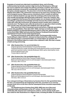**Examples of carved ivory date back to prehistoric times, and in Europe, craftsmanship had already reached a high level by the Renaissance. Although the source material came mainly from African and Asian countries, there were already workshops renowned for working with ivory before the age of concerted European colonial expansion. The piece here is from the Nuremberg workshop of Stephan Zick (1639–1715), well known in Europe for his exact ivory carvings of eyes and of pregnant women. Many sources characterize Zick's models as teaching tools for medical students in an age when the workings of the human body were only recently and perhaps still imprecisely understood. There has, however, also been a suggestion that because the internal organs are not always exactly located according to contemporary knowledge (and also because the models were often made with coffin-like enclosures), the pregnant women models were created as**  *memento mori***. The figures were, after all, produced in an age when infant mortality rates and the risks associated with childbirth were still quite high.**

**Zick came from a line of renowned carvers and turners, originally specializing in wood. His grandfather, Peter Zick (1521–1629), had been an instructor of the Emperor Rudolf II, an important Renaissance patron of the arts, while his father, Lorenz Zick (1594–1666), had instructed the Emperor Ferdinand III and held the appointment of Crown Turner to the Imperial Court.** 

**Carving and turning are quite distinct skills. Carving generally involves handcrafting an object held firm, whereas turning involves the cutting and shaping of an object turning in a mechanical lathe. In a turned object, for example, the thinness of the finished object is a mark of the craftsman's skill. Zick was a master of both carving and turning.** 

#### **1.15** *After Gustave Dor*é: Der gestiefel*te Kater (1.)*

Original signed by Doré & Adolphe-François Pannemaker Oversize book-form model: two black-and-white pigment prints on archival paper; gold hand-painted medium-density fibreboard; fabric spine; black leather cover; archival adhesive tape; glue 7.0 (h) x 230.5 x 145.4 cm

## **1.16** *After Gustave Dor*é*: Der gestiefelte Kater (2.)*

Original signed by Doré & Jean François Prosper Delduc Black-and-white pigment print on archival paper in ebonized poplar frame 124.9 (h) x 156.1 x 5.2 cm

## **1.17** *After Gustave Dor*é*: Der gestiefelte Kater (3.)*

Original signed by Doré & Héliodore-Joseph Pisan Black-and-white pigment print on archival paper, ebonized poplar frame 156.1 (h) x 124.9 x 5.2 cm

#### **1.18** *After Gustave Dor*é*: Der gestiefelte Kater (4.)*

Original signed by Doré & Adolphe-François Pannemaker Black-and-white pigment print on archival paper, ebonized poplar frame 124.9 (h) x 156.1 x 5.2 cm

**Four enlarged etchings of illustrations by Gustave Doré for** *Der gestiefelte Kater***, the first, accompanied by the beginning of the text, mounted on an oversize wooden book form on the floor and the subsequent three mounted sequentially on the wall.** 

**The Strasbourg-born Gustave Doré (1832–1883) was one of the most**  influential artists and illustrators of the 19<sup>th</sup> century. He was equally at ease **artistically with classical and contemporary authors, and he and his studio were also noted for their illustrations for religious texts, including the Bible. So influential**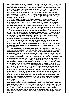**were Doré's designs that in some cases they had a defining impact on the way their subjects would subsequently be perceived and imagined. These are the four Doré illustrations for** *Der gestiefelte Kater***, originally drawn and engraved for** *Les contes de Perrault, dessins par Gustave Dor***é, published by J. Hetzel, Libraire-Éditeur, Paris, in 1862. These illustrations were subsequently published in** *M***ärchen** *nach Perrault neu erzählt von Moritz Hartmann* **in the next decade. The illustrations were created from Doré's drawings by three master engravers: Adolphe-François Pannemaker (1822–1900), Héliodore-Joseph Pisan (1822–1890) and Jean François Prosper Delduc (1829–1885).** 

**The first Doré illustration, in the oversize book-form model, shows Puss in Boots on the riverbank as the King's carriage approaches, calling for help and claiming his master is drowning. The cat wins the King's sympathy with an elaborate lie about how his master, the miller's son—Puss represents the boy as the Marquis of Carabas—has had his clothes stolen by thieves. This is the first of the charades engineered by the cat that will eventually end in the so-called Marquis acquiring a castle, great wealth and the hand of the King's daughter.** 

**In the illustration at left on the back wall, Puss in Boots is threatening local farmers harvesting their fields with dire consequences if they do not tell the king, who is approaching in his horse-drawn carriage behind the cat, that all the lands around belong to his master. In the background to the right is the ogre's castle.** 

**In the middle illustration, Puss is asking local farmers about the wealthy ogre before he enters his castle, which sits high on the hill behind.** 

**In the illustration at right, Puss is in the castle with the wealthy ogre, who is seated on an eagle-like throne chair at a table filled with food (complete with human babies on a platter) because he is expecting guests to a feast. The image of the bird of prey harkens back to the eagle lectern in** *Marburg! The Early Bird! (Church & State)*

**Once inside the castle, Puss tricks the ogre by asking him to show how he can transform himself into other animals. First, he asks him to transform himself into something big, like an elephant or a lion. After feigning fear at the sight of the lion, Puss asks the ogre if he can transform himself into something very small, like a cat or rat. When the ogre becomes a rat, the cat eats him and gains the castle for his master. When the King arrives with his daughter, Puss suggests the miller's son has prepared the feast for them. In another example of popular culture crossing over to high art, composer Richard Wagner (1813–1883) would adapt this episode for Wotan and Loge to capture Alberich and the gold in Scene III of the 1869 music drama,** *Das Rheingold* **(composition completed 1854, first performed 1869).** 

**Trickster cats have turned up in some guise in stories that predate Charles**  Perrault's first literary treatment in the late 17<sup>th</sup> century, including a collection of **5th-century Hindu tales and earlier 16th-century Italian publications. Animals with human (or even superhuman) powers are a common phenomenon across world cultures, and are still embraced by children in contemporary popular culture. There is, for example, a Puss in Boots character in the popular** *Shrek* **series of animated movies. The character—only loosely based on the Perrault original, insofar as the sanitized character does not lie and deceive—made its first appearance in** *Shrek 2* **(Dreamworks Animation, 2004) and its own spinoff** *Puss in Boots* **animated 3D movie in 2011.**

**In Germany, there is also a version of the** *Puss in Boots* **story in the collection of Jacob (1785–1863) and Wilhelm Grimm (1786–1859), whose interest in folk and fairy tales was first triggered by the jurist and historian Friedrich Carl von Savigny (1779–1861), one of their professors at the University of Marburg. Further north, about 30 km from Kassel along the heavily promoted** *Fairy Tale Route* **in German tourism, the borough of Oedelsheim in the Upper River Weser region has adopted** *Puss in Boots* **as its mascot, with the character representing the town in local events.**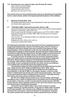#### **1.19 Oversize pince-nez, unknown maker, late 19th/early 20th century**

Glass, silver-over-bronze fittings Store-window advertising item Overall: 38.1 (h) x 118.1 x 2.5 cm Each lens: 45.7 (h) x 34.3 x 1.0 cm

**The oversize pince-nez here would have been used as an advertising and marketing tool for a store window, similar to the large bicycle bell elsewhere in the exhibition.** 

#### **2***. Marburg! The Early Bird!***, 2010**

 Handmade earthenware child's mug**;** lithographed tin-plate, key-wind clockwork toy; framed colour pigment print

#### **2.1 "THE EARLY BIRD," Saturday Evening Girls, Boston, 1909**

 Handmade earthenware mug, displayed on custom white-painted wooden pedestal and linen-covered riser, under acrylic cover

Child's mug incised with roosters on a green ground, and "THE • EARLY • BIRD" Painted by Frances Rocchi (1890–1965), 1909, as marked in ink on bottom: "SEG FR 26-5-09"

 Cup: 10 cm (h); 7.5 cm (diameter at base); 6 cm (diameter at top); 10 cm (overall width with handle)

 Pedestal with cover: 150 (h) x 38.1 x 38.1 cm Only known example with roosters

**The Saturday Evening Girls club was the product of forces reshaping America's**  burgeoning industrial urban centres in the last decades of the 19<sup>th</sup> century. In **architecture and interior design, there was a reaction to the effects of rapid industrialization. It found expression in the Arts and Crafts Movement, which, harking back longingly to medieval guilds, stressed individual craftsmanship and an interest in nature and the natural world. The high-minded movement strove to make good quality items affordable not just for the wealthy, but for everyman.** 

**In society, the pace of change in the role of women quickened as they took a more active part in social and economic life, particularly in health and education. Women played a big part in the Settlement House Movement, for example, which aimed to assist through education and other means the vast number of poor immigrants flocking to the urban centres and settling in overcrowded and economically depressed neighbourhoods.**

**The founding members of what would become the Saturday Evening Girls club—Edith Guerrier (1870–1958) and Edith Brown (1872–1932)—were both teaching in schools associated with the Settlement House Movement around Boston. In the fall of 1906, on a European vacation, a visit to a small pottery in Switzerland exposed the pair to folk and peasant pottery. This seems to have germinated the idea of adding pottery to Guerrier's Saturday Evening Girls club so the young women could earn a little money.**

**By 1911, the cottage industry had become very successful, with 60 girls spending an hour a week to maintain and run the pottery and 12 working full-time as decorators. It became a model of social activism and functioned until 1942. Frances Rocchi, whose signature mark is on the cup in this artwork, was among the first decorators employed by the pottery.**

**This small mug for children tells a story of two roosters in a power struggle. Perhaps as a double entendre, it may also for adults make a knowing nod to male sexuality. The cockerel on top of Marburg's clock-tower, which dominates the town square, was the inspiration for including the mug here. The tower remains from an earlier time, when it marked the hours for field**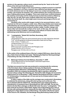**workers in the agrarian culture much romanticized by the "back-to-the-land" ethos of the Arts and Crafts Movement.** 

**The decorative image on the mug summons a playful scenario to entertain children. Hendeles's of it here, however, has a different and darker agenda. It is both whimsical and not. By taking it out of one context and putting it into another, she torques its meaning. The conflict between the roosters becomes a way of talking about power struggles. There were small-town conflicts between the existing community and the newly formed one that descended on Marburg after the war. As well, there were conflicts within this new community and within the family itself. So, what might seem innocent and benign at first is not necessarily so.**

**Hendeles often works with images rooted in her personal history, not to illustrate her life but to imagine a wider story. What may initially seem sweet and unthreatening can surprise and perhaps even shock a little as viewers realize the story has undercurrents moving to another reality. Conflict, danger and drama often lurk beneath the surface of her work. In this way, she can make art about the human condition, reflecting on the effects of trauma while also addressing social dilemmas such as assimilation.**

#### **2.2 "Ludwigsbahn," Model 325, Karl Bub, Nuremberg, 1935**

"Adler" locomotive

 Lithographed tin-plate, key-wind clockwork penny toy with original key stamped "K.B." and lithographed cardboard presentation base with box flaps Train: 4.8 (h) x 7.3 (diam.) cm Cardboard base: 0.2 x 17.5 x 17.5 cm Key: 3.2 x 3.5 x 0.6 cm (key) White wood wall-mounted vitrine with Plexiglas cover Overall: 28.6 (h) x 22.2 x 21.6 cm Plexiglas cover: 10.5 (h) x 22.2 x 21.6 cm

**In the centre of the cardboard base of the toy's original 1935 issue, where the train sits, a field of text in Fraktur font reads: "Nürnberg die Stadt der Reichsparteitage" ("Nuremberg, the City of the Reich's Party Rallies").** 

#### **2.3 Marburger Schloss from the Rathaus, December 1st, 2010** Colour pigment print on archival paper in ebonized maple frame 57.3 (h) x 49.5 x 3.5 cm

**This Nazi-era souvenir toy train was produced to commemorate the centenary of the first steam-driven railway system in Germany, the Bayerische Ludwigseisenbahn (Bavarian Ludwig Railway), also known as the Ludwigsbahn. Founded in 1833, the company was granted the right to operate a railroad by Bavaria's King Ludwig I the following year. Named the** *Adler* **(Eagle), the locomotive made its first run on December 7, 1835, between Nuremberg and Fürth, a distance of 7.45 kilometres. It could pull up to 12 cars and ran for 22 years before it was scrapped in 1857.**

**In 1935, a replica of the** *Adler* **and its carriages was constructed in Nuremberg to celebrate the anniversary, along with wind-up toys such as this one. The key is stamped with the initials K.B., indicating that it was made by Karl Bub, a manufacturer of clockwork toys in Nuremberg from 1851 until 1966. The toy was listed in the Karl Bub catalogue as Model 325 under the name "Ludwigsbahn." The base of the tin toy shows a silhouetted, skyline view of Nuremberg and a view of the train with waving bystanders, along with the dates 1835 and 1935. Three of the display box's flaps depict scenes of Nuremberg—the skyline with the two spires of the Church of St. Sebaldus, the Nürnberger Burg (Nuremburg Castle) and the**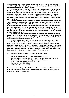**Sinwellturm (Sinwell Tower); the Henkersted (Hangman's Bridge); and the Heilig-**Geist-Spital (Holy Spirit Hospital), dating from the 14<sup>th</sup>-century. On the fourth flap is **a picture of the Rathaus (City Hall) in Fürth.**

**The toy celebrates a centenary that fell just weeks after the promulgation of the Nuremberg Laws, which would provide a quasi-legal framework for the Final Solution. The extensive and efficient German railway system, whose origins were celebrated in the Ludwigsbahn toy, would become an essential tool in this as the main means of transportation to the camps. After the war, what was left of the same rail system played a role in the re-establishment of the ruined state and countless ruined families.** 

**The photograph features the emblematic cockerel standing on the top of the 16th-century town hall in Marburg. It is part of the clockwork mechanism fabricated by Christoph Dohrn, dating from 1581. The mechanism controls the clock and bells in the tower as well as the cock and other figures near the clock face. These include the figure of Justice with a scale, a guardian with a trumpet and death with an hourglass. Marking the passage of time, a bell chimes the hour while the guardian's trumpet makes a comical, air generated sound like a foghorn and the cock appears to crow and flaps its wings.**

**In the background, the photograph shows the Marburger Schloss (Marburg Castle), with the chapel and south wing visible. The building as it stands today was largely complete by the end of the 1400s, though the origins of this fortified seat of secular power are considerably earlier.**

**The cardboard flaps of the toy's box show scenes of other German cities much like those that identify Marburg—a church, a castle, a hospital and a town hall. The toy train is destined to travel in a circle, like the German trains that took people to the camps and then away from them when the war was over—and like this narrative, which loops from the past to the present and round again. The present is haunted by the past; the reality and then the memory of the Holocaust is a terrible haunting f**or the victims, the perpetrators and the offspring of both.

#### **3.** *Marburg! The Early Bird! (The Milliner's Daughter)***, 2016**

#### **3.1 Gustave Doré (French, 1832–1883),** *Puss in Boots***, c. 1870**

 Oil on canvas, based after the artist's original woodcut design for the book *Les Contes de Perrault* (Paris, 1862). Signed "G Doré" at lower left. In period hand-carved and plastered gilt frame Canvas: 76.5 (h) x 46.7 x 1.9 cm Frame: 94.0 (h) x 67.3 x 7.6 cm

**This original oil painting of** *Puss in Boots* **by Gustave Doré, although based on one of his own woodcut designs for an 1862 French edition of Perrault's fairy tales was made after the book's publication.**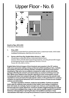# Upper Floor - No. 6



# *Death to Pigs***, 2015–2016**

A Narrative in Nine Scenes

# **1.** *Prize***, 2015**

 Oil painting suspended from painted steel chains, anatomical model, child's table Installation dimensions: 294.6 (h) x 91.4 x 61.0 cm

# **1.1 Farmer with Prize Pig, English Naïve School, c. 1860**

Oil painting on stretched canvas in ebonized obeche frame Canvas: 20 (h) x 29 with steel supportsngs livestock, including almost 200 images for the leading Farmer'ming magazines, 50.8 (h) x 75.9 cm Frame: 65.1 (h) x 88.9 x 3.8 cm

**English Naïve School images of farm livestock were popular in the 19th century, with some exponents making a living as itinerant artists travelling to fairs, markets and estates to paint prize-winning animals, sometimes with their proud owners standing by. Pigs were rare as subjects compared to cattle, horses and sheep, perhaps reflecting the animal's perceived status as unclean and living in its own filth. While some religions have specific objections to the consumption of pork, including both Islam and Judaism (though for different reasons), the animal's bad reputation is more pervasive through popular culture, to the point that it is a primary metaphor for bad human behaviour and a common source of insult across multiple cultures and ethnicities.**

**The pig's reputation, however, masks its real qualities. Contrary to popular belief, pigs are relatively clean animals in their habits, never eating or sleeping in their own waste, for example, if given enough room. And you can't sweat like a pig because pigs don't sweat. Moreover, numerous studies suggest that pigs are at least as, or even more intelligent than, dogs or cats, and are equally capable of empathetic behaviour. Disregarding or ignoring the pig's real qualities is perhaps a mass rationalization that helps us accept the prominence of pork in diets around the world.**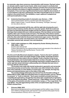**As mammals, pigs share numerous characteristics with humans. Pig heart valves are already used to repair human hearts, while recent research concludes that pigs are genetically even more closely related to primates than previously thought. Some scientists now believe it might be possible to use pig organs for human transplants. It has even been hypothesized that humans might be descendants of a cross between a pig and a chimpanzee, the latter long thought to be our closest relative in the animal world. This exhibition, in part, explores a metaphorical anthropomorphization of pigs.** 

**1.2 Anatomical teaching model of a domestic sow, German, c. 1930** Hand-painted plaster, fixed to a wooden base with steel supports Maker's label on base: "Louis M. Meusel, Sonneberg, Thüringen, Germany" 44.1 (h) x 83.8 x 29.2 cm

**The model is approximately half life-size, with the right side showing the sow's natural surface anatomy and the other its muscular system. Both the model and the base are bisected along their lengths and the two halves separate to reveal a third layer that contains the sow's internal anatomy. (The two halves can be locked together with a pair of brass hooks and eyes.) The left side of the interior section carries the thoracic and abdominal organs as removable three-dimensional models, while the other side holds the thoracic and abdominal organ covers. The model is comprised of ten parts: two body halves, two removable ears, lung, heart with removable ventricle wall, stomach, liver and intestines.**

**1.3 Child's table (catalogue no. 639), designed by Gustav Stickley (American, 1858–1942), c. 1904**

Quarter sawn stained oak

 Custom-fabricated from an original antique fumed-oak example in the collection of Ydessa Hendeles by Michael Buchanan, Toronto, 2012 55.8 (h) x 61.0 x 91.4 cm

**The Arts and Crafts Movement adopted a utopian, "back-to-the-land" aesthetic that stressed solid, plain and simple design in high-quality, handmade furniture for Everyman as it was made in the era of guilds. It was a reaction to the forces**  of industrialization and mechanization that drove society in the later 19<sup>th</sup> century. **These high-minded, decorative art furnishings expressed a wistful longing for an earlier age that valued individual craftsmanship and a lifestyle that was more in harmony with the natural world.** 

**The furniture was made with sturdy hardwoods in geometric and vernacular forms that primarily served function. Decoration was often limited to the natural look of the materials or to the details of construction—for example, the large key tenons and exposed joinery seen on the sides of this table.**

**The practical design philosophy was derived from the Socialist writings of William Morris (1834–1896) and embodied down-to-earth precepts, such as "fitness for purpose" or "truth to materials." Such quasi-moralistic precepts have been compelling through history, though they have their dark complements in dystopias, such as the National Socialists' "Arbeit macht frei" ("Work Makes You Free"), placed on the gates of Auschwitz and other concentration camps, or "Four Legs Good, Two Legs Better," the self-aggrandizing motto of the corrupted leader pigs in George Orwell's** *Animal Farm***.**

#### **2.** *Princess (1964)***, 2015**

 Black-and-white pigment print on archival paper and first-edition copy of *Animal Farm* (1945) by George Orwell, both framed in hand-painted white poplar frames Frame dimensions: 36.8 (h) x 30.5 x 3.5 cm each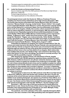The book support is marked with a custom blind deboss (2.9 x 4.4 cm) Installation dimensions: 36.8 (h) x 62.4 x 3.5 cm

#### **2.1 Leslie Van Houten as Homecoming Princess**

 Source material: page 129 of the 1964 yearbook of the Monrovia High School (Monrovia, California) Printed image dimensions: 21.0 (h) x 14.6 cm The original yearbook is in the collection of the artist.

**The photograph shows Leslie Van Houten (b. 1949) as a Freshman Princess presiding over Homecoming celebrations at her high school in November, 1963. Van Houten later became associated with Charles Manson (1934–2017) and the notorious "Manson Family" of young, mostly female "flower children" who sought a more meaningful lifestyle. Under Manson's control, they became a pseudo-family and a cult that aspired to a communal, hippie, free-love philosophy on the Spahn Ranch north of Los Angeles. Initially, this counter-culture movement had utopian back-to-nature aspirations. However, in July and August, 1969, the experiment took a murderous turn. Reputedly inspired by his perverted interpretations of songs on the Beatles'** *White Album* **(1968), Manson masterminded a series of gruesome killings. "In Manson's mind," author Kory Grow wrote in a 2017 essay, "benign songs like 'Blackbird,' 'Piggies' and, most prominently, 'Helter Skelter,' foretold a bloody, apocalyptic race war. But when the battle never began, he decided to kickstart it with the murders." ("Charles Manson: How Cult Leader's Twisted Beatles Obsession Inspired Family Murders,"** *Rolling Stone***, August 17, 2017)**

**Undertaken by followers he assigned, the victims included Sharon Tate, the actress and model married to film director Roman Polanski, who was butchered in a house with four friends on August 8. Van Houten was not involved in that, but on the following night she asked to be part of the group that murdered Leno and Rosemary LaBianca at their home in the Los Feliz district of Los Angeles. Both victims died from multiple stab wounds, and "Death to Pigs" were smeared on the living-room wall in their blood. For her role in the killings, Van Houten is currently serving a "life sentence with the possibility of parole" in California.** 

**After denying her appeals 19 times, the state Board of Parole, despite receiving a petition with 140,000 signatures opposing release, granted it in April 2016. However, California Governor Jerry Brown vetoed the decision in July, citing Van Houten's failure to explain her transition from model teen to brutal killer. "Both her role in these extraordinarily brutal crimes and her inability to explain her willing participation in such horrific violence cannot be overlooked and lead me to believe she remains an unacceptable risk to society if released," he wrote. In September 2017, the Board again recommended parole, but Brown vetoed this in January 2018. Van Houten's lawyer has vowed to continue the efforts on behalf of his client until her release is secured.**

**The photograph is taken from the 1964 yearbook of the Monrovia High School in Monrovia, California, where Van Houten was a student. She was a 14-year-old freshman at the school that year and was evidently an active and popular pupil. In addition to her student photograph, she appears as a Freshman Class Officer, as a member of the Senior Band and as a Homecoming Princess, chosen by the boys in her year. Van Houten and her fellow Homecoming Princesses appear in a doublepage spread of photographs under the title "ROYALTY," the text reading in part:** 

**November 1, 1963, was a day of thrill and excitement for twenty Monrovia High School co-eds. Chosen by the boys of their class to reign over Homecoming festivities, they enjoyed being known as Royalty for one week. Midnight, Friday, found some very tired Cinderellas with very tired feet.** 

**The yearbook, now in the collection of the artist, originally belonged to Mark Hoffmann, who was a member of the 1964 graduating class and appears with Van**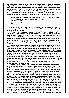**Houten in the photo of the Senior Band. The pages of the book are filled with notes of goodwill from Hoffmann's friends and classmates, recalling their time together at school and looking ahead optimistically to future endeavours. Hoffmann earned a Bachelor of Arts degree at the University of California, Los Angeles, and a Master's at California State University, Fullerton. Considered an expert in rain-forest and desert ecologies, he taught life sciences at Santa Monica College until his death, at age 40, on September 26, 1986, from complications due to cystic fibrosis.** 

**2.2** *Animal Farm: A Fairy Story***, George Orwell (born Eric Arthur Blair, English, 1903–1950), Martin Secker & Warburg, London, 1945** First edition issue 18.7 x 12.7 x 1.0 cm 92 pages

**The subtitle "***A Fairy Story***" was left off the first American edition in 1946 and subsequently omitted from all but one known translation. In some later editions, the subtitle became "A Satire."**

**The copyright page states that the book was "First published May 1945," which was also the month Hendeles's parents were released from Auschwitz. Due to paper shortages and other factors, however, the book's publication was delayed until August, 1945. The book was printed and bound in accordance with the Wartime Economy Standard mandated by the British Government in the Book Production War Economy Agreement of 1942. As a result, this first edition was made with thin paper and boards and the fragile paper book jacket is usually in pieces or missing altogether.**

**Orwell wrote his satire on the Russian Revolution and its devolution into the Stalinist Soviet Union in the few months between November, 1943, and February, 1944. As a democratic socialist, he was disillusioned by what had happened to the ideals of the Revolution, though at the time of writing Britain and the U.S. were close allies of the Soviet Union in the fight against Hitler and Fascism. Publishers on both sides of the Atlantic were, as a result, reluctant to publish Orwell's critical text, including his London publisher, Victor Gollancz. Although not a universal critical success on first publication, it sold well. Shortly after publication, however, political attitudes changed and the book would be promoted for its prescience when the Iron Curtain was drawn rigidly to separate communist and non-communist blocs at the outset of the Cold War. Today,** *Animal Farm* **figures prominently on rosters of the greatest English-language novels.** 

**Orwell cleverly limns Russian and Soviet history in his tale of downtrodden animals who rise against their drunken human master and take over the farm. The political consciousness of the animals is first raised by the Marx-like figure of Old Major, an old boar, though after his death the revolt itself is led by two younger pigs, Snowball (Trotsky/Lenin) and Napoleon (Stalin). The new order is established on egalitarian principals ("All animals are equal" is a primary maxim) and adamant in its refusal to compromise with the farm's previous owners ("Whatever goes on two legs is an enemy" is another maxim). Though things go well at first, Orwell's story parallels events in the course of Russian history after the Revolution, including the German invasion and Great Patriotic War (Battle of the Windmill in the book). The emergence of Napoleon, the Stalin figure, is the major satirical focus, however, and the way his increasingly autocratic rule debases the ideals of the original revolution. The maxims start to change under Napoleon's leadership. "No animal shall kill any other animal" becomes "No animal shall kill any other animal without cause" (which allows for the disappearance of dissenters) and the fundamental principal that "All animals are equal" becomes "All animals are equal but some animals are more equal than others." Increasingly, Napoleon and his sycophantic followers assume the characteristics and behaviour of the humans they overthrew, to the point where,**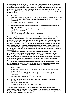**in the end, the other animals can't tell the difference between the humans and the ruling pigs. The most graphic sign that the smarter pigs have become like their former oppressors is that they are seen to be walking upright on their hind legs like humans. The first maxim of the revolution had been: "Whatever goes on two legs is an enemy." This is replaced in the failed utopian community by: "Four legs good, two legs better!"**

#### **3.** *Hope***, 2015**

 Five colour pigment prints on archival paper, framed in hand-painted white poplar frames Frame dimensions:  $38.4$  (h) x  $43.5$  x  $3.5$  cm (four frames) and  $44.8$  (h) x  $37.1$  x  $3.5$  cm (one frame)

Installation dimensions: 78.1(h) x 134.6 x 3.5 cm

#### **3.1 Five photographs of** *Paddy's Pride* **(model no. 130), Walter Stock, Solingen, Germany, c. 1925**

 Lithographed tinplate, key-wind clockwork toy with additional homemade, handpainted markings in red Toy: 14.0 (h) x 20.3 x 8.9 cm The original antique toy is in the collection of the artist.

**The toy depicts a butcher seated on a two-wheeled butcher's barrel cart drawn by a pig. Wearing his apron, the butcher grips a whip (also suggestive of a pigsticker, the traditional sharp knife used for slaughter and letting blood from the animal's throat) in his right hand and braided cloth reins attached to the harnessed pig's ears in the other. The toy may be taken to show the pig fleeing from the butcher and the boiling barrel he intends to use to render the animal. The irony is that the pig is harnessed to his pursuer and cannot easily escape; but despite the seeming hopelessness of its condition, the pig still has the will to flee and live.**

**The maker's logo and "Marke Stock" are printed on both sides of the pig's decorative harness. The logo is also printed on the barrel, as is "Made in Germany" and the German design patent mark "D.R.G.M." (acronym for**  *Deutsches Reichs Gebrauchsmuster***). The red paint applied to the cart's wheels and also to define the lips and eyebrows of the pig was probably added by a parent of one of the toy's owners.**

**When the key to the clockwork mechanism is wound, the wheels turn and propel the cart forward. The butcher raises and lowers his arms, thus pulling and easing the reins and causing the pig's ears to move back and forth.**

#### **4.** *Mother***, 2015**

 Seven colour pigment prints on archival paper, framed in hand-painted white poplar frames

 Frame dimensions: 38.4 (h) x 43.5 x 3.5 cm (six frames) and 44.8 (h) x 37.1 x 3.5 cm (one frame)

Installation dimensions: 118.4 (h) x 135.6 x 3.5 cm

# **4.1 Photograph of handmade, painted ceramic figure of Alice holding a pig, English, c. 1894**

Figure: 10.2 (h) x 5.1 x 5.1 cm The original ceramic figure is in the collection of the artist.

**The figure captures a scene in "Pig and Pepper," the sixth chapter of** *Alice's Adventures in Wonderland***, the novel by English mathematician Charles Lutwidge Dodgson (1832–1898), written under the pseudonym of Lewis Carroll and published in 1865 by Macmillan and Co., London.**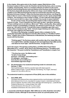**In the chapter, Alice gains entry to the chaotic, pepper-filled kitchen of the Duchess's palace to find a cook, the Cheshire cat and the Duchess, who is nursing a wailing, sneezing baby. There's a constant undertow of violence in the scene, with the cook throwing kitchen tools and dishes at the Duchess and the baby and the Duchess physically abusing the child as she sings a mock lullaby ("Speak roughly to your little boy/And beat him when he sneezes/He only does it to annoy/ Because he knows it teases"). When the Duchess leaves the kitchen, she flings the baby to Alice to nurse it. Alice barely manages to hold on to the "queer-shaped little creature," but resolves to carry it away to safety: "If I don't take this child away with me, they're sure to kill it in a day or two: wouldn't it be murder to leave it behind?"**

**As she carries it away, the grunting baby begins to take on the anatomical features of a pig. "'If you're going to turn into a pig, my dear,' said Alice, seriously, 'I'll have nothing more to do with you. Mind now!'" When, shortly after, Alice realizes that her charge is unmistakably a small pig, she releases it and it trots off. "'If it had grown up,' she said to herself, 'it would have made a dreadfully ugly child: but it makes rather a handsome pig, I think.' And she began thinking over other children she knew, who might do very well as pigs…"**

**The idea of the flying pig, in popular speech often a metaphor for the practically impossible, also figures in Carroll's Alice stories. In "The Mock Turtle's Story," chapter nine of** *Alice's Adventures in Wonderland,* **the following exchange occurs with the Duchess:**

**'Thinking again?' the Duchess asked, with another dig of her sharp little chin. 'I've a right to think,' said Alice sharply, for she was beginning to feel a little worried. 'Just about as much right,' said the Duchess, 'as pigs have to fly…'**

**And in the sequel,** *Through the Looking Glass, and What Alice Found There* **(Macmillan & Co., London, 1872), there is the following stanza in "The Walrus and the Carpenter," the poem recited by Tweedledum and Tweedledee in chapter four:**

**"'The time has come,' the Walrus said, 'To talk of many things: Of shoes—and ships—and sealing-wax— Of cabbages—and kings— And why the sea is boiling hot— And whether pigs have wings.'"**

#### **4.2 Six photographs of an anatomical teaching model of a domestic sow, German, c. 1930**

Hand-painted plaster, fixed to a wooden base with steel supports Maker's label on base: "Louis M. Meusel, Sonneberg, Thu ringen, Germany" Overall: 44.1 (h) x 83.8 x 29.2 cm

#### **The anatomical model is a component of** *Prize* **(2015), also in this exhibition.**

#### **5.** *Sow (1904***), 2015**

 One black-and-white and two colour pigment prints on archival paper, with custom blind deboss (3.8 x 6.4 cm), mounted on museum-board, in ebonized ash frames Source material: *The Story of the Three Little Pigs with drawings by L. Leslie Brooke*, Frederick Warne & Co., London & New York, 1904 Frame dimensions: 83.2 (h) x 67.3 x 3.8 cm each Installation dimensions: 83.2 (h) x 224.8 x 3.8 cm

#### **L. (Leonard) Leslie Brooke (English, 1862–1940) was an artist, illustrator and author of children's books. Although he launched his career as a portrait painter, he is**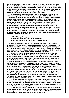**remembered mainly as an illustrator of children's stories, rhymes and fairy tales. Beginning in the 1890s, Brooke was engaged to illustrate books by many authors, including the popular Victorian children's novels by Mrs. (Mary Louisa) Molesworth and Andrew Lang's** *The Nursery Rhyme Book* **(1897). By 1903, Brooke was writing and illustrating his own stories, including** *Johnny Crow's Garden* **(1903),** *Johnny Crow's Party* **(1907) and** *Johnny Crow's New Garden* **(1935).**

**In 1904, he illustrated a retelling of the familiar fairy tale,** *The Story of the Three Little Pigs***, published as a "Shilling Book" by Frank Warne & Co. in London. The issue included eight full-page colour illustrations (halftone prints of Brooke's watercolours) and more than 15 black-and-white illustrations. The story was republished the following year in Brooke's popular collection,** *Golden Goose Book***, which also included** *Tom Thumb***,** *The Three Bears* **and** *The Golden Goose***.**

**Brooke's version of** *The Story of the Three Little Pigs* **begins when an old mother sow sends her three offspring into the world to seek their fortune and continues through each young pig's encounter with a predatory wolf. The first pig built a house of straw, but the wolf knocks it down and eats him. The second pig built a house of furze (shrubbery branches), but again the wolf knocks it down and makes a meal of the pig. Each encounter begins with a rhyming refrain as the wolf demands entry to each pig's house:**

**Wolf: "Little pig, little pig, let me come in" Pig: "No, no, by the hair of my chinny chin chin" Wolf: "Then I'll huff, and I'll puff, and I'll blow your house in!"**

**The third little pig built a house of brick, which the wolf cannot blow down. He makes three attempts to trick the pig into going outside, but is outwitted each time. Finally, frustrated and angry, the wolf climbs down the chimney to reach his prey, but the pig, after learning of the wolf's plan, has prepared a cauldron of water over a fire in the hearth. When the wolf falls into the cauldron, the pig quickly covers it to cook the wolf, eats him for supper and "lived happily ever after."**

**Brooke's source appears to be Shakespearean scholar James Orchard Halliwell (1820–1889), who included the first known printed version of** *The Story of the Three Little Pigs* **in this form in a later edition of his** *The Nursery Rhymes of England***, first published in 1841 though not then including this tale. The origins of the folktale itself are unclear, but the plot is common in oral traditions. A version appears in** *The Wolf and the Seven Young Kids* **(***Der Wolf und die sieben jungen Gei***ßlein) by German brothers Jacob and Wilhelm Grimm, who included it in their 1812 collection,** *Kinder- und Hausmärchen (***commonly known in English as** *Grimms' Fairy Tales***). In English, one of the earliest printed versions is a variant,** *The Fox and the Pixies***, which was included in** *English Forests and Forest Trees: Historical, Legendary and Descriptive* **(Ingram, Cooke, & Co, London, 1853); in this, the houses are built of wood, stone and iron, and the wolf finally falls victim to a pixie spell. Another early English variant is** *The Fox and the Geese***, included in** *A Treasury of Pleasure Books for Young People***, ed. J. Cundall (Sampson Low & Son, London, 1856). In some variants, the two pigs whose houses are destroyed are not eaten, but take refuge with their smarter sibling.**

**The three panels of** *Sow (1904)* **tell a new story. The narrative presents the wolf threatening just one pig, and that pig outwitting the wolf to neutralize the threat. Like the leader pigs in Orwell's** *Animal Farm***, the pig here has distinguished itself by learning to walk on two legs. She has found her feet to stand up for herself, survive the threat and do away with the predator.** 

**The wolf in fairy tales is traditionally an undomesticated wild beast. German Shepherd dogs, renowned for their intelligence, capacity to work and aggression as guard dogs, were first bred in Germany in 1899 by Max von Stephanitz from stock that was known to have partial wolf or wolf-dog parentage.**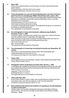# **6.** *Nose***, 2015**

 Seven colour pigment prints on archival paper, framed in hand-painted white poplar frames Frame dimensions: 38.4 (h) x 43.5 x 3.5 cm each

Installation dimensions: 118.4 (h) x 141.3 x 3.5 cm

#### **6.1 Three photographs of a cast and chased Sterling silver, key-wind clockwork bell in the form of a standing pig, William Edward Hurcomb, London, 1912**

 Body cast in halves, but with snout and tail cast separately; chased fine detail; fixed brass key on underbelly; internal bell (rung by pressing pig's nose or curly tail); hallmarks on all components

Overall dimensions: 8.3 (h) x 15.6 x 6.7 cm

Total weight (including mechanism): 644 g,

 Provenance: Passmore family, England. The original bell was given to a member of the family as a christening present.

The original bell is in the collection of the artist.

#### **6.2 Two photographs of a key-wind clockwork, walking toy pig, Roullet & Decamps, France, c. 1890**

 Covered in pigskin, with glass eyes; painted snout, eyes, ears, mouth and hooves; curly tail; activation lever on underbelly, with original key

 When activated, the pig moves forward on serrated wheels under each hoof, its head moving from side to side and emitting grunting sounds.

Pig: 13.3 (h) x 28.6 x 8.3 cm

Key: 7.9 cm in length

The original toy is in the collection of the artist.

# **6.3 Two photographs of a handmade and painted terracotta sow, Neapolitan, 18th century**

Figure from a crèche (Christmas nativity scene), with painted glass eyes Overall dimensions: 9.5 (h) x 15.9 x 5.7 cm The original crèche figure is in the collection of the artist.

# **7.** *Family***, 2015**

Colour pigment print on archival paper, framed in hand-painted white poplar frame Frame: 42.5 (h) x 48.6 x 3.5 cm

# **7.1 Photograph of three small bisque porcelain dolls, German, c. 1930**

 A child figure with sculpted hands and hair and two pig figures without hair, each with wire-jointed limbs and hand-painted facial features (the child also with painted hair) Child: 13.3 (h) x 7.0 x 3.2 cm Large pig: 11.1 (h)  $\times$  5.4  $\times$  3.8 cm Small pig: 8.9 (h) x 5.7 x 3.5 cm The original figures are in the collection of the artist.

# **8.** *Three Little Pigs***, 2015**

 Sound video housed in custom-made, wall-mounted steel box with key-lock door and antique chain; cast-bronze sculpture on wall-mounted steel shelf Installation dimensions: 88.9 (h) x 56.8 x 12.1 cm

# **8.1 Solid, polished solid cast-bronze sculpture of a pig lying on its side displayed on wall-mounted shelf**

"*Death to Pigs*" and the edition designation stamped on the bottom of the pig Source of form: Two-part tin chocolate mould made by Anton Reiche, Dresden, Germany, c. 1920s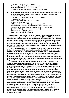Steel shelf: Stephen Richards, Toronto Bronze sculpture dimensions: 3.5 (h) x 9.5 x 6.0 cm Steel shelf dimensions: 4.4 x 12.7 x 10.2 cm The original chocolate mould is in the collection of the artist.

#### **8.2 Video with found documentary footage and custom-mixed soundtrack using original documentary audio, Jewish liturgical music and additional found digital audio elements**

Steel box housing for video: Stephen Richards, Toronto Video duration: 00:01:34 Steel box dimensions: 26.7 (h) x 26.7 x 12.1 cm Antique chain length: 48.9 cm LCD screen dimensions: 17.8 cm (measured diagonally) Video fragments copyright Aussie Farms Inc. (used with permission) Excerpt from "Kehilot haKodesh": copyright Cantor David Weinbach (Tel. 050.412.0040), Israel (used with permission) Video editor: Yoav Bezaleli, Tel Aviv Sound editor: Isabelle Noël, Toronto

**The** *Three Little Pigs* **video is presented in a wall-mounted, key-lock blue steel box accessed by a hinged door. The box opens to reveal a (17.8 cm) LCD screen above a push-button controller and volume-control knob. The audio for the piece is heard through a single set of wireless headphones stored on the interior of the door. The viewer puts on the headphones and pushes the button to play the video through once. By limiting the audio play-back to one pair of headphones and presenting the video on a small screen,** *Three Little Pigs* **offers the viewer a private, immersive audio-visual experience.**

**In 2014, Aussie Farms Inc., a not-for-profit animal-rights organization based in Glenside, a suburb of Adelaide, South Australia, released a 13 ½-minute video of hidden-camera footage documenting the stunning of pigs by asphyxiating gas, known in the animal-farming industry as "controlled atmosphere killing." When performed properly, the method is touted as more humane than electrical or mechanical stunning, with the animals, supposedly unaware of the gas, falling into unconsciousness due to lack of oxygen prior to slaughter.** *Three Little Pigs* **includes fragments from the Aussie Farms video.**

**Setup for the "controlled-atmosphere killing" process, as depicted in the video, consists of a vertically rotating system of side-entry gondolas. At the top of the rotation, pigs are forced into a gondola, which then descends into a gas**  chamber filled with Carbon Dioxide (CO<sub>2</sub>). As the pigs are lowered into the chamber, **the video shows them in immediate and continuous physical distress. They desperately and noisily try to escape, throwing themselves with flailing trotters against the caged sides of the gondola, scrambling over each other and thrusting their snouts between the bars in a frantic effort to breathe. The struggle can last 30 seconds before the pigs finally lose consciousness, though unfortunately, some do recover from the stunning before being hung on one hind hoof to drain the blood. If the pig is flailing about and the worker is unable to slit its throat, the animal will be carried to the next stage and boiled while conscious.**

**Argon is recommended for the gassing of pigs because it is inert and undetectable when inhaled. However, the most common agent used in "controlled**atmosphere killing" is CO<sub>2</sub>, which is aversive to pigs (as it is to humans at **concentrations in excess of 8–15 per cent). There is evidence that pigs exposed**  to concentrations of CO<sub>2</sub> of up to 20 per cent show few signs of distress, but for **reasons of commercial efficiency, farming operations around the world routinely use concentrations greater than 85 per cent, which triggers an immediate suffocation response.**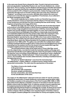**In the same year Aussie Farms released its video, Toronto's last pork-processing plant and pig abattoir, Quality Meat Packers Ltd. and Toronto Abattoirs Ltd., closed their doors. Prior to closing, Toronto Abattoirs had introduced controlled-atmosphere killing in an operation that had the capacity to slaughter 6,000 hogs in one day and that accounted for 25% of Ontario's pork production. Indeed, the large scale of pork production through much of Toronto's history gave rise to the city's nickname of "Hogtown" according to some accounts, although others believe the name was coined more to describe the rapacious appetites of Torontonians. As an editorial in the** *Globe* **newspaper put it in 1898:**

**The remark originally had no relation at all to our friend the hog, but was merely intended to convey an impression that the citizens of Toronto were porcine in their tendencies and had their fore feet in anything that was worth having… This is Hogtown and growing more hoggy all the time.**

**Whatever the origin, the name stuck, and Toronto was at one time the largest pork producer in the British Empire, in North America surpassed only by Chicago in the number of pigs slaughtered and processed. Until they closed, Quality Meat Packers and Toronto Abattoirs operated together on a four-and-a-half-acre complex at Tecumseth Street and Wellington Street West in a historically mixed industrial and residential neighbourhood on the western edge of the city's downtown. Pork production had begun on the site in 1914 with the establishment of the Toronto Municipal Abattoir, operated by the city until 1960, when it was sold to Ontario Meat Packers Ltd. The complex was just a block away from a former uniforms factory at 778 King Street West, where the Ydessa Hendeles Art Foundation presented its exhibition programme from 1988 to 2012. The gallery was well within the multiple block radius routinely enveloped with the pungent odour of pig manure and slaughterhouse smells emanating from the abattoir and from the dozens of trucks loaded with hogs that navigated neighbourhood streets heading to the facility.** 

**Two principal streams make up the audio track of** *Three Little Pigs***: sound from the original video, recorded live inside the Australian abattoir as the pigs were gassed but specifically sound-edited to give the viewer the perception of being inside the steel box, and a recording of David Weinbach, an Israeli tenor cantor, singing the Jewish liturgical dirge, "Kehilot haKodesh" ("Holy Communities"), with organ and chorus. The soundtrack also includes added elements, including a heartbeat heard at the beginning and end.** 

**The lyrics to "Kehilot haKodesh" come from the memorial prayer "Av haRachamim" ("Father of Mercy"), recited to honour Jewish martyrs and persecuted communities. The video uses the opening lines of the prayer:**

**The Father of mercy who dwells on high in His great mercy will remember with compassion the pious, upright and blameless the holy communities, who laid down their lives for the sanctification of His name.**

The origins of "Av haRachamim" date back to the turn of the 11<sup>th</sup> and 12<sup>th</sup> centuries, **following the destruction of Jewish Ashkenazi communities along the Rhine valley by Christian crusaders in the early phases of the First Crusade (1095–1099). In 1095, Pope Urban II had called for a Christian conquest of Jerusalem to free the city from Muslim control under the Seljuk Turks. In response, groups of poorly organized and ill-equipped peasants banded together under dubious leadership in France and throughout the Holy Roman Empire to undertake the crusade. As these forces moved along the Rhine in the spring and summer of 1096, the Jewish communities in such centres as Speyer, Worms and Mainz were repeated targets of Christian violence. The renegade crusaders pillaged the communities for money and supplies, forcing**